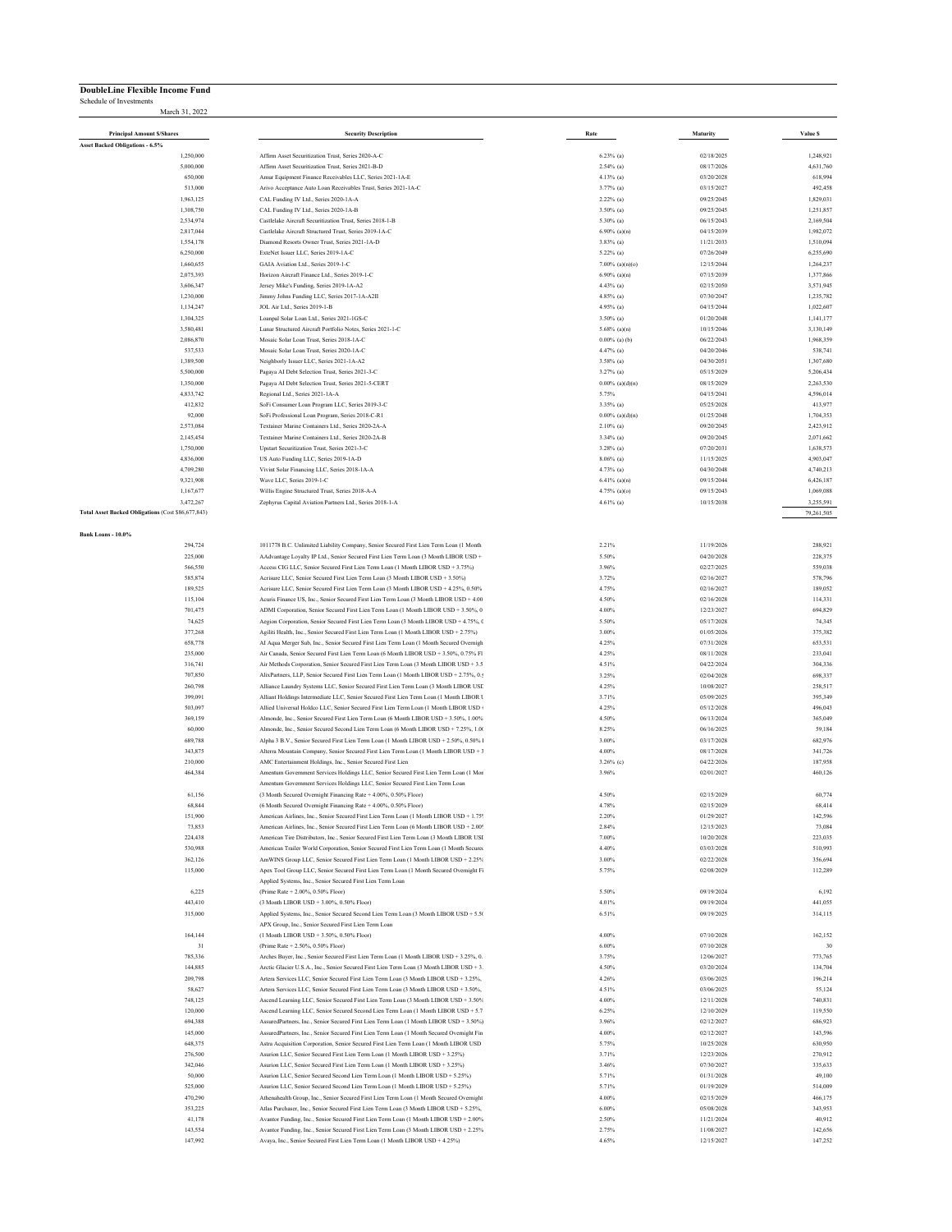## **DoubleLine Flexible Income Fund**

Schedule of Investments March 31, 2022

| <b>Principal Amount S/Shares</b>                                | <b>Security Description</b>                                                                                                                                                         | Rate                               | Maturity                 | Value S                |
|-----------------------------------------------------------------|-------------------------------------------------------------------------------------------------------------------------------------------------------------------------------------|------------------------------------|--------------------------|------------------------|
| Asset Backed Obligations - 6.5%                                 |                                                                                                                                                                                     |                                    |                          |                        |
| 1,250,000                                                       | Affirm Asset Securitization Trust. Series 2020-A-C                                                                                                                                  | $6.23\%$ (a)                       | 02/18/2025               | 1,248,921              |
| 5,000,000                                                       | Affirm Asset Securitization Trust, Series 2021-B-D                                                                                                                                  | $2.54\%$ (a)                       | 08/17/2026               | 4,631,760              |
| 650,000<br>513,000                                              | Amur Equipment Finance Receivables LLC, Series 2021-1A-E<br>Arivo Acceptance Auto Loan Receivables Trust, Series 2021-1A-C                                                          | 4.13% (a)<br>$3.77\%$ (a)          | 03/20/2028<br>03/15/2027 | 618,994<br>492,458     |
| 1,963,125                                                       | CAL Funding IV Ltd., Series 2020-1A-A                                                                                                                                               | $2.22\%$ (a)                       | 09/25/2045               | 1,829,031              |
| 1,308,750                                                       | CAL Funding IV Ltd., Series 2020-1A-B                                                                                                                                               | 3.50% (a)                          | 09/25/2045               | 1,251,857              |
| 2,534,974                                                       | Castlelake Aircraft Securitization Trust, Series 2018-1-B                                                                                                                           | 5.30% (a)                          | 06/15/2043               | 2,169,504              |
| 2,817,044                                                       | Castlelake Aircraft Structured Trust, Series 2019-1A-C                                                                                                                              | $6.90\%$ (a)(n)                    | 04/15/2039               | 1,982,072              |
| 1,554,178<br>6,250,000                                          | Diamond Resorts Owner Trust, Series 2021-1A-D<br>ExteNet Issuer LLC, Series 2019-1A-C                                                                                               | $3.83\%$ (a)<br>5.22% (a)          | 11/21/2033<br>07/26/2049 | 1,510,094<br>6,255,690 |
| 1,660,655                                                       | GAIA Aviation Ltd., Series 2019-1-C                                                                                                                                                 | $7.00\%$ (a)(n)(o)                 | 12/15/2044               | 1,264,237              |
| 2,075,393                                                       | Horizon Aircraft Finance Ltd., Series 2019-1-C                                                                                                                                      | $6.90\%$ (a)(n)                    | 07/15/2039               | 1,377,866              |
| 3,606,347                                                       | Jersey Mike's Funding, Series 2019-1A-A2                                                                                                                                            | $4.43\%$ (a)                       | 02/15/2050               | 3,571,945              |
| 1,230,000                                                       | Jimmy Johns Funding LLC, Series 2017-1A-A2II                                                                                                                                        | 4.85% (a)                          | 07/30/2047               | 1,235,782              |
| 1,134,247<br>1,304,325                                          | JOL Air Ltd., Series 2019-1-B<br>Loanpal Solar Loan Ltd., Series 2021-1GS-C                                                                                                         | 4.95% (a)<br>$3.50\%$ (a)          | 04/15/2044<br>01/20/2048 | 1,022,607<br>1,141,177 |
| 3,580,481                                                       | Lunar Structured Aircraft Portfolio Notes, Series 2021-1-C                                                                                                                          | $5.68\%$ (a)(n)                    | 10/15/2046               | 3,130,149              |
| 2,086,870                                                       | Mosaic Solar Loan Trust. Series 2018-1A-C                                                                                                                                           | $0.00\%$ (a) (b)                   | 06/22/2043               | 1,968,359              |
| 537,533                                                         | Mosaic Solar Loan Trust, Series 2020-1A-C                                                                                                                                           | 4.47% (a)                          | 04/20/2046               | 538,741                |
| 1,389,500                                                       | Neighborly Issuer LLC, Series 2021-1A-A2                                                                                                                                            | $3.58\%$ (a)                       | 04/30/2051               | 1,307,680              |
| 5,500,000<br>1,350,000                                          | Pagaya AI Debt Selection Trust, Series 2021-3-C<br>Pagaya AI Debt Selection Trust, Series 2021-5-CERT                                                                               | $3.27\%$ (a)<br>$0.00\%$ (a)(d)(n) | 05/15/2029<br>08/15/2029 | 5.206.434<br>2,263,530 |
| 4,833,742                                                       | Regional Ltd., Series 2021-1A-A                                                                                                                                                     | 5.75%                              | 04/15/2041               | 4,596,014              |
| 412,832                                                         | SoFi Consumer Loan Program LLC, Series 2019-3-C                                                                                                                                     | 3.35% (a)                          | 05/25/2028               | 413,977                |
| 92,000                                                          | SoFi Professional Loan Program, Series 2018-C-R1                                                                                                                                    | $0.00\%$ (a)(d)(n)                 | 01/25/2048               | 1,704,353              |
| 2,573,084                                                       | Textainer Marine Containers Ltd., Series 2020-2A-A                                                                                                                                  | $2.10\%$ (a)                       | 09/20/2045               | 2,423,912              |
| 2,145,454                                                       | Textainer Marine Containers Ltd., Series 2020-2A-B                                                                                                                                  | 3.34% (a)                          | 09/20/2045               | 2,071,662              |
| 1,750,000<br>4,836,000                                          | Upstart Securitization Trust, Series 2021-3-C<br>US Auto Funding LLC, Series 2019-1A-D                                                                                              | 3.28% (a)<br>$8.06\%$ (a)          | 07/20/2031<br>11/15/2025 | 1,638,573<br>4,903,047 |
| 4,709,280                                                       | Vivint Solar Financing LLC, Series 2018-1A-A                                                                                                                                        | 4.73% (a)                          | 04/30/2048               | 4,740,213              |
| 9,321,908                                                       | Wave LLC, Series 2019-1-C                                                                                                                                                           | $6.41\%$ (a)(n)                    | 09/15/2044               | 6,426,187              |
| 1,167,677                                                       | Willis Engine Structured Trust, Series 2018-A-A                                                                                                                                     | $4.75\%$ (a)(o)                    | 09/15/2043               | 1,069,088              |
| 3.472.267<br>Total Asset Backed Obligations (Cost \$86,677,843) | Zephyrus Capital Aviation Partners Ltd., Series 2018-1-A                                                                                                                            | $4.61\%$ (a)                       | 10/15/2038               | 3,255,591              |
|                                                                 |                                                                                                                                                                                     |                                    |                          | 79,261,505             |
| Bank Loans - 10.0%                                              |                                                                                                                                                                                     |                                    |                          |                        |
| 294,724                                                         | 1011778 B.C. Unlimited Liability Company, Senior Secured First Lien Term Loan (1 Month                                                                                              | 2.21%                              | 11/19/2026               | 288,921                |
| 225,000                                                         | AAdvantage Loyalty IP Ltd., Senior Secured First Lien Term Loan (3 Month LIBOR USD +                                                                                                | 5.50%                              | 04/20/2028               | 228,375                |
| 566,550<br>585,874                                              | Access CIG LLC, Senior Secured First Lien Term Loan (1 Month LIBOR USD + 3.75%)<br>Acrisure LLC, Senior Secured First Lien Term Loan (3 Month LIBOR USD + 3.50%)                    | 3.96%<br>3.72%                     | 02/27/2025<br>02/16/2027 | 559,038<br>578,796     |
| 189,525                                                         | Acrisure LLC, Senior Secured First Lien Term Loan (3 Month LIBOR USD + 4.25%, 0.50%                                                                                                 | 4.75%                              | 02/16/2027               | 189,052                |
| 115,104                                                         | Acuris Finance US, Inc., Senior Secured First Lien Term Loan (3 Month LIBOR USD + 4.00                                                                                              | 4.50%                              | 02/16/2028               | 114,331                |
| 701,475                                                         | ADMI Corporation, Senior Secured First Lien Term Loan (1 Month LIBOR USD + 3.50%, 0                                                                                                 | 4.00%                              | 12/23/2027               | 694,829                |
| 74,625                                                          | Aegion Corporation, Senior Secured First Lien Term Loan (3 Month LIBOR USD + 4.75%, 0                                                                                               | 5.50%                              | 05/17/2028               | 74,345                 |
| 377,268<br>658,778                                              | Agiliti Health, Inc., Senior Secured First Lien Term Loan (1 Month LIBOR USD + 2.75%)<br>AI Aqua Merger Sub, Inc., Senior Secured First Lien Term Loan (1 Month Secured Overnigh    | 3.00%<br>4.25%                     | 01/05/2026<br>07/31/2028 | 375,382<br>653,531     |
| 235,000                                                         | Air Canada, Senior Secured First Lien Term Loan (6 Month LIBOR USD + 3.50%, 0.75% Fl                                                                                                | 4.25%                              | 08/11/2028               | 233,041                |
| 316,741                                                         | Air Methods Corporation, Senior Secured First Lien Term Loan (3 Month LIBOR USD + 3.5                                                                                               | 4.51%                              | 04/22/2024               | 304,336                |
| 707,850                                                         | AlixPartners, LLP, Senior Secured First Lien Term Loan (1 Month LIBOR USD + 2.75%, 0.5                                                                                              | 3.25%                              | 02/04/2028               | 698,337                |
| 260,798                                                         | Alliance Laundry Systems LLC, Senior Secured First Lien Term Loan (3 Month LIBOR USE                                                                                                | 4.25%                              | 10/08/2027               | 258,517                |
| 399,091<br>503,097                                              | Alliant Holdings Intermediate LLC, Senior Secured First Lien Term Loan (1 Month LIBOR U<br>Allied Universal Holdco LLC, Senior Secured First Lien Term Loan (1 Month LIBOR USD +    | 3.71%<br>4.25%                     | 05/09/2025<br>05/12/2028 | 395,349<br>496,043     |
| 369,159                                                         | Almonde, Inc., Senior Secured First Lien Term Loan (6 Month LIBOR USD + 3.50%, 1.00%                                                                                                | 4.50%                              | 06/13/2024               | 365,049                |
| 60,000                                                          | Almonde, Inc., Senior Secured Second Lien Term Loan (6 Month LIBOR USD + 7.25%, 1.00                                                                                                | 8.25%                              | 06/16/2025               | 59,184                 |
| 689,788                                                         | Alpha 3 B.V., Senior Secured First Lien Term Loan (1 Month LIBOR USD + 2.50%, 0.50% l                                                                                               | 3.00%                              | 03/17/2028               | 682,976                |
| 343,875                                                         | Alterra Mountain Company, Senior Secured First Lien Term Loan (1 Month LIBOR USD + 3                                                                                                | 4.00%                              | 08/17/2028               | 341,726                |
| 210,000<br>464,384                                              | AMC Entertainment Holdings, Inc., Senior Secured First Lien<br>Amentum Government Services Holdings LLC, Senior Secured First Lien Term Loan (1 Mor                                 | $3.26\%$ (c)<br>3.96%              | 04/22/2026<br>02/01/2027 | 187,958<br>460,126     |
|                                                                 | Amentum Government Services Holdings LLC, Senior Secured First Lien Term Loan                                                                                                       |                                    |                          |                        |
| 61,156                                                          | (3 Month Secured Overnight Financing Rate + 4.00%, 0.50% Floor)                                                                                                                     | 4.50%                              | 02/15/2029               | 60,774                 |
| 68,844                                                          | (6 Month Secured Overnight Financing Rate + 4.00%, 0.50% Floor)                                                                                                                     | 4.78%                              | 02/15/2029               | 68,414                 |
| 151,900                                                         | American Airlines, Inc., Senior Secured First Lien Term Loan (1 Month LIBOR USD + 1.75                                                                                              | 2.20%                              | 01/29/2027               | 142,596                |
| 73,853<br>224,438                                               | American Airlines, Inc., Senior Secured First Lien Term Loan (6 Month LIBOR USD + 2.00%<br>American Tire Distributors, Inc., Senior Secured First Lien Term Loan (3 Month LIBOR USI | 2.84%<br>7.00%                     | 12/15/2023<br>10/20/2028 | 73,084<br>223,035      |
| 530,988                                                         | American Trailer World Corporation, Senior Secured First Lien Term Loan (1 Month Secured                                                                                            | 4.40%                              | 03/03/2028               | 510,993                |
| 362,126                                                         | AmWINS Group LLC, Senior Secured First Lien Term Loan (1 Month LIBOR USD + 2.25%                                                                                                    | 3.00%                              | 02/22/2028               | 356,694                |
| 115,000                                                         | Apex Tool Group LLC, Senior Secured First Lien Term Loan (1 Month Secured Overnight Fi                                                                                              | 5.75%                              | 02/08/2029               | 112,289                |
|                                                                 | Applied Systems, Inc., Senior Secured First Lien Term Loan                                                                                                                          |                                    |                          |                        |
| 6,225<br>443,410                                                | (Prime Rate + 2.00%, 0.50% Floor)<br>(3 Month LIBOR USD + 3.00%, 0.50% Floor)                                                                                                       | 5.50%<br>4.01%                     | 09/19/2024<br>09/19/2024 | 6,192<br>441,055       |
| 315,000                                                         | Applied Systems, Inc., Senior Secured Second Lien Term Loan (3 Month LIBOR USD + 5.50                                                                                               | 6.51%                              | 09/19/2025               | 314,115                |
|                                                                 | APX Group, Inc., Senior Secured First Lien Term Loan                                                                                                                                |                                    |                          |                        |
| 164,144                                                         | (1 Month LIBOR USD + 3.50%, 0.50% Floor)                                                                                                                                            | 4.00%                              | 07/10/2028               | 162,152                |
| 31                                                              | (Prime Rate + 2.50% 0.50% Eloor)<br>Arches Buyer, Inc., Senior Secured First Lien Term Loan (1 Month LIBOR USD + 3.25%, 0.                                                          | 6.00%                              | 07/10/2028               | 30                     |
| 785,336<br>144,885                                              | Arctic Glacier U.S.A., Inc., Senior Secured First Lien Term Loan (3 Month LIBOR USD + 3.                                                                                            | 3.75%<br>4.50%                     | 12/06/2027<br>03/20/2024 | 773,765<br>134,704     |
| 209,798                                                         | Artera Services LLC, Senior Secured First Lien Term Loan (3 Month LIBOR USD + 3.25%,                                                                                                | 4.26%                              | 03/06/2025               | 196,214                |
| 58,627                                                          | Artera Services LLC, Senior Secured First Lien Term Loan (3 Month LIBOR USD + 3.50%,                                                                                                | 4.51%                              | 03/06/2025               | 55,124                 |
| 748,125                                                         | Ascend Learning LLC, Senior Secured First Lien Term Loan (3 Month LIBOR USD + 3.50%                                                                                                 | 4.00%                              | 12/11/2028               | 740,831                |
| 120,000                                                         | Ascend Learning LLC, Senior Secured Second Lien Term Loan (1 Month LIBOR USD + 5.7                                                                                                  | 6.25%                              | 12/10/2029               | 119,550                |
| 694,388<br>145,000                                              | AssuredPartners, Inc., Senior Secured First Lien Term Loan (1 Month LIBOR USD + 3.50%)<br>AssuredPartners, Inc., Senior Secured First Lien Term Loan (1 Month Secured Overnight Fin | 3.96%<br>4.00%                     | 02/12/2027<br>02/12/2027 | 686,923<br>143,596     |
| 648,375                                                         | Astra Acquisition Corporation, Senior Secured First Lien Term Loan (1 Month LIBOR USD                                                                                               | 5.75%                              | 10/25/2028               | 630,950                |
| 276,500                                                         | Asurion LLC, Senior Secured First Lien Term Loan (1 Month LIBOR USD + 3.25%)                                                                                                        | 3.71%                              | 12/23/2026               | 270,912                |
| 342,046                                                         | Asurion LLC, Senior Secured First Lien Term Loan (1 Month LIBOR USD + 3.25%)                                                                                                        | 3.46%                              | 07/30/2027               | 335,633                |
| 50,000                                                          | Asurion LLC, Senior Secured Second Lien Term Loan (1 Month LIBOR USD + 5.25%)                                                                                                       | 5.71%                              | 01/31/2028               | 49,100                 |
| 525,000                                                         | Asurion LLC, Senior Secured Second Lien Term Loan (1 Month LIBOR USD + 5.25%)                                                                                                       | 5.71%                              | 01/19/2029               | 514,009                |
| 470,290<br>353,225                                              | Athenahealth Group, Inc., Senior Secured First Lien Term Loan (1 Month Secured Overnight<br>Atlas Purchaser, Inc., Senior Secured First Lien Term Loan (3 Month LIBOR USD + 5.25%,  | 4.00%<br>$6.00\%$                  | 02/15/2029<br>05/08/2028 | 466,175<br>343,953     |
| 41,178                                                          | Avantor Funding, Inc., Senior Secured First Lien Term Loan (1 Month LIBOR USD + 2.00%                                                                                               | 2.50%                              | 11/21/2024               | 40,912                 |
| 143,554                                                         | Avantor Funding, Inc., Senior Secured First Lien Term Loan (3 Month LIBOR USD + 2.25%                                                                                               | 2.75%                              | 11/08/2027               | 142,656                |
| 147,992                                                         | Avaya, Inc., Senior Secured First Lien Term Loan (1 Month LIBOR USD + 4.25%)                                                                                                        | 4.65%                              | 12/15/2027               | 147,252                |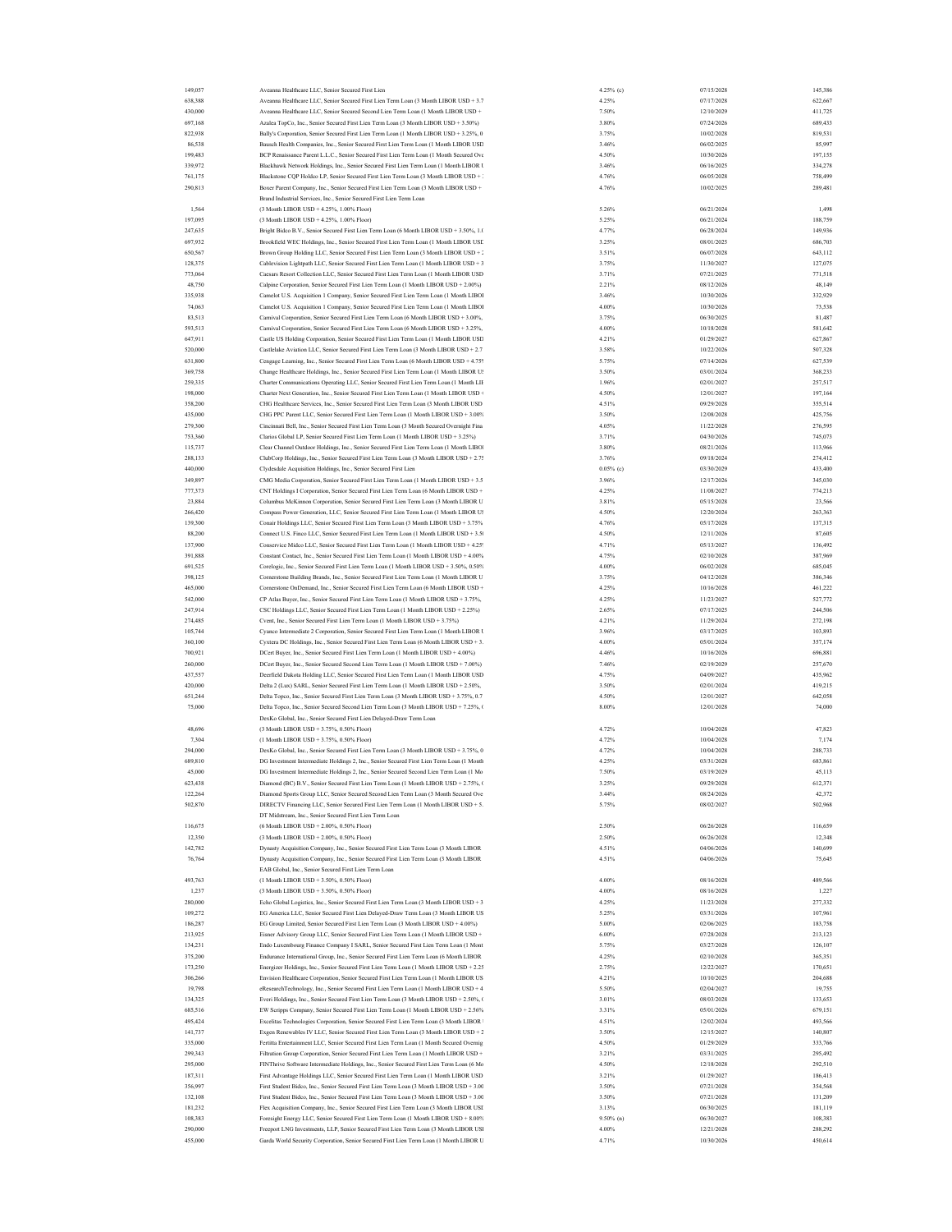| 149,057 | Aveanna Healthcare LLC, Senior Secured First Lien                                          | 4.25% (c)    | 07/15/2028 | 145,386 |
|---------|--------------------------------------------------------------------------------------------|--------------|------------|---------|
|         |                                                                                            |              |            |         |
| 638,388 | Aveanna Healthcare LLC, Senior Secured First Lien Term Loan (3 Month LIBOR USD + 3.7       | 4.25%        | 07/17/2028 | 622,667 |
| 430,000 | Aveanna Healthcare LLC, Senior Secured Second Lien Term Loan (1 Month LIBOR USD +          | 7.50%        | 12/10/2029 | 411,725 |
| 697,168 | Azalea TopCo, Inc., Senior Secured First Lien Term Loan (3 Month LIBOR USD + 3.50%)        | 3.80%        | 07/24/2026 | 689,433 |
|         |                                                                                            | 3.75%        |            |         |
| 822,938 | Bally's Corporation, Senior Secured First Lien Term Loan (1 Month LIBOR USD + 3.25%, 0     |              | 10/02/2028 | 819,531 |
| 86,538  | Bausch Health Companies, Inc., Senior Secured First Lien Term Loan (1 Month LIBOR USD      | 3.46%        | 06/02/2025 | 85,997  |
| 199,483 | BCP Renaissance Parent L.L.C., Senior Secured First Lien Term Loan (1 Month Secured Ove    | 4.50%        | 10/30/2026 | 197,155 |
| 339,972 | Blackhawk Network Holdings, Inc., Senior Secured First Lien Term Loan (1 Month LIBOR 1     | 3.46%        | 06/16/2025 | 334,278 |
| 761,175 | Blackstone CQP Holdco LP, Senior Secured First Lien Term Loan (3 Month LIBOR USD + 3       | 4.76%        | 06/05/2028 | 758,499 |
|         |                                                                                            |              |            |         |
| 290,813 | Boxer Parent Company, Inc., Senior Secured First Lien Term Loan (3 Month LIBOR USD +       | 4.76%        | 10/02/2025 | 289,481 |
|         | Brand Industrial Services, Inc., Senior Secured First Lien Term Loan                       |              |            |         |
| 1,564   | (3 Month LIBOR USD + 4.25%, 1.00% Floor)                                                   | 5.26%        | 06/21/2024 | 1,498   |
| 197,095 | (3 Month LIBOR USD + 4.25%, 1.00% Floor)                                                   | 5.25%        | 06/21/2024 | 188,759 |
|         |                                                                                            |              |            |         |
| 247,635 | Bright Bidco B.V., Senior Secured First Lien Term Loan (6 Month LIBOR USD + 3.50%, 1.0     | 4.77%        | 06/28/2024 | 149,936 |
| 697,932 | Brookfield WEC Holdings, Inc., Senior Secured First Lien Term Loan (1 Month LIBOR USE      | 3.25%        | 08/01/2025 | 686,703 |
| 650,567 | Brown Group Holding LLC, Senior Secured First Lien Term Loan (3 Month LIBOR USD + 2        | 3.51%        | 06/07/2028 | 643,112 |
| 128,375 | Cablevision Lightpath LLC, Senior Secured First Lien Term Loan (1 Month LIBOR USD + 3      | 3.75%        | 11/30/2027 | 127,075 |
|         |                                                                                            |              |            |         |
| 773,064 | Caesars Resort Collection LLC, Senior Secured First Lien Term Loan (1 Month LIBOR USD      | 3.71%        | 07/21/2025 | 771,518 |
| 48,750  | Calpine Corporation, Senior Secured First Lien Term Loan (1 Month LIBOR USD + 2.00%)       | 2.21%        | 08/12/2026 | 48,149  |
| 335,938 | Camelot U.S. Acquisition 1 Company, Senior Secured First Lien Term Loan (1 Month LIBOI     | 3.46%        | 10/30/2026 | 332,929 |
| 74,063  | Camelot U.S. Acquisition 1 Company, Senior Secured First Lien Term Loan (1 Month LIBOI     | 4.00%        | 10/30/2026 | 73,538  |
|         |                                                                                            |              |            |         |
| 83.513  | Carnival Corporation, Senior Secured First Lien Term Loan (6 Month LIBOR USD + 3.00%,      | 3.75%        | 06/30/2025 | 81,487  |
| 593,513 | Carnival Corporation, Senior Secured First Lien Term Loan (6 Month LIBOR USD + 3.25%,      | 4.00%        | 10/18/2028 | 581,642 |
| 647,911 | Castle US Holding Corporation, Senior Secured First Lien Term Loan (1 Month LIBOR USD      | 4.21%        | 01/29/2027 | 627,867 |
| 520,000 | Castlelake Aviation LLC, Senior Secured First Lien Term Loan (3 Month LIBOR USD + 2.7      | 3.58%        | 10/22/2026 | 507,328 |
|         |                                                                                            |              |            |         |
| 631,800 | Cengage Learning, Inc., Senior Secured First Lien Term Loan (6 Month LIBOR USD + 4.759     | 5.75%        | 07/14/2026 | 627,539 |
| 369,758 | Change Healthcare Holdings, Inc., Senior Secured First Lien Term Loan (1 Month LIBOR U!    | 3.50%        | 03/01/2024 | 368,233 |
| 259,335 | Charter Communications Operating LLC, Senior Secured First Lien Term Loan (1 Month LIF     | 1.96%        | 02/01/2027 | 257,517 |
| 198,000 | Charter Next Generation, Inc., Senior Secured First Lien Term Loan (1 Month LIBOR USD +    | 4.50%        | 12/01/2027 | 197,164 |
|         |                                                                                            |              |            |         |
| 358,200 | CHG Healthcare Services, Inc., Senior Secured First Lien Term Loan (3 Month LIBOR USD      | 4.51%        | 09/29/2028 | 355,514 |
| 435,000 | CHG PPC Parent LLC, Senior Secured First Lien Term Loan (1 Month LIBOR USD + 3.00%         | 3.50%        | 12/08/2028 | 425,756 |
| 279,300 | Cincinnati Bell, Inc., Senior Secured First Lien Term Loan (3 Month Secured Overnight Fina | 4.05%        | 11/22/2028 | 276,595 |
| 753,360 | Clarios Global LP, Senior Secured First Lien Term Loan (1 Month LIBOR USD + 3.25%)         | 3.71%        | 04/30/2026 | 745,073 |
|         |                                                                                            |              |            |         |
| 115,737 | Clear Channel Outdoor Holdings, Inc., Senior Secured First Lien Term Loan (1 Month LIBO)   | 3.80%        | 08/21/2026 | 113,966 |
| 288,133 | ClubCorp Holdings, Inc., Senior Secured First Lien Term Loan (3 Month LIBOR USD + 2.75     | 3.76%        | 09/18/2024 | 274,412 |
| 440,000 | Clydesdale Acquisition Holdings, Inc., Senior Secured First Lien                           | $0.05\%$ (c) | 03/30/2029 | 433,400 |
| 349,897 | CMG Media Corporation, Senior Secured First Lien Term Loan (1 Month LIBOR USD + 3.5        | 3.96%        | 12/17/2026 | 345,030 |
|         |                                                                                            |              |            |         |
| 777,373 | CNT Holdings I Corporation, Senior Secured First Lien Term Loan (6 Month LIBOR USD +       | 4.25%        | 11/08/2027 | 774,213 |
| 23,884  | Columbus McKinnon Corporation, Senior Secured First Lien Term Loan (3 Month LIBOR U        | 3.81%        | 05/15/2028 | 23,566  |
| 266,420 | Compass Power Generation, LLC, Senior Secured First Lien Term Loan (1 Month LIBOR U!       | 4.50%        | 12/20/2024 | 263,363 |
|         |                                                                                            |              | 05/17/2028 |         |
| 139,300 | Conair Holdings LLC, Senior Secured First Lien Term Loan (3 Month LIBOR USD + 3.75%        | 4.76%        |            | 137,315 |
| 88,200  | Connect U.S. Finco LLC, Senior Secured First Lien Term Loan (1 Month LIBOR USD + 3.5)      | 4.50%        | 12/11/2026 | 87,605  |
| 137,900 | Conservice Midco LLC, Senior Secured First Lien Term Loan (1 Month LIBOR USD + 4.25        | 4.71%        | 05/13/2027 | 136,492 |
| 391,888 | Constant Contact, Inc., Senior Secured First Lien Term Loan (1 Month LIBOR USD + 4.00%     | 4.75%        | 02/10/2028 | 387,969 |
| 691,525 | Corelogic, Inc., Senior Secured First Lien Term Loan (1 Month LIBOR USD + 3.50%, 0.50%     | 4.00%        | 06/02/2028 | 685,045 |
|         |                                                                                            |              |            |         |
| 398,125 | Cornerstone Building Brands, Inc., Senior Secured First Lien Term Loan (1 Month LIBOR U    | 3.75%        | 04/12/2028 | 386,346 |
| 465,000 | Cornerstone OnDemand, Inc., Senior Secured First Lien Term Loan (6 Month LIBOR USD +       | 4.25%        | 10/16/2028 | 461,222 |
| 542,000 | CP Atlas Buyer, Inc., Senior Secured First Lien Term Loan (1 Month LIBOR USD + 3.75%,      | 4.25%        | 11/23/2027 | 527,772 |
| 247,914 | CSC Holdings LLC, Senior Secured First Lien Term Loan (1 Month LIBOR USD + 2.25%)          | 2.65%        | 07/17/2025 | 244,506 |
|         |                                                                                            |              |            |         |
| 274,485 | Cvent, Inc., Senior Secured First Lien Term Loan (1 Month LIBOR USD + 3.75%)               | 4.21%        | 11/29/2024 | 272,198 |
| 105,744 | Cyanco Intermediate 2 Corporation, Senior Secured First Lien Term Loan (1 Month LIBOR 1    | 3.96%        | 03/17/2025 | 103,893 |
| 360,100 | Cyxtera DC Holdings, Inc., Senior Secured First Lien Term Loan (6 Month LIBOR USD + 3.     | 4.00%        | 05/01/2024 | 357,174 |
| 700.921 | DCert Buyer, Inc., Senior Secured First Lien Term Loan (1 Month LIBOR USD + 4.00%)         | 4.46%        | 10/16/2026 | 696,881 |
|         |                                                                                            |              |            |         |
| 260,000 | DCert Buyer, Inc., Senior Secured Second Lien Term Loan (1 Month LIBOR USD + 7.00%)        | 7.46%        | 02/19/2029 | 257,670 |
| 437,557 | Deerfield Dakota Holding LLC, Senior Secured First Lien Term Loan (1 Month LIBOR USD       | 4.75%        | 04/09/2027 | 435,962 |
| 420,000 | Delta 2 (Lux) SARL, Senior Secured First Lien Term Loan (1 Month LIBOR USD + 2.50%,        | 3.50%        | 02/01/2024 | 419,215 |
| 651,244 | Delta Topco, Inc., Senior Secured First Lien Term Loan (3 Month LIBOR USD + 3.75%, 0.7     | 4.50%        | 12/01/2027 | 642,058 |
|         |                                                                                            |              |            |         |
| 75,000  | Delta Topco, Inc., Senior Secured Second Lien Term Loan (3 Month LIBOR USD + 7.25%, (      | 8.00%        | 12/01/2028 | 74,000  |
|         | DexKo Global, Inc., Senior Secured First Lien Delayed-Draw Term Loan                       |              |            |         |
| 48,696  | (3 Month LIBOR USD + 3.75%, 0.50% Floor)                                                   | 4.72%        | 10/04/2028 | 47,823  |
| 7,304   | (1 Month LIBOR USD + 3.75%, 0.50% Floor)                                                   | 4.72%        | 10/04/2028 | 7,174   |
|         |                                                                                            |              |            |         |
| 294,000 | DexKo Global, Inc., Senior Secured First Lien Term Loan (3 Month LIBOR USD + 3.75%, 0      | 4.72%        | 10/04/2028 | 288,733 |
| 689,810 | DG Investment Intermediate Holdings 2, Inc., Senior Secured First Lien Term Loan (1 Month  | 4.25%        | 03/31/2028 | 683,861 |
| 45,000  | DG Investment Intermediate Holdings 2, Inc., Senior Secured Second Lien Term Loan (1 Mo    | 7.50%        | 03/19/2029 | 45,113  |
| 623,438 | Diamond (BC) B.V., Senior Secured First Lien Term Loan (1 Month LIBOR USD + 2.75%, (       | 3.25%        | 09/29/2028 | 612,371 |
|         |                                                                                            |              |            |         |
| 122,264 | Diamond Sports Group LLC, Senior Secured Second Lien Term Loan (3 Month Secured Ove        | 3.44%        | 08/24/2026 | 42.372  |
| 502,870 | DIRECTV Financing LLC, Senior Secured First Lien Term Loan (1 Month LIBOR USD + 5.         | 5.75%        | 08/02/2027 | 502,968 |
|         | DT Midstream, Inc., Senior Secured First Lien Term Loan                                    |              |            |         |
| 116,675 | (6 Month LIBOR USD + 2.00%, 0.50% Floor)                                                   | 2.50%        | 06/26/2028 | 116,659 |
|         |                                                                                            | 2.50%        |            |         |
| 12,350  | (3 Month LIBOR USD + 2.00%, 0.50% Floor)                                                   |              | 06/26/2028 | 12,348  |
| 142,782 | Dynasty Acquisition Company, Inc., Senior Secured First Lien Term Loan (3 Month LIBOR      | 4.51%        | 04/06/2026 | 140,699 |
| 76,764  | Dynasty Acquisition Company, Inc., Senior Secured First Lien Term Loan (3 Month LIBOR      | 4.51%        | 04/06/2026 | 75,645  |
|         | EAB Global, Inc., Senior Secured First Lien Term Loan                                      |              |            |         |
|         |                                                                                            | 4.00%        | 08/16/2028 |         |
| 493,763 | (1 Month LIBOR USD + 3.50%, 0.50% Floor)                                                   |              |            | 489,566 |
| 1,237   | (3 Month LIBOR USD + 3.50%, 0.50% Floor)                                                   | 4.00%        | 08/16/2028 | 1.227   |
| 280,000 | Echo Global Logistics, Inc., Senior Secured First Lien Term Loan (3 Month LIBOR USD + 3    | 4.25%        | 11/23/2028 | 277,332 |
| 109,272 | EG America LLC, Senior Secured First Lien Delayed-Draw Term Loan (3 Month LIBOR US         | 5.25%        | 03/31/2026 | 107,961 |
| 186,287 | EG Group Limited, Senior Secured First Lien Term Loan (3 Month LIBOR USD + 4.00%)          | 5.00%        | 02/06/2025 | 183,758 |
|         |                                                                                            |              |            |         |
| 213,925 | Eisner Advisory Group LLC, Senior Secured First Lien Term Loan (1 Month LIBOR USD +        | 6.00%        | 07/28/2028 | 213,123 |
| 134,231 | Endo Luxembourg Finance Company I SARL, Senior Secured First Lien Term Loan (1 Mont        | 5.75%        | 03/27/2028 | 126,107 |
| 375,200 | Endurance International Group, Inc., Senior Secured First Lien Term Loan (6 Month LIBOR    | 4.25%        | 02/10/2028 | 365,351 |
|         |                                                                                            |              |            |         |
| 173,250 | Energizer Holdings, Inc., Senior Secured First Lien Term Loan (1 Month LIBOR USD + 2.25    | 2.75%        | 12/22/2027 | 170,651 |
| 306,266 | Envision Healthcare Corporation, Senior Secured First Lien Term Loan (1 Month LIBOR US     | 4.21%        | 10/10/2025 | 204,688 |
| 19,798  | eResearchTechnology, Inc., Senior Secured First Lien Term Loan (1 Month LIBOR USD + 4      | 5.50%        | 02/04/2027 | 19,755  |
| 134,325 | Everi Holdings, Inc., Senior Secured First Lien Term Loan (3 Month LIBOR USD + 2.50%, (    | 3.01%        | 08/03/2028 | 133,653 |
|         |                                                                                            |              |            |         |
| 685,516 | EW Scripps Company, Senior Secured First Lien Term Loan (1 Month LIBOR USD + 2.56%         | 3.31%        | 05/01/2026 | 679,151 |
| 495,424 | Excelitas Technologies Corporation, Senior Secured First Lien Term Loan (3 Month LIBOR 1   | 4.51%        | 12/02/2024 | 493,566 |
| 141,737 | Exgen Renewables IV LLC, Senior Secured First Lien Term Loan (3 Month LIBOR USD + 2        | 3.50%        | 12/15/2027 | 140,807 |
| 335,000 | Fertitta Entertainment LLC, Senior Secured First Lien Term Loan (1 Month Secured Overnig   | 4.50%        | 01/29/2029 | 333,766 |
|         |                                                                                            |              |            |         |
| 299,343 | Filtration Group Corporation, Senior Secured First Lien Term Loan (1 Month LIBOR USD +     | 3.21%        | 03/31/2025 | 295,492 |
| 295,000 | FINThrive Software Intermediate Holdings, Inc., Senior Secured First Lien Term Loan (6 Mo  | 4.50%        | 12/18/2028 | 292,510 |
| 187,311 | First Advantage Holdings LLC, Senior Secured First Lien Term Loan (1 Month LIBOR USD       | 3.21%        | 01/29/2027 | 186,413 |
|         |                                                                                            |              |            |         |
| 356,997 | First Student Bidco, Inc., Senior Secured First Lien Term Loan (3 Month LIBOR USD + 3.00   | 3.50%        | 07/21/2028 | 354,568 |
| 132,108 | First Student Bidco, Inc., Senior Secured First Lien Term Loan (3 Month LIBOR USD + 3.00   | 3.50%        | 07/21/2028 | 131,209 |
| 181,232 | Flex Acquisition Company, Inc., Senior Secured First Lien Term Loan (3 Month LIBOR USI     | 3.13%        | 06/30/2025 | 181,119 |
| 108,383 | Foresight Energy LLC, Senior Secured First Lien Term Loan (1 Month LIBOR USD + 8.00%       | 9.50% (n)    | 06/30/2027 | 108,383 |
|         |                                                                                            |              |            |         |
| 290,000 | Freeport LNG Investments, LLP, Senior Secured First Lien Term Loan (3 Month LIBOR US)      | 4.00%        | 12/21/2028 | 288,292 |
| 455,000 | Garda World Security Corporation, Senior Secured First Lien Term Loan (1 Month LIBOR U     | 4.71%        | 10/30/2026 | 450,614 |
|         |                                                                                            |              |            |         |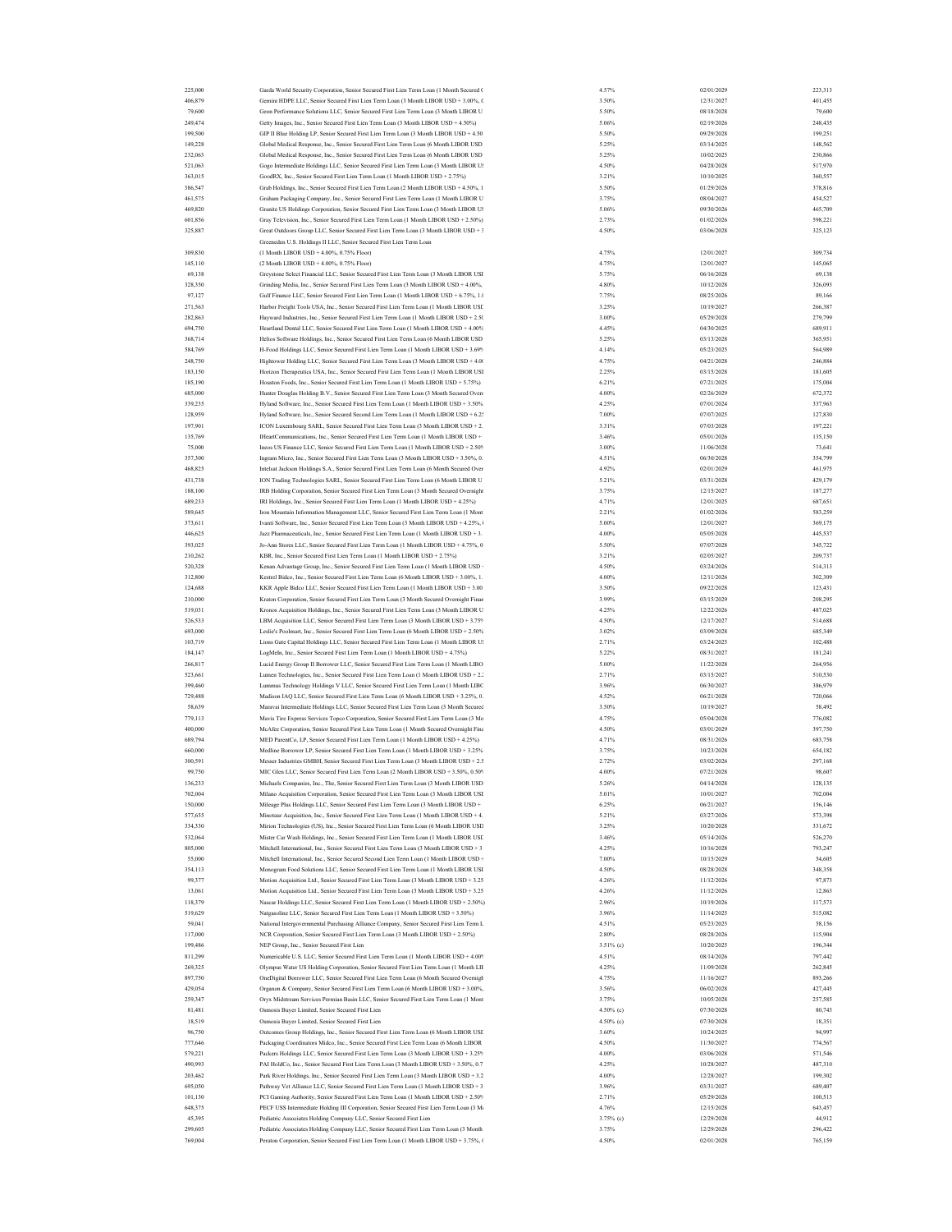| 225,000 | Garda World Security Corporation, Senior Secured First Lien Term Loan (1 Month Secured 0  | 4.57%     | 02/01/2029 | 223,313 |
|---------|-------------------------------------------------------------------------------------------|-----------|------------|---------|
| 406,879 | Gemini HDPE LLC, Senior Secured First Lien Term Loan (3 Month LIBOR USD + 3.00%, 0        | 3.50%     | 12/31/2027 | 401,455 |
|         |                                                                                           |           |            |         |
| 79,600  | Geon Performance Solutions LLC, Senior Secured First Lien Term Loan (3 Month LIBOR U      | 5.50%     | 08/18/2028 | 79,600  |
| 249,474 | Getty Images, Inc., Senior Secured First Lien Term Loan (3 Month LIBOR USD + 4.50%)       | 5.06%     | 02/19/2026 | 248,435 |
| 199,500 | GIP II Blue Holding LP, Senior Secured First Lien Term Loan (3 Month LIBOR USD + 4.50     | 5.50%     | 09/29/2028 | 199,251 |
| 149.228 | Global Medical Response, Inc., Senior Secured First Lien Term Loan (6 Month LIBOR USD     | 5.25%     | 03/14/2025 | 148,562 |
|         |                                                                                           |           |            |         |
| 232,063 | Global Medical Response, Inc., Senior Secured First Lien Term Loan (6 Month LIBOR USD     | 5.25%     | 10/02/2025 | 230,866 |
| 521,063 | Gogo Intermediate Holdings LLC, Senior Secured First Lien Term Loan (3 Month LIBOR U!     | 4.50%     | 04/28/2028 | 517,970 |
| 363,015 | GoodRX, Inc., Senior Secured First Lien Term Loan (1 Month LIBOR USD + 2.75%)             | 3.21%     | 10/10/2025 | 360,557 |
| 386,547 | Grab Holdings, Inc., Senior Secured First Lien Term Loan (2 Month LIBOR USD + 4.50%, 1    | 5.50%     | 01/29/2026 | 378,816 |
| 461,575 |                                                                                           | 3.75%     | 08/04/2027 | 454,527 |
|         | Graham Packaging Company, Inc., Senior Secured First Lien Term Loan (1 Month LIBOR U      |           |            |         |
| 469,820 | Granite US Holdings Corporation, Senior Secured First Lien Term Loan (3 Month LIBOR US    | 5.06%     | 09/30/2026 | 465,709 |
| 601,856 | Gray Television, Inc., Senior Secured First Lien Term Loan (1 Month LIBOR USD + 2.50%)    | 2.73%     | 01/02/2026 | 598,221 |
| 325,887 | Great Outdoors Group LLC, Senior Secured First Lien Term Loan (3 Month LIBOR USD + 3      | 4.50%     | 03/06/2028 | 325,123 |
|         | Greeneden U.S. Holdings II LLC, Senior Secured First Lien Term Loan                       |           |            |         |
|         |                                                                                           |           |            |         |
| 309,830 | (1 Month LIBOR USD + 4.00%, 0.75% Floor)                                                  | 4.75%     | 12/01/2027 | 309,734 |
| 145,110 | (2 Month LIBOR USD + 4.00%, 0.75% Floor)                                                  | 4.75%     | 12/01/2027 | 145,065 |
| 69,138  | Greystone Select Financial LLC, Senior Secured First Lien Term Loan (3 Month LIBOR USI    | 5.75%     | 06/16/2028 | 69,138  |
| 328,350 | Grinding Media, Inc., Senior Secured First Lien Term Loan (3 Month LIBOR USD + 4.00%,     | 4.80%     | 10/12/2028 | 326,093 |
| 97,127  | Gulf Finance LLC, Senior Secured First Lien Term Loan (1 Month LIBOR USD + 6.75%, 1.0     | 7.75%     | 08/25/2026 | 89,166  |
|         |                                                                                           |           |            |         |
| 271,563 | Harbor Freight Tools USA, Inc., Senior Secured First Lien Term Loan (1 Month LIBOR USE    | 3.25%     | 10/19/2027 | 266,387 |
| 282,863 | Hayward Industries, Inc., Senior Secured First Lien Term Loan (1 Month LIBOR USD + 2.5)   | 3.00%     | 05/29/2028 | 279,799 |
| 694.750 | Heartland Dental LLC, Senior Secured First Lien Term Loan (1 Month LIBOR USD + 4.00%      | 4.45%     | 04/30/2025 | 689,911 |
| 368,714 | Helios Software Holdings, Inc., Senior Secured First Lien Term Loan (6 Month LIBOR USD    | 5.25%     | 03/13/2028 | 365,951 |
| 584,769 |                                                                                           | 4.14%     | 05/23/2025 |         |
|         | H-Food Holdings LLC, Senior Secured First Lien Term Loan (1 Month LIBOR USD + 3.69%       |           |            | 564,989 |
| 248,750 | Hightower Holding LLC, Senior Secured First Lien Term Loan (3 Month LIBOR USD + 4.0)      | 4.75%     | 04/21/2028 | 246,884 |
| 183,150 | Horizon Therapeutics USA, Inc., Senior Secured First Lien Term Loan (1 Month LIBOR USI    | 2.25%     | 03/15/2028 | 181,605 |
| 185,190 | Houston Foods, Inc., Senior Secured First Lien Term Loan (1 Month LIBOR USD + 5.75%)      | 6.21%     | 07/21/2025 | 175,004 |
| 685,000 | Hunter Douglas Holding B.V., Senior Secured First Lien Term Loan (3 Month Secured Over    | 4.00%     | 02/26/2029 | 672,372 |
|         |                                                                                           |           |            |         |
| 339,235 | Hyland Software, Inc., Senior Secured First Lien Term Loan (1 Month LIBOR USD + 3.50%     | 4.25%     | 07/01/2024 | 337,963 |
| 128,959 | Hyland Software, Inc., Senior Secured Second Lien Term Loan (1 Month LIBOR USD + 6.2:     | 7.00%     | 07/07/2025 | 127,830 |
| 197,901 | ICON Luxembourg SARL, Senior Secured First Lien Term Loan (3 Month LIBOR USD + 2.         | 3.31%     | 07/03/2028 | 197,221 |
| 135,769 | IHeartCommunications, Inc., Senior Secured First Lien Term Loan (1 Month LIBOR USD +      | 3.46%     | 05/01/2026 | 135,150 |
| 75,000  |                                                                                           | 3.00%     | 11/06/2028 |         |
|         | Ineos US Finance LLC, Senior Secured First Lien Term Loan (1 Month LIBOR USD + 2.50%      |           |            | 73,641  |
| 357,300 | Ingram Micro, Inc., Senior Secured First Lien Term Loan (3 Month LIBOR USD + 3.50%, 0.    | 4.51%     | 06/30/2028 | 354,799 |
| 468,825 | Intelsat Jackson Holdings S.A., Senior Secured First Lien Term Loan (6 Month Secured Over | 4.92%     | 02/01/2029 | 461,975 |
| 431.738 | ION Trading Technologies SARL, Senior Secured First Lien Term Loan (6 Month LIBOR U       | 5.21%     | 03/31/2028 | 429,179 |
| 188,100 | IRB Holding Corporation, Senior Secured First Lien Term Loan (3 Month Secured Overnight   | 3.75%     | 12/15/2027 | 187,277 |
|         |                                                                                           |           |            |         |
| 689,233 | IRI Holdings, Inc., Senior Secured First Lien Term Loan (1 Month LIBOR USD + 4.25%)       | 4.71%     | 12/01/2025 | 687,651 |
| 589,645 | Iron Mountain Information Management LLC, Senior Secured First Lien Term Loan (1 Mont     | 2.21%     | 01/02/2026 | 583,259 |
| 373,611 | Ivanti Software, Inc., Senior Secured First Lien Term Loan (3 Month LIBOR USD + 4.25%,    | 5.00%     | 12/01/2027 | 369,175 |
| 446.625 | Jazz Pharmaceuticals, Inc., Senior Secured First Lien Term Loan (1 Month LIBOR USD + 3.   | 4.00%     | 05/05/2028 | 445,537 |
|         |                                                                                           |           |            |         |
| 393,025 | Jo-Ann Stores LLC, Senior Secured First Lien Term Loan (1 Month LIBOR USD + 4.75%, 0      | 5.50%     | 07/07/2028 | 345,722 |
| 210,262 | KBR, Inc., Senior Secured First Lien Term Loan (1 Month LIBOR USD + 2.75%)                | 3.21%     | 02/05/2027 | 209,737 |
| 520.328 | Kenan Advantage Group, Inc., Senior Secured First Lien Term Loan (1 Month LIBOR USD       | 4.50%     | 03/24/2026 | 514,313 |
| 312,800 | Kestrel Bidco, Inc., Senior Secured First Lien Term Loan (6 Month LIBOR USD + 3.00%, 1.   | 4.00%     | 12/11/2026 | 302,309 |
| 124,688 | KKR Apple Bidco LLC, Senior Secured First Lien Term Loan (1 Month LIBOR USD + 3.00        | 3.50%     | 09/22/2028 | 123,431 |
|         |                                                                                           |           | 03/15/2029 |         |
| 210,000 | Kraton Corporation, Senior Secured First Lien Term Loan (3 Month Secured Overnight Finar  | 3.99%     |            | 208,295 |
| 519,031 | Kronos Acquisition Holdings, Inc., Senior Secured First Lien Term Loan (3 Month LIBOR U   | 4.25%     | 12/22/2026 | 487,025 |
| 526,533 | LBM Acquisition LLC, Senior Secured First Lien Term Loan (3 Month LIBOR USD + 3.75%       | 4.50%     | 12/17/2027 | 514,688 |
| 693,000 | Leslie's Poolmart, Inc., Senior Secured First Lien Term Loan (6 Month LIBOR USD + 2.50%   | 3.02%     | 03/09/2028 | 685,349 |
| 103,719 | Lions Gate Capital Holdings LLC, Senior Secured First Lien Term Loan (1 Month LIBOR U:    | 2.71%     | 03/24/2025 | 102,488 |
|         |                                                                                           |           |            |         |
| 184,147 | LogMeIn, Inc., Senior Secured First Lien Term Loan (1 Month LIBOR USD + 4.75%)            | 5.22%     | 08/31/2027 | 181,241 |
| 266,817 | Lucid Energy Group II Borrower LLC, Senior Secured First Lien Term Loan (1 Month LIBO     | 5.00%     | 11/22/2028 | 264,956 |
| 523,661 | Lumen Technologies, Inc., Senior Secured First Lien Term Loan (1 Month LIBOR USD + 2.)    | 2.71%     | 03/15/2027 | 510,530 |
| 399,460 | Lummus Technology Holdings V LLC, Senior Secured First Lien Term Loan (1 Month LIBC       | 3.96%     | 06/30/2027 | 386,979 |
| 729,488 | Madison IAQ LLC, Senior Secured First Lien Term Loan (6 Month LIBOR USD + 3.25%, 0.       | 4.52%     | 06/21/2028 | 720,066 |
|         |                                                                                           |           |            |         |
| 58,639  | Maravai Intermediate Holdings LLC, Senior Secured First Lien Term Loan (3 Month Secured   | 3.50%     | 10/19/2027 | 58,492  |
| 779.113 | Mavis Tire Express Services Topco Corporation, Senior Secured First Lien Term Loan (3 Mo  | 4.75%     | 05/04/2028 | 776,082 |
| 400,000 | McAfee Corporation, Senior Secured First Lien Term Loan (1 Month Secured Overnight Fina   | 4.50%     | 03/01/2029 | 397,750 |
| 689,794 | MED ParentCo, LP, Senior Secured First Lien Term Loan (1 Month LIBOR USD + 4.25%)         | 4.71%     | 08/31/2026 | 683,758 |
| 660,000 |                                                                                           |           | 10/23/2028 |         |
|         | Medline Borrower LP, Senior Secured First Lien Term Loan (1 Month LIBOR USD + 3.25%       | 3.75%     |            | 654,182 |
| 300,591 | Messer Industries GMBH, Senior Secured First Lien Term Loan (3 Month LIBOR USD + 2.5      | 2.72%     | 03/02/2026 | 297,168 |
| 99,750  | MIC Glen LLC, Senior Secured First Lien Term Loan (2 Month LIBOR USD + 3.50%, 0.50%       | 4.00%     | 07/21/2028 | 98,607  |
| 136.233 | Michaels Companies, Inc., The, Senior Secured First Lien Term Loan (3 Month LIBOR USD     | 5.26%     | 04/14/2028 | 128,135 |
| 702,004 | Milano Acquisition Corporation, Senior Secured First Lien Term Loan (3 Month LIBOR USI    | 5.01%     | 10/01/2027 | 702,004 |
| 150,000 |                                                                                           | 6.25%     |            |         |
|         | Mileage Plus Holdings LLC, Senior Secured First Lien Term Loan (3 Month LIBOR USD +       |           | 06/21/2027 | 156,146 |
| 577,655 | Minotaur Acquisition, Inc., Senior Secured First Lien Term Loan (1 Month LIBOR USD + 4.   | 5.21%     | 03/27/2026 | 573,398 |
| 334,330 | Mirion Technologies (US), Inc., Senior Secured First Lien Term Loan (6 Month LIBOR USD    | 3.25%     | 10/20/2028 | 331,672 |
| 532.064 | Mister Car Wash Holdings, Inc., Senior Secured First Lien Term Loan (1 Month LIBOR USE    | 3.46%     | 05/14/2026 | 526,270 |
| 805,000 | Mitchell International, Inc., Senior Secured First Lien Term Loan (3 Month LIBOR USD + 3  | 4.25%     | 10/16/2028 | 793,247 |
| 55,000  | Mitchell International, Inc., Senior Secured Second Lien Term Loan (1 Month LIBOR USD +   | 7.00%     | 10/15/2029 | 54,605  |
|         |                                                                                           |           | 08/28/2028 |         |
| 354.113 | Monogram Food Solutions LLC, Senior Secured First Lien Term Loan (1 Month LIBOR USI       | 4.50%     |            | 348,358 |
| 99,377  | Motion Acquisition Ltd., Senior Secured First Lien Term Loan (3 Month LIBOR USD + 3.25    | 4.26%     | 11/12/2026 | 97,873  |
| 13,061  | Motion Acquisition Ltd., Senior Secured First Lien Term Loan (3 Month LIBOR USD + 3.25    | 4.26%     | 11/12/2026 | 12,863  |
| 118,379 | Nascar Holdings LLC, Senior Secured First Lien Term Loan (1 Month LIBOR USD + 2.50%)      | 2.96%     | 10/19/2026 | 117,573 |
|         |                                                                                           |           |            |         |
| 519,629 | Natgasoline LLC, Senior Secured First Lien Term Loan (1 Month LIBOR USD + 3.50%)          | 3.96%     | 11/14/2025 | 515,082 |
| 59,041  | National Intergovernmental Purchasing Alliance Company, Senior Secured First Lien Term I. | 4.51%     | 05/23/2025 | 58,156  |
| 117,000 | NCR Corporation, Senior Secured First Lien Term Loan (3 Month LIBOR USD + 2.50%)          | 2.80%     | 08/28/2026 | 115,904 |
| 199,486 | NEP Group, Inc., Senior Secured First Lien                                                | 3.51% (c) | 10/20/2025 | 196,344 |
| 811.299 | Numericable U.S. LLC, Senior Secured First Lien Term Loan (1 Month LIBOR USD + 4.00%      | 4.51%     | 08/14/2026 | 797,442 |
|         |                                                                                           |           |            |         |
| 269,325 | Olympus Water US Holding Corporation, Senior Secured First Lien Term Loan (1 Month LII    | 4.25%     | 11/09/2028 | 262,845 |
| 897,750 | OneDigital Borrower LLC, Senior Secured First Lien Term Loan (6 Month Secured Overnigh    | 4.75%     | 11/16/2027 | 893,266 |
| 429.054 | Organon & Company, Senior Secured First Lien Term Loan (6 Month LIBOR USD + 3.00%,        | 3.56%     | 06/02/2028 | 427.445 |
| 259,347 | Oryx Midstream Services Permian Basin LLC, Senior Secured First Lien Term Loan (1 Mont    | 3.75%     | 10/05/2028 | 257,585 |
| 81,481  | Osmosis Buyer Limited, Senior Secured First Lien                                          | 4.50% (c) | 07/30/2028 | 80,743  |
|         |                                                                                           |           |            |         |
| 18.519  | Osmosis Buyer Limited, Senior Secured First Lien                                          | 4.50% (c) | 07/30/2028 | 18,351  |
| 96,750  | Outcomes Group Holdings, Inc., Senior Secured First Lien Term Loan (6 Month LIBOR USI     | 3.60%     | 10/24/2025 | 94,997  |
| 777,646 | Packaging Coordinators Midco, Inc., Senior Secured First Lien Term Loan (6 Month LIBOR    | 4.50%     | 11/30/2027 | 774,567 |
| 579,221 | Packers Holdings LLC, Senior Secured First Lien Term Loan (3 Month LIBOR USD + 3.25%      | 4.00%     | 03/06/2028 | 571,546 |
| 490,993 | PAI HoldCo, Inc., Senior Secured First Lien Term Loan (3 Month LIBOR USD + 3.50%, 0.7     | 4.25%     | 10/28/2027 | 487,310 |
|         |                                                                                           |           |            |         |
| 203,462 | Park River Holdings, Inc., Senior Secured First Lien Term Loan (3 Month LIBOR USD + 3.2   | 4.00%     | 12/28/2027 | 199,302 |
| 695,050 | Pathway Vet Alliance LLC, Senior Secured First Lien Term Loan (1 Month LIBOR USD + 3      | 3.96%     | 03/31/2027 | 689,407 |
| 101,130 | PCI Gaming Authority, Senior Secured First Lien Term Loan (1 Month LIBOR USD + 2.50%      | 2.71%     | 05/29/2026 | 100,513 |
| 648,375 | PECF USS Intermediate Holding III Corporation, Senior Secured First Lien Term Loan (3 M   | 4.76%     | 12/15/2028 | 643,457 |
| 45,395  | Pediatric Associates Holding Company LLC, Senior Secured First Lien                       | 3.75% (c) | 12/29/2028 | 44,912  |
|         |                                                                                           |           |            |         |
| 299,605 | Pediatric Associates Holding Company LLC, Senior Secured First Lien Term Loan (3 Month    | 3.75%     | 12/29/2028 | 296,422 |
| 769,004 | Peraton Corporation, Senior Secured First Lien Term Loan (1 Month LIBOR USD + 3.75%, 0    | 4.50%     | 02/01/2028 | 765,159 |
|         |                                                                                           |           |            |         |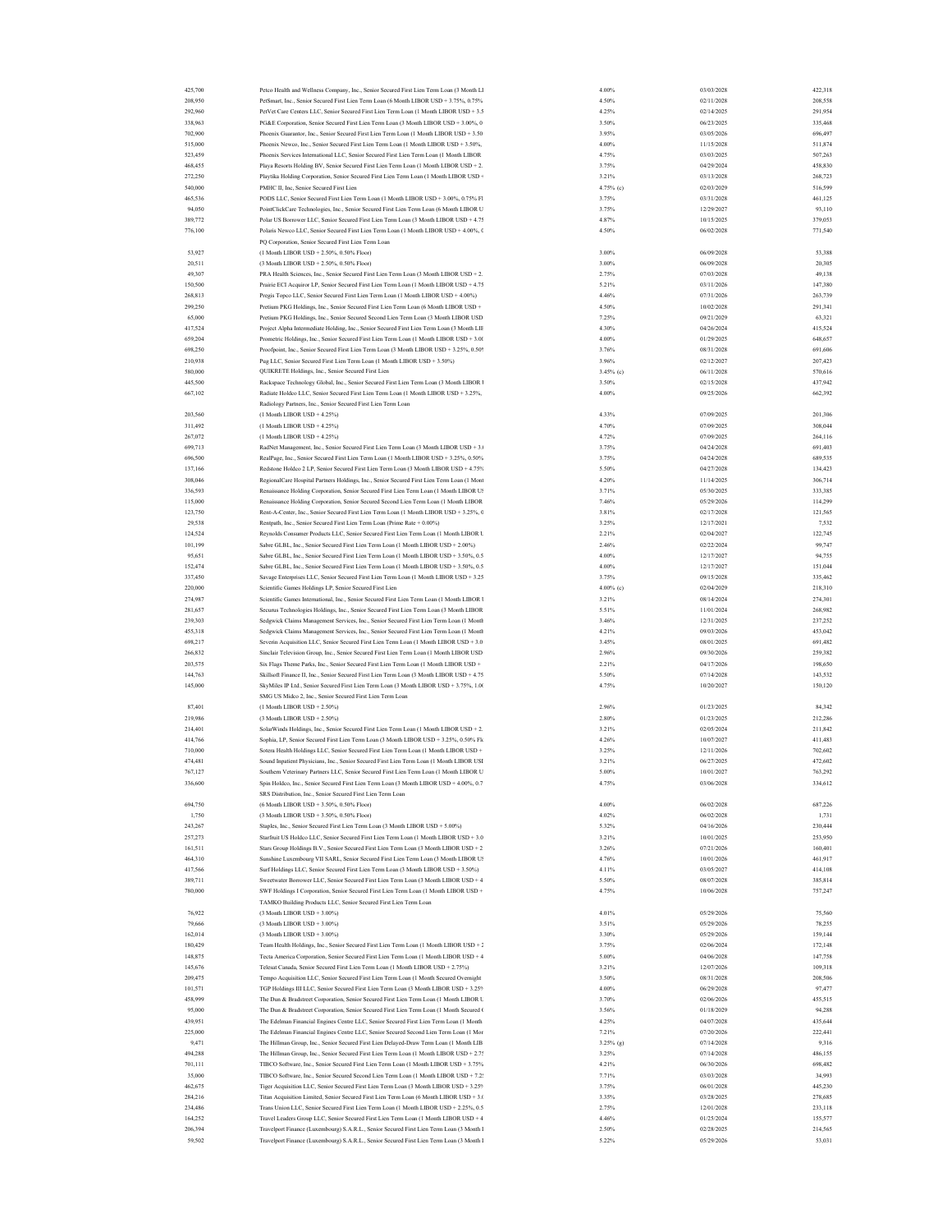| 425,700 | Petco Health and Wellness Company, Inc., Senior Secured First Lien Term Loan (3 Month Ll   | 4.00%        | 03/03/2028 | 422,318 |
|---------|--------------------------------------------------------------------------------------------|--------------|------------|---------|
|         |                                                                                            |              |            |         |
| 208,950 | PetSmart, Inc., Senior Secured First Lien Term Loan (6 Month LIBOR USD + 3.75%, 0.75%      | 4.50%        | 02/11/2028 | 208,558 |
| 292,960 | PetVet Care Centers LLC, Senior Secured First Lien Term Loan (1 Month LIBOR USD + 3.5      | 4.25%        | 02/14/2025 | 291,954 |
| 338,963 | PG&E Corporation, Senior Secured First Lien Term Loan (3 Month LIBOR USD + 3.00%, 0        | 3.50%        | 06/23/2025 | 335,468 |
| 702.900 | Phoenix Guarantor, Inc., Senior Secured First Lien Term Loan (1 Month LIBOR USD + 3.50     | 3.95%        | 03/05/2026 | 696,497 |
|         |                                                                                            |              |            |         |
| 515,000 | Phoenix Newco, Inc., Senior Secured First Lien Term Loan (1 Month LIBOR USD + 3.50%,       | 4.00%        | 11/15/2028 | 511,874 |
| 523,459 | Phoenix Services International LLC, Senior Secured First Lien Term Loan (1 Month LIBOR     | 4.75%        | 03/03/2025 | 507,263 |
| 468,455 | Playa Resorts Holding BV, Senior Secured First Lien Term Loan (1 Month LIBOR USD + 2.      | 3.75%        | 04/29/2024 | 458,830 |
| 272,250 | Playtika Holding Corporation, Senior Secured First Lien Term Loan (1 Month LIBOR USD +     | 3.21%        | 03/13/2028 | 268,723 |
| 540,000 | PMHC II, Inc, Senior Secured First Lien                                                    | 4.75% (c)    | 02/03/2029 | 516,599 |
|         |                                                                                            |              |            |         |
| 465,536 | PODS LLC, Senior Secured First Lien Term Loan (1 Month LIBOR USD + 3.00%, 0.75% Fl         | 3.75%        | 03/31/2028 | 461,125 |
| 94,050  | PointClickCare Technologies, Inc., Senior Secured First Lien Term Loan (6 Month LIBOR U    | 3.75%        | 12/29/2027 | 93,110  |
| 389,772 | Polar US Borrower LLC, Senior Secured First Lien Term Loan (3 Month LIBOR USD + 4.75       | 4.87%        | 10/15/2025 | 379,053 |
| 776,100 | Polaris Newco LLC, Senior Secured First Lien Term Loan (1 Month LIBOR USD + 4.00%, 0       | 4.50%        | 06/02/2028 | 771,540 |
|         |                                                                                            |              |            |         |
|         | PQ Corporation, Senior Secured First Lien Term Loan                                        |              |            |         |
| 53,927  | (1 Month LIBOR USD + 2.50%, 0.50% Floor)                                                   | 3.00%        | 06/09/2028 | 53,388  |
| 20,511  | (3 Month LIBOR USD + 2.50%, 0.50% Floor)                                                   | 3.00%        | 06/09/2028 | 20,305  |
| 49,307  | PRA Health Sciences, Inc., Senior Secured First Lien Term Loan (3 Month LIBOR USD + 2.     | 2.75%        | 07/03/2028 | 49,138  |
| 150,500 | Prairie ECI Acquiror LP, Senior Secured First Lien Term Loan (1 Month LIBOR USD + 4.75     | 5.21%        | 03/11/2026 | 147,380 |
|         |                                                                                            |              |            |         |
| 268,813 | Pregis Topco LLC, Senior Secured First Lien Term Loan (1 Month LIBOR USD + 4.00%)          | 4.46%        | 07/31/2026 | 263,739 |
| 299,250 | Pretium PKG Holdings, Inc., Senior Secured First Lien Term Loan (6 Month LIBOR USD +       | 4.50%        | 10/02/2028 | 291,341 |
| 65,000  | Pretium PKG Holdings, Inc., Senior Secured Second Lien Term Loan (3 Month LIBOR USD        | 7.25%        | 09/21/2029 | 63,321  |
| 417,524 | Project Alpha Intermediate Holding, Inc., Senior Secured First Lien Term Loan (3 Month LIF | 4.30%        | 04/26/2024 | 415,524 |
| 659.204 |                                                                                            | 4.00%        | 01/29/2025 |         |
|         | Prometric Holdings, Inc., Senior Secured First Lien Term Loan (1 Month LIBOR USD + 3.00    |              |            | 648,657 |
| 698.250 | Proofpoint, Inc., Senior Secured First Lien Term Loan (3 Month LIBOR USD + 3.25%, 0.509    | 3.76%        | 08/31/2028 | 691,606 |
| 210,938 | Pug LLC, Senior Secured First Lien Term Loan (1 Month LIBOR USD + 3.50%)                   | 3.96%        | 02/12/2027 | 207,423 |
| 580,000 | QUIKRETE Holdings, Inc., Senior Secured First Lien                                         | $3.45\%$ (c) | 06/11/2028 | 570,616 |
| 445,500 | Rackspace Technology Global, Inc., Senior Secured First Lien Term Loan (3 Month LIBOR 1    | 3.50%        | 02/15/2028 | 437,942 |
|         |                                                                                            |              |            |         |
| 667,102 | Radiate Holdco LLC, Senior Secured First Lien Term Loan (1 Month LIBOR USD + 3.25%,        | 4.00%        | 09/25/2026 | 662,392 |
|         | Radiology Partners, Inc., Senior Secured First Lien Term Loan                              |              |            |         |
| 203,560 | $(1 \text{ Month LIBOR USD} + 4.25%)$                                                      | 4.33%        | 07/09/2025 | 201,306 |
| 311,492 | (1 Month LIBOR USD + 4.25%)                                                                | 4.70%        | 07/09/2025 | 308,044 |
|         |                                                                                            |              |            |         |
| 267,072 | (1 Month LIBOR USD + 4.25%)                                                                | 4.72%        | 07/09/2025 | 264,116 |
| 699,713 | RadNet Management, Inc., Senior Secured First Lien Term Loan (3 Month LIBOR USD + 3.       | 3.75%        | 04/24/2028 | 691,403 |
| 696,500 | RealPage, Inc., Senior Secured First Lien Term Loan (1 Month LIBOR USD + 3.25%, 0.50%      | 3.75%        | 04/24/2028 | 689,535 |
| 137,166 | Redstone Holdco 2 LP, Senior Secured First Lien Term Loan (3 Month LIBOR USD + 4.75%       | 5.50%        | 04/27/2028 | 134,423 |
|         |                                                                                            |              |            |         |
| 308,046 | RegionalCare Hospital Partners Holdings, Inc., Senior Secured First Lien Term Loan (1 Mont | 4.20%        | 11/14/2025 | 306,714 |
| 336,593 | Renaissance Holding Corporation, Senior Secured First Lien Term Loan (1 Month LIBOR U!     | 3.71%        | 05/30/2025 | 333,385 |
| 115,000 | Renaissance Holding Corporation, Senior Secured Second Lien Term Loan (1 Month LIBOR       | 7.46%        | 05/29/2026 | 114,299 |
| 123,750 | Rent-A-Center, Inc., Senior Secured First Lien Term Loan (1 Month LIBOR USD + 3.25%, 0     | 3.81%        | 02/17/2028 | 121,565 |
| 29,538  |                                                                                            |              | 12/17/2021 |         |
|         | Rentpath, Inc., Senior Secured First Lien Term Loan (Prime Rate + 0.00%)                   | 3.25%        |            | 7,532   |
| 124,524 | Reynolds Consumer Products LLC, Senior Secured First Lien Term Loan (1 Month LIBOR L       | 2.21%        | 02/04/2027 | 122,745 |
| 101,199 | Sabre GLBL, Inc., Senior Secured First Lien Term Loan (1 Month LIBOR USD + 2.00%)          | 2.46%        | 02/22/2024 | 99,747  |
| 95,651  | Sabre GLBL, Inc., Senior Secured First Lien Term Loan (1 Month LIBOR USD + 3.50%, 0.5      | 4.00%        | 12/17/2027 | 94,755  |
| 152,474 | Sabre GLBL, Inc., Senior Secured First Lien Term Loan (1 Month LIBOR USD + 3.50%, 0.5      | 4.00%        | 12/17/2027 | 151,044 |
|         |                                                                                            |              |            |         |
| 337,450 | Savage Enterprises LLC, Senior Secured First Lien Term Loan (1 Month LIBOR USD + 3.25      | 3.75%        | 09/15/2028 | 335,462 |
| 220,000 | Scientific Games Holdings LP, Senior Secured First Lien                                    | 4.00% (c)    | 02/04/2029 | 218,310 |
| 274,987 | Scientific Games International, Inc., Senior Secured First Lien Term Loan (1 Month LIBOR 1 | 3.21%        | 08/14/2024 | 274,301 |
| 281.657 | Securus Technologies Holdings, Inc., Senior Secured First Lien Term Loan (3 Month LIBOR    | 5.51%        | 11/01/2024 | 268,982 |
| 239,303 | Sedgwick Claims Management Services, Inc., Senior Secured First Lien Term Loan (1 Month    | 3.46%        | 12/31/2025 | 237,252 |
|         |                                                                                            |              |            |         |
| 455,318 | Sedgwick Claims Management Services, Inc., Senior Secured First Lien Term Loan (1 Month    | 4.21%        | 09/03/2026 | 453,042 |
| 698.217 | Severin Acquisition LLC, Senior Secured First Lien Term Loan (1 Month LIBOR USD + 3.0      | 3.45%        | 08/01/2025 | 691,482 |
| 266,832 | Sinclair Television Group, Inc., Senior Secured First Lien Term Loan (1 Month LIBOR USD    | 2.96%        | 09/30/2026 | 259,382 |
| 203,575 | Six Flags Theme Parks, Inc., Senior Secured First Lien Term Loan (1 Month LIBOR USD +      | 2.21%        | 04/17/2026 | 198,650 |
|         |                                                                                            |              |            |         |
| 144,763 | Skillsoft Finance II, Inc., Senior Secured First Lien Term Loan (3 Month LIBOR USD + 4.75  | 5.50%        | 07/14/2028 | 143,532 |
| 145,000 | SkyMiles IP Ltd., Senior Secured First Lien Term Loan (3 Month LIBOR USD + 3.75%, 1.00     | 4.75%        | 10/20/2027 | 150,120 |
|         | SMG US Midco 2, Inc., Senior Secured First Lien Term Loan                                  |              |            |         |
| 87,401  | $(1 \text{ Month LIBOR USD} + 2.50\%)$                                                     | 2.96%        | 01/23/2025 | 84,342  |
|         |                                                                                            |              |            |         |
| 219,986 | (3 Month LIBOR USD + 2.50%)                                                                | 2.80%        | 01/23/2025 | 212,286 |
| 214,401 | SolarWinds Holdings, Inc., Senior Secured First Lien Term Loan (1 Month LIBOR USD + 2.     | 3.21%        | 02/05/2024 | 211,842 |
| 414,766 | Sophia, LP, Senior Secured First Lien Term Loan (3 Month LIBOR USD + 3.25%, 0.50% Fk       | 4.26%        | 10/07/2027 | 411,483 |
| 710,000 | Sotera Health Holdings LLC, Senior Secured First Lien Term Loan (1 Month LIBOR USD +       | 3.25%        | 12/11/2026 | 702,602 |
| 474.481 | Sound Inpatient Physicians, Inc., Senior Secured First Lien Term Loan (1 Month LIBOR USI   | 3.21%        | 06/27/2025 | 472,602 |
|         |                                                                                            |              |            |         |
| 767,127 | Southern Veterinary Partners LLC, Senior Secured First Lien Term Loan (1 Month LIBOR U     | 5.00%        | 10/01/2027 | 763,292 |
| 336.600 | in Holden, Inc., Senior Secured First Lien Term Loan (3 Month LIBOR USD + 4.00%, 0.7       | 4.75%        | 03/06/2028 | 334,612 |
|         | SRS Distribution, Inc., Senior Secured First Lien Term Loan                                |              |            |         |
| 694,750 | (6 Month LIBOR USD + 3.50%, 0.50% Floor)                                                   | 4.00%        | 06/02/2028 | 687,226 |
|         | (3 Month LIBOR USD + 3.50%, 0.50% Floor)                                                   | 4.02%        | 06/02/2028 | 1,731   |
| 1,750   |                                                                                            |              |            |         |
| 243,267 | Staples, Inc., Senior Secured First Lien Term Loan (3 Month LIBOR USD + 5.00%)             | 5.32%        | 04/16/2026 | 230,444 |
| 257,273 | Starfruit US Holdco LLC, Senior Secured First Lien Term Loan (1 Month LIBOR USD + 3.0      | 3.21%        | 10/01/2025 | 253,950 |
| 161,511 | Stars Group Holdings B.V., Senior Secured First Lien Term Loan (3 Month LIBOR USD + 2      | 3.26%        | 07/21/2026 | 160,401 |
| 464,310 | Sunshine Luxembourg VII SARL, Senior Secured First Lien Term Loan (3 Month LIBOR US        | 4.76%        | 10/01/2026 | 461,917 |
| 417,566 | Surf Holdings LLC, Senior Secured First Lien Term Loan (3 Month LIBOR USD + 3.50%)         | 4.11%        | 03/05/2027 | 414,108 |
| 389.711 |                                                                                            | 5.50%        | 08/07/2028 |         |
|         | Sweetwater Borrower LLC, Senior Secured First Lien Term Loan (3 Month LIBOR USD + 4        |              |            | 385,814 |
| 780,000 | SWF Holdings I Corporation, Senior Secured First Lien Term Loan (1 Month LIBOR USD +       | 4.75%        | 10/06/2028 | 757,247 |
|         | TAMKO Building Products LLC, Senior Secured First Lien Term Loan                           |              |            |         |
| 76.922  | (3 Month LIBOR USD + 3 00%)                                                                | 4.01%        | 05/29/2026 | 75,560  |
| 79,666  | (3 Month LIBOR USD + 3.00%)                                                                | 3.51%        | 05/29/2026 | 78,255  |
|         |                                                                                            |              |            |         |
| 162,014 | (3 Month LIBOR USD + 3.00%)                                                                | 3.30%        | 05/29/2026 | 159,144 |
| 180,429 | Team Health Holdings, Inc., Senior Secured First Lien Term Loan (1 Month LIBOR USD + 2     | 3.75%        | 02/06/2024 | 172,148 |
| 148,875 | Tecta America Corporation, Senior Secured First Lien Term Loan (1 Month LIBOR USD + 4      | 5.00%        | 04/06/2028 | 147,758 |
| 145,676 | Telesat Canada, Senior Secured First Lien Term Loan (1 Month LIBOR USD + 2.75%)            | 3.21%        | 12/07/2026 | 109,318 |
| 209,475 | Tempo Acquisition LLC, Senior Secured First Lien Term Loan (1 Month Secured Overnight      | 3.50%        | 08/31/2028 | 208,506 |
|         |                                                                                            |              |            |         |
| 101,571 | TGP Holdings III LLC, Senior Secured First Lien Term Loan (3 Month LIBOR USD + 3.25%       | 4.00%        | 06/29/2028 | 97,477  |
| 458,999 | The Dun & Bradstreet Corporation, Senior Secured First Lien Term Loan (1 Month LIBOR U     | 3.70%        | 02/06/2026 | 455,515 |
| 95,000  | The Dun & Bradstreet Corporation, Senior Secured First Lien Term Loan (1 Month Secured 0   | 3.56%        | 01/18/2029 | 94,288  |
| 439,951 | The Edelman Financial Engines Centre LLC, Senior Secured First Lien Term Loan (1 Month     | 4.25%        | 04/07/2028 | 435,644 |
| 225,000 |                                                                                            | 7.21%        | 07/20/2026 |         |
|         | The Edelman Financial Engines Centre LLC, Senior Secured Second Lien Term Loan (1 Mor      |              |            | 222,441 |
| 9,471   | The Hillman Group, Inc., Senior Secured First Lien Delayed-Draw Term Loan (1 Month LIB     | $3.25\%$ (g) | 07/14/2028 | 9,316   |
| 494,288 | The Hillman Group, Inc., Senior Secured First Lien Term Loan (1 Month LIBOR USD + 2.7:     | 3.25%        | 07/14/2028 | 486,155 |
| 701.111 | TIBCO Software, Inc., Senior Secured First Lien Term Loan (1 Month LIBOR USD + 3.75%       | 4.21%        | 06/30/2026 | 698,482 |
| 35,000  | TIBCO Software, Inc., Senior Secured Second Lien Term Loan (1 Month LIBOR USD + 7.2:       | 7.71%        | 03/03/2028 | 34,993  |
|         |                                                                                            |              |            |         |
| 462,675 | Tiger Acquisition LLC, Senior Secured First Lien Term Loan (3 Month LIBOR USD + 3.25%      | 3.75%        | 06/01/2028 | 445,230 |
| 284,216 | Titan Acquisition Limited, Senior Secured First Lien Term Loan (6 Month LIBOR USD + 3.0)   | 3.35%        | 03/28/2025 | 278,685 |
| 234,486 | Trans Union LLC, Senior Secured First Lien Term Loan (1 Month LIBOR USD + 2.25%, 0.5       | 2.75%        | 12/01/2028 | 233,118 |
| 164,252 | Travel Leaders Group LLC, Senior Secured First Lien Term Loan (1 Month LIBOR USD + 4       | 4.46%        | 01/25/2024 | 155,577 |
| 206,394 | Travelport Finance (Luxembourg) S.A.R.L., Senior Secured First Lien Term Loan (3 Month I   | 2.50%        | 02/28/2025 | 214,565 |
| 59,502  | Travelport Finance (Luxembourg) S.A.R.L., Senior Secured First Lien Term Loan (3 Month I   | 5.22%        | 05/29/2026 |         |
|         |                                                                                            |              |            | 53,031  |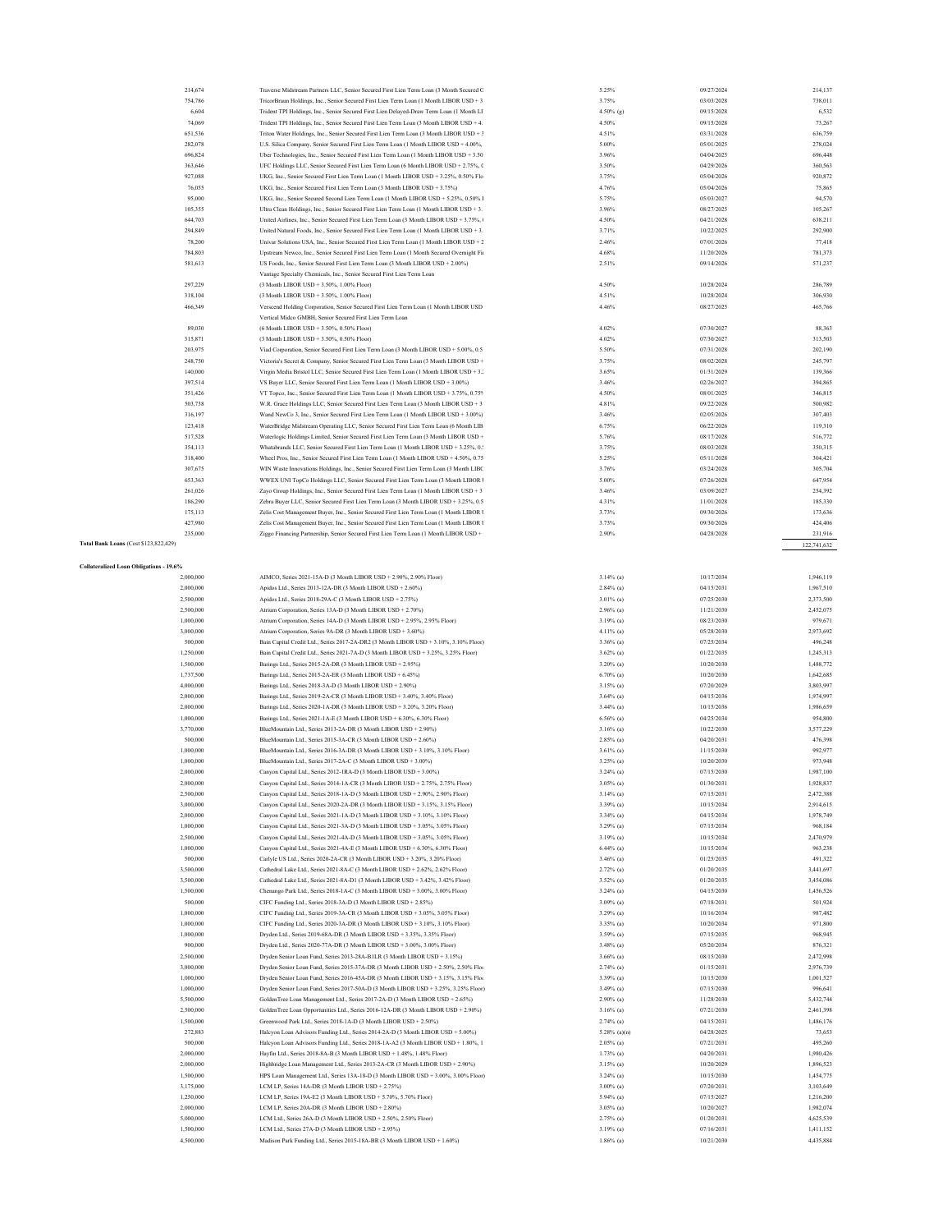|                                                | 214,674   | Traverse Midstream Partners LLC, Senior Secured First Lien Term Loan (3 Month Secured C  | 5.25%        | 09/27/2024 |                    |
|------------------------------------------------|-----------|------------------------------------------------------------------------------------------|--------------|------------|--------------------|
|                                                | 754,786   | TricorBraun Holdings, Inc., Senior Secured First Lien Term Loan (1 Month LIBOR USD + 3   | 3.75%        | 03/03/2028 | 214,137<br>738,011 |
|                                                | 6,604     | Trident TPI Holdings, Inc., Senior Secured First Lien Delayed-Draw Term Loan (1 Month LI | 4.50% (g)    | 09/15/2028 | 6,532              |
|                                                | 74,069    | Trident TPI Holdings, Inc., Senior Secured First Lien Term Loan (3 Month LIBOR USD + 4   | 4.50%        | 09/15/2028 | 73,267             |
|                                                | 651,536   | Triton Water Holdings, Inc., Senior Secured First Lien Term Loan (3 Month LIBOR USD + 3  | 4.51%        | 03/31/2028 | 636,759            |
|                                                | 282,078   |                                                                                          | 5.00%        | 05/01/2025 | 278,024            |
|                                                | 696,824   | U.S. Silica Company, Senior Secured First Lien Term Loan (1 Month LIBOR USD + 4.00%,     | 3.96%        | 04/04/2025 | 696,448            |
|                                                |           | Uber Technologies, Inc., Senior Secured First Lien Term Loan (1 Month LIBOR USD + 3.50   |              |            |                    |
|                                                | 363,646   | UFC Holdings LLC, Senior Secured First Lien Term Loan (6 Month LIBOR USD + 2.75%, 0      | 3.50%        | 04/29/2026 | 360,563            |
|                                                | 927,088   | UKG, Inc., Senior Secured First Lien Term Loan (1 Month LIBOR USD + 3.25%, 0.50% Flo     | 3.75%        | 05/04/2026 | 920,872            |
|                                                | 76,055    | UKG, Inc., Senior Secured First Lien Term Loan (3 Month LIBOR USD + 3.75%)               | 4.76%        | 05/04/2026 | 75,865             |
|                                                | 95,000    | UKG, Inc., Senior Secured Second Lien Term Loan (1 Month LIBOR USD + 5.25%, 0.50% I      | 5.75%        | 05/03/2027 | 94,570             |
|                                                | 105,355   | Ultra Clean Holdings, Inc., Senior Secured First Lien Term Loan (1 Month LIBOR USD + 3.  | 3.96%        | 08/27/2025 | 105,267            |
|                                                | 644,703   | United Airlines, Inc., Senior Secured First Lien Term Loan (3 Month LIBOR USD + 3.75%,   | 4.50%        | 04/21/2028 | 638,211            |
|                                                | 294,849   | United Natural Foods, Inc., Senior Secured First Lien Term Loan (1 Month LIBOR USD + 3.  | 3.71%        | 10/22/2025 | 292,900            |
|                                                | 78,200    | Univar Solutions USA, Inc., Senior Secured First Lien Term Loan (1 Month LIBOR USD + 2   | 2.46%        | 07/01/2026 | 77,418             |
|                                                | 784,803   | Upstream Newco, Inc., Senior Secured First Lien Term Loan (1 Month Secured Overnight Fir | 4.68%        | 11/20/2026 | 781,373            |
|                                                | 581,613   | US Foods, Inc., Senior Secured First Lien Term Loan (3 Month LIBOR USD + 2.00%)          | 2.51%        | 09/14/2026 | 571,237            |
|                                                |           | Vantage Specialty Chemicals, Inc., Senior Secured First Lien Term Loan                   |              |            |                    |
|                                                |           |                                                                                          | 4.50%        |            |                    |
|                                                | 297,229   | (3 Month LIBOR USD + 3.50%, 1.00% Floor)                                                 |              | 10/28/2024 | 286,789            |
|                                                | 318,104   | (3 Month LIBOR USD + 3.50%, 1.00% Floor)                                                 | 4.51%        | 10/28/2024 | 306,930            |
|                                                | 466,349   | Verseend Holding Corporation, Senior Secured First Lien Term Loan (1 Month LIBOR USD     | 4.46%        | 08/27/2025 | 465,766            |
|                                                |           | Vertical Midco GMBH, Senior Secured First Lien Term Loan                                 |              |            |                    |
|                                                | 89,030    | (6 Month LIBOR USD + 3.50%, 0.50% Floor)                                                 | 4.02%        | 07/30/2027 | 88,363             |
|                                                | 315,871   | (3 Month LIBOR USD + 3.50%, 0.50% Floor)                                                 | 4.02%        | 07/30/2027 | 313,503            |
|                                                | 203,975   | Viad Corporation, Senior Secured First Lien Term Loan (3 Month LIBOR USD + 5.00%, 0.5    | 5.50%        | 07/31/2028 | 202,190            |
|                                                | 248,750   | Victoria's Secret & Company, Senior Secured First Lien Term Loan (3 Month LIBOR USD +    | 3.75%        | 08/02/2028 | 245,797            |
|                                                | 140,000   | Virgin Media Bristol LLC, Senior Secured First Lien Term Loan (1 Month LIBOR USD + 3.    | 3.65%        | 01/31/2029 | 139,366            |
|                                                | 397,514   | VS Buyer LLC, Senior Secured First Lien Term Loan (1 Month LIBOR USD + 3.00%)            | 3.46%        | 02/26/2027 | 394,865            |
|                                                | 351,426   | VT Topco, Inc., Senior Secured First Lien Term Loan (1 Month LIBOR USD + 3.75%, 0.75%    | 4.50%        | 08/01/2025 | 346,815            |
|                                                | 503,738   | W.R. Grace Holdings LLC, Senior Secured First Lien Term Loan (3 Month LIBOR USD + 3      | 4.81%        | 09/22/2028 | 500,982            |
|                                                |           | Wand NewCo 3, Inc., Senior Secured First Lien Term Loan (1 Month LIBOR USD + 3.00%)      | 3.46%        | 02/05/2026 | 307,403            |
|                                                | 316,197   |                                                                                          |              |            |                    |
|                                                | 123,418   | WaterBridge Midstream Operating LLC, Senior Secured First Lien Term Loan (6 Month LIB    | 6.75%        | 06/22/2026 | 119,310            |
|                                                | 517,528   | Waterlogic Holdings Limited, Senior Secured First Lien Term Loan (3 Month LIBOR USD +    | 5.76%        | 08/17/2028 | 516,772            |
|                                                | 354,113   | Whatabrands LLC, Senior Secured First Lien Term Loan (1 Month LIBOR USD + 3.25%, 0.:     | 3.75%        | 08/03/2028 | 350,315            |
|                                                | 318,400   | Wheel Pros, Inc., Senior Secured First Lien Term Loan (1 Month LIBOR USD + 4.50%, 0.75   | 5.25%        | 05/11/2028 | 304,421            |
|                                                | 307,675   | WIN Waste Innovations Holdings, Inc., Senior Secured First Lien Term Loan (3 Month LIBC  | 3.76%        | 03/24/2028 | 305,704            |
|                                                | 653,363   | WWEX UNI TopCo Holdings LLC, Senior Secured First Lien Term Loan (3 Month LIBOR 1        | 5.00%        | 07/26/2028 | 647,954            |
|                                                | 261,026   | Zayo Group Holdings, Inc., Senior Secured First Lien Term Loan (1 Month LIBOR USD + 3    | 3.46%        | 03/09/2027 | 254,392            |
|                                                | 186,290   | Zebra Buyer LLC, Senior Secured First Lien Term Loan (3 Month LIBOR USD + 3.25%, 0.5     | 4.31%        | 11/01/2028 | 185,330            |
|                                                | 175,113   | Zelis Cost Management Buyer, Inc., Senior Secured First Lien Term Loan (1 Month LIBOR 1  | 3.73%        | 09/30/2026 | 173,636            |
|                                                | 427,980   | Zelis Cost Management Buyer, Inc., Senior Secured First Lien Term Loan (1 Month LIBOR 1  | 3.73%        | 09/30/2026 | 424,406            |
|                                                | 235,000   | Ziggo Financing Partnership, Senior Secured First Lien Term Loan (1 Month LIBOR USD +    | 2.90%        | 04/28/2028 | 231,916            |
| Total Bank Loans (Cost \$123,822,429)          |           |                                                                                          |              |            | 122,741,632        |
|                                                |           |                                                                                          |              |            |                    |
|                                                |           |                                                                                          |              |            |                    |
| <b>Collateralized Loan Obligations - 19.6%</b> |           |                                                                                          |              |            |                    |
|                                                | 2,000,000 | AIMCO, Series 2021-15A-D (3 Month LIBOR USD + 2.90%, 2.90% Floor)                        | $3.14%$ (a)  | 10/17/2034 | 1,946,119          |
|                                                | 2,000,000 | Apidos Ltd., Series 2013-12A-DR (3 Month LIBOR USD + 2.60%)                              | $2.84\%$ (a) | 04/15/2031 | 1,967,510          |
|                                                | 2,500,000 | Apidos Ltd., Series 2018-29A-C (3 Month LIBOR USD + 2.75%)                               | $3.01\%$ (a) | 07/25/2030 | 2,373,500          |
|                                                | 2,500,000 | Atrium Corporation, Series 13A-D (3 Month LIBOR USD + 2.70%)                             | $2.96\%$ (a) | 11/21/2030 | 2,452,075          |
|                                                | 1,000,000 | Atrium Corporation, Series 14A-D (3 Month LIBOR USD + 2.95%, 2.95% Floor)                | 3.19% (a)    | 08/23/2030 | 979,671            |
|                                                | 3,000,000 | Atrium Corporation, Series 9A-DR (3 Month LIBOR USD + 3.60%)                             | 4.11% (a)    | 05/28/2030 | 2,973,692          |
|                                                | 500,000   | Bain Capital Credit Ltd., Series 2017-2A-DR2 (3 Month LIBOR USD + 3.10%, 3.10% Floor)    | 3.36% (a)    | 07/25/2034 | 496,248            |
|                                                | 1,250,000 | Bain Capital Credit Ltd., Series 2021-7A-D (3 Month LIBOR USD + 3.25%, 3.25% Floor)      | $3.62\%$ (a) | 01/22/2035 | 1,245,313          |
|                                                | 1,500,000 | Barings Ltd., Series 2015-2A-DR (3 Month LIBOR USD + 2.95%)                              | 3.20% (a)    | 10/20/2030 | 1,488,772          |
|                                                | 1,737,500 | Barings Ltd., Series 2015-2A-ER (3 Month LIBOR USD + 6.45%)                              | $6.70\%$ (a) | 10/20/2030 | 1,642,685          |
|                                                | 4,000,000 | Barings Ltd., Series 2018-3A-D (3 Month LIBOR USD + 2.90%)                               | $3.15\%$ (a) | 07/20/2029 | 3,803,997          |
|                                                | 2,000,000 | Barings Ltd., Series 2019-2A-CR (3 Month LIBOR USD + 3.40%, 3.40% Floor)                 | $3.64\%$ (a) | 04/15/2036 | 1.974.997          |
|                                                |           | Barings Ltd., Series 2020-1A-DR (3 Month LIBOR USD + 3.20%, 3.20% Floor)                 |              |            |                    |
|                                                | 2,000,000 |                                                                                          | $3.44%$ (a)  | 10/15/2036 | 1,986,659          |
|                                                | 1,000,000 | Barings Ltd., Series 2021-1A-E (3 Month LIBOR USD + 6.30%, 6.30% Floor)                  | $6.56\%$ (a) | 04/25/2034 | 954,800            |
|                                                | 3,770,000 |                                                                                          |              |            |                    |
|                                                |           | BlueMountain Ltd., Series 2013-2A-DR (3 Month LIBOR USD + 2.90%)                         | $3.16%$ (a)  | 10/22/2030 | 3,577,229          |
|                                                | 500,000   | BlueMountain Ltd., Series 2015-3A-CR (3 Month LIBOR USD + 2.60%)                         | $2.85\%$ (a) | 04/20/2031 | 476,398            |
|                                                | 1,000,000 | BlueMountain Ltd., Series 2016-3A-DR (3 Month LIBOR USD + 3.10%, 3.10% Floor)            | $3.61\%$ (a) | 11/15/2030 | 992,977            |
|                                                | 1,000,000 | BlueMountain Ltd., Series 2017-2A-C (3 Month LIBOR USD + 3.00%)                          | 3.25% (a)    | 10/20/2030 | 973,948            |
|                                                | 2,000,000 | Canyon Capital Ltd., Series 2012-1RA-D (3 Month LIBOR USD + 3.00%)                       | $3.24\%$ (a) | 07/15/2030 | 1,987,100          |
|                                                | 2,000,000 | Canyon Capital Ltd., Series 2014-1A-CR (3 Month LIBOR USD + 2.75%, 2.75% Floor)          | $3.05\%$ (a) | 01/30/2031 | 1,928,837          |
|                                                | 2,500,000 | Canyon Capital Ltd., Series 2018-1A-D (3 Month LIBOR USD + 2.90%, 2.90% Floor)           | $3.14%$ (a)  | 07/15/2031 | 2,472,388          |
|                                                | 3,000,000 | Canyon Capital Ltd., Series 2020-2A-DR (3 Month LIBOR USD + 3.15%, 3.15% Floor)          | 3.39% (a)    | 10/15/2034 | 2,914,615          |
|                                                | 2,000,000 | Canyon Capital Ltd., Series 2021-1A-D (3 Month LIBOR USD + 3.10%, 3.10% Floor)           | 3.34% (a)    | 04/15/2034 | 1,978,749          |
|                                                | 1,000,000 | Canyon Capital Ltd., Series 2021-3A-D (3 Month LIBOR USD + 3.05%, 3.05% Floor)           | 3.29% (a)    | 07/15/2034 | 968,184            |
|                                                | 2,500,000 | Canyon Capital Ltd., Series 2021-4A-D (3 Month LIBOR USD + 3.05%, 3.05% Floor)           | 3.19% (a)    | 10/15/2034 | 2,470,979          |
|                                                | 1,000,000 | Canyon Capital Ltd., Series 2021-4A-E (3 Month LIBOR USD + 6.30%, 6.30% Floor)           | $6.44\%$ (a) | 10/15/2034 | 963,238            |
|                                                |           |                                                                                          |              |            |                    |
|                                                | 500,000   | Carlyle US Ltd., Series 2020-2A-CR (3 Month LIBOR USD + 3.20%, 3.20% Floor)              | 3.46% (a)    | 01/25/2035 | 491,322            |
|                                                | 3,500,000 | Cathedral Lake Ltd., Series 2021-8A-C (3 Month LIBOR USD + 2.62%, 2.62% Floor)           | $2.72%$ (a)  | 01/20/2035 | 3,441,697          |
|                                                | 3,500,000 | Cathedral Lake Ltd., Series 2021-8A-D1 (3 Month LIBOR USD + 3.42%, 3.42% Floor)          | 3.52% (a)    | 01/20/2035 | 3,454,086          |
|                                                | 1,500,000 | Chenango Park Ltd., Series 2018-1A-C (3 Month LIBOR USD + 3.00%, 3.00% Floor)            | $3.24\%$ (a) | 04/15/2030 | 1,456,526          |
|                                                | 500,000   | CIFC Funding Ltd., Series 2018-3A-D (3 Month LIBOR USD + 2.85%)                          | $3.09\%$ (a) | 07/18/2031 | 501,924            |
|                                                | 1,000,000 | CIFC Funding Ltd., Series 2019-3A-CR (3 Month LIBOR USD + 3.05%, 3.05% Floor)            | 3.29% (a)    | 10/16/2034 | 987,482            |
|                                                | 1,000,000 | CIFC Funding Ltd., Series 2020-3A-DR (3 Month LIBOR USD + 3.10%, 3.10% Floor)            | 3.35% (a)    | 10/20/2034 | 971,800            |
|                                                | 1,000,000 | Dryden Ltd., Series 2019-68A-DR (3 Month LIBOR USD + 3.35%, 3.35% Floor)                 | 3.59% (a)    | 07/15/2035 | 968,945            |
|                                                | 900,000   | Dryden Ltd., Series 2020-77A-DR (3 Month LIBOR USD + 3.00%, 3.00% Floor)                 | 3.48% (a)    | 05/20/2034 | 876,321            |
|                                                | 2,500,000 | Dryden Senior Loan Fund, Series 2013-28A-B1LR (3 Month LIBOR USD + 3.15%)                | $3.66\%$ (a) | 08/15/2030 | 2,472,998          |
|                                                | 3,000,000 | Dryden Senior Loan Fund, Series 2015-37A-DR (3 Month LIBOR USD + 2.50%, 2.50% Floo       | $2.74%$ (a)  | 01/15/2031 | 2,976,739          |
|                                                | 1,000,000 | Dryden Senior Loan Fund, Series 2016-45A-DR (3 Month LIBOR USD + 3.15%, 3.15% Floor      | 3.39% (a)    | 10/15/2030 | 1,001,527          |
|                                                | 1,000,000 | Dryden Senior Loan Fund, Series 2017-50A-D (3 Month LIBOR USD + 3.25%, 3.25% Floor)      | 3.49% (a)    | 07/15/2030 | 996,641            |
|                                                | 5,500,000 | GoldenTree Loan Management Ltd., Series 2017-2A-D (3 Month LIBOR USD + 2.65%)            | $2.90\%$ (a) | 11/28/2030 | 5,432,744          |
|                                                |           |                                                                                          |              |            |                    |
|                                                | 2,500,000 | GoldenTree Loan Opportunities Ltd., Series 2016-12A-DR (3 Month LIBOR USD + 2.90%)       | $3.16%$ (a)  | 07/21/2030 | 2,461,398          |
|                                                | 1,500,000 | Greenwood Park Ltd., Series 2018-1A-D (3 Month LIBOR USD + 2.50%)                        | $2.74%$ (a)  | 04/15/2031 | 1,486,176          |
|                                                | 272,883   | Halcyon Loan Advisors Funding Ltd., Series 2014-2A-D (3 Month LIBOR USD + 5.00%)         | 5.28% (a)(n) | 04/28/2025 | 73,653             |
|                                                | 500,000   | Halcyon Loan Advisors Funding Ltd., Series 2018-1A-A2 (3 Month LIBOR USD + 1.80%, 1      | $2.05\%$ (a) | 07/21/2031 | 495,260            |
|                                                | 2,000,000 | Hayfin Ltd., Series 2018-8A-B (3 Month LIBOR USD + 1.48%, 1.48% Floor)                   | $1.73\%$ (a) | 04/20/2031 | 1,980,426          |
|                                                | 2,000,000 | Highbridge Loan Management Ltd., Series 2013-2A-CR (3 Month LIBOR USD + 2.90%)           | 3.15% (a)    | 10/20/2029 | 1,896,523          |
|                                                | 1,500,000 | HPS Loan Management Ltd., Series 13A-18-D (3 Month LIBOR USD + 3.00%, 3.00% Floor)       | $3.24\%$ (a) | 10/15/2030 | 1,454,775          |
|                                                | 3,175,000 | LCM LP, Series 14A-DR (3 Month LIBOR USD + 2.75%)                                        | $3.00\%$ (a) | 07/20/2031 | 3,103,649          |
|                                                | 1,250,000 | LCM LP, Series 19A-E2 (3 Month LIBOR USD + 5.70%, 5.70% Floor)                           | 5.94% (a)    | 07/15/2027 | 1,216,200          |
|                                                | 2,000,000 | LCM LP, Series 20A-DR (3 Month LIBOR USD + 2.80%)                                        | $3.05\%$ (a) | 10/20/2027 | 1,982,074          |
|                                                | 5,000,000 | LCM Ltd., Series 26A-D (3 Month LIBOR USD + 2.50%, 2.50% Floor)                          | 2.75% (a)    | 01/20/2031 | 4,625,539          |
|                                                | 1,500,000 | LCM Ltd., Series 27A-D (3 Month LIBOR USD + 2.95%)                                       | 3.19% (a)    | 07/16/2031 | 1,411,152          |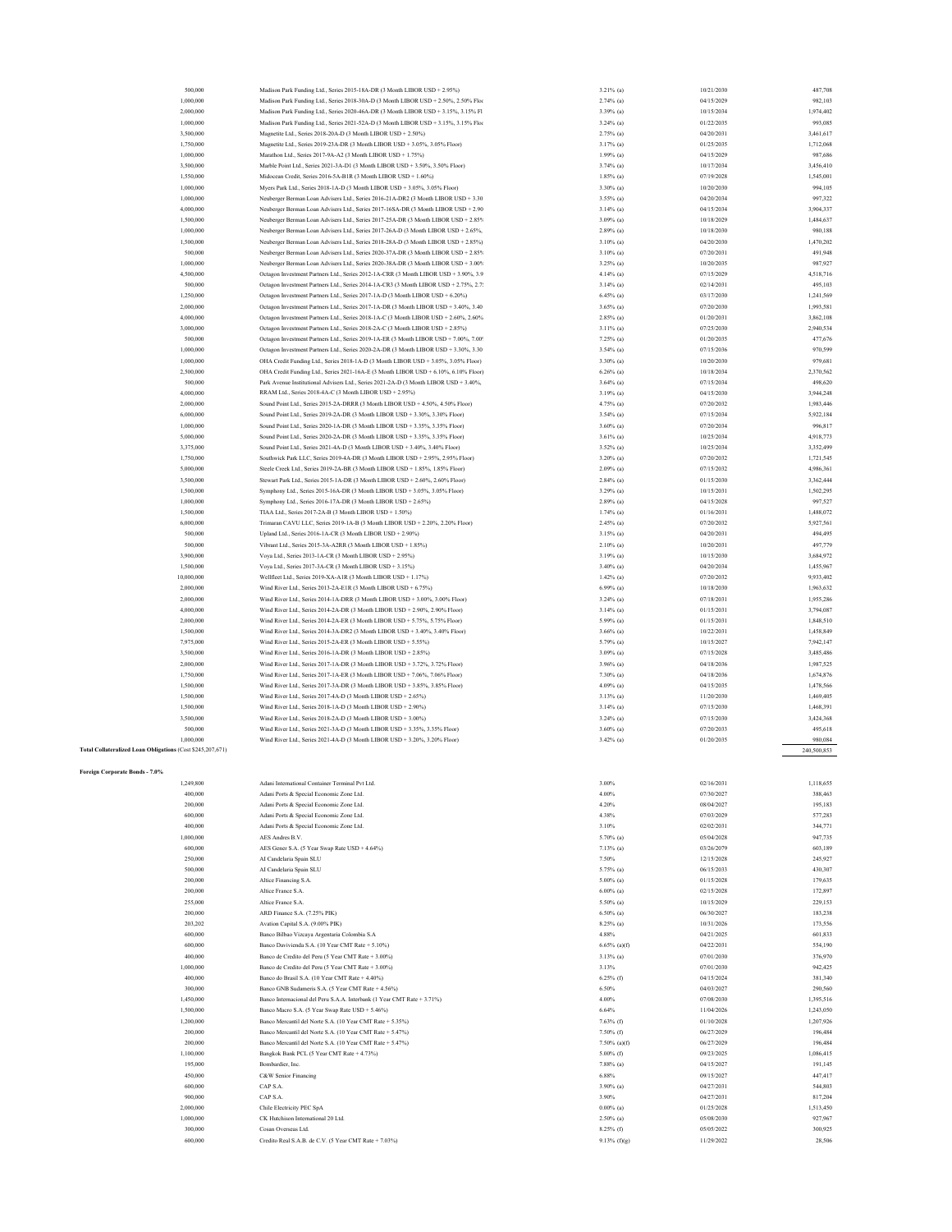| 500,000                                                    | Madison Park Funding Ltd., Series 2015-18A-DR (3 Month LIBOR USD + 2.95%)             | 3.21% (a)          | 10/21/2030               | 487,708     |
|------------------------------------------------------------|---------------------------------------------------------------------------------------|--------------------|--------------------------|-------------|
| 1,000,000                                                  | Madison Park Funding Ltd., Series 2018-30A-D (3 Month LIBOR USD + 2.50%, 2.50% Floo   | $2.74%$ (a)        | 04/15/2029               | 982,103     |
| 2,000,000                                                  | Madison Park Funding Ltd., Series 2020-46A-DR (3 Month LIBOR USD + 3.15%, 3.15% Fl    | 3.39% (a)          | 10/15/2034               | 1,974,402   |
|                                                            |                                                                                       |                    |                          |             |
| 1,000,000                                                  | Madison Park Funding Ltd., Series 2021-52A-D (3 Month LIBOR USD + 3.15%, 3.15% Floo   | $3.24%$ (a)        | 01/22/2035               | 993,085     |
| 3,500,000                                                  | Magnetite Ltd., Series 2018-20A-D (3 Month LIBOR USD + 2.50%)                         | $2.75\%$ (a)       | 04/20/2031               | 3,461,617   |
| 1,750,000                                                  | Magnetite Ltd., Series 2019-23A-DR (3 Month LIBOR USD + 3.05%, 3.05% Floor)           | $3.17%$ (a)        | 01/25/2035               | 1,712,068   |
| 1,000,000                                                  | Marathon Ltd., Series 2017-9A-A2 (3 Month LIBOR USD + 1.75%)                          | $1.99\%$ (a)       | 04/15/2029               | 987,686     |
| 3,500,000                                                  | Marble Point Ltd., Series 2021-3A-D1 (3 Month LIBOR USD + 3.50%, 3.50% Floor)         | $3.74%$ (a)        | 10/17/2034               | 3,456,410   |
| 1,550,000                                                  | Midocean Credit, Series 2016-5A-B1R (3 Month LIBOR USD + 1.60%)                       | $1.85\%$ (a)       | 07/19/2028               | 1,545,001   |
| 1,000,000                                                  | Myers Park Ltd., Series 2018-1A-D (3 Month LIBOR USD + 3.05%, 3.05% Floor)            | 3.30% (a)          | 10/20/2030               | 994,105     |
| 1,000,000                                                  | Neuberger Berman Loan Advisers Ltd., Series 2016-21A-DR2 (3 Month LIBOR USD + 3.30    | 3.55% (a)          | 04/20/2034               | 997,322     |
| 4,000,000                                                  | Neuberger Berman Loan Advisers Ltd., Series 2017-16SA-DR (3 Month LIBOR USD + 2.90    | $3.14%$ (a)        | 04/15/2034               | 3,904,337   |
| 1,500,000                                                  | Neuberger Berman Loan Advisers Ltd., Series 2017-25A-DR (3 Month LIBOR USD + 2.85%    | $3.09\%$ (a)       | 10/18/2029               | 1,484,637   |
| 1,000,000                                                  | Neuberger Berman Loan Advisers Ltd., Series 2017-26A-D (3 Month LIBOR USD + 2.65%,    | $2.89\%$ (a)       | 10/18/2030               | 980,188     |
| 1,500,000                                                  | Neuberger Berman Loan Advisers Ltd., Series 2018-28A-D (3 Month LIBOR USD + 2.85%)    | $3.10\%$ (a)       | 04/20/2030               | 1,470,202   |
| 500,000                                                    | Neuberger Berman Loan Advisers Ltd., Series 2020-37A-DR (3 Month LIBOR USD + 2.85%    | $3.10\%$ (a)       | 07/20/2031               | 491,948     |
| 1,000,000                                                  | Neuberger Berman Loan Advisers Ltd., Series 2020-38A-DR (3 Month LIBOR USD + 3.00%    | 3.25% (a)          | 10/20/2035               | 987,927     |
|                                                            |                                                                                       |                    |                          |             |
| 4,500,000                                                  | Octagon Investment Partners Ltd., Series 2012-1A-CRR (3 Month LIBOR USD + 3.90%, 3.9  | $4.14%$ (a)        | 07/15/2029               | 4,518,716   |
| 500,000                                                    | Octagon Investment Partners Ltd., Series 2014-1A-CR3 (3 Month LIBOR USD + 2.75%, 2.7: | $3.14%$ (a)        | 02/14/2031               | 495,103     |
| 1,250,000                                                  | Octagon Investment Partners Ltd., Series 2017-1A-D (3 Month LIBOR USD + 6.20%)        | $6.45\%$ (a)       | 03/17/2030               | 1,241,569   |
| 2,000,000                                                  | Octagon Investment Partners Ltd., Series 2017-1A-DR (3 Month LIBOR USD + 3.40%, 3.40  | $3.65\%$ (a)       | 07/20/2030               | 1,993,581   |
| 4,000,000                                                  | Octagon Investment Partners Ltd., Series 2018-1A-C (3 Month LIBOR USD + 2.60%, 2.60%  | $2.85\%$ (a)       | 01/20/2031               | 3,862,108   |
| 3,000,000                                                  | Octagon Investment Partners Ltd., Series 2018-2A-C (3 Month LIBOR USD + 2.85%)        | $3.11\%$ (a)       | 07/25/2030               | 2,940,534   |
| 500,000                                                    | Octagon Investment Partners Ltd., Series 2019-1A-ER (3 Month LIBOR USD + 7.00%, 7.00% | $7.25\%$ (a)       | 01/20/2035               | 477,676     |
| 1,000,000                                                  | Octagon Investment Partners Ltd., Series 2020-2A-DR (3 Month LIBOR USD + 3.30%, 3.30  | $3.54\%$ (a)       | 07/15/2036               | 970,599     |
| 1,000,000                                                  | OHA Credit Funding Ltd., Series 2018-1A-D (3 Month LIBOR USD + 3.05%, 3.05% Floor)    | 3.30% (a)          | 10/20/2030               | 979,681     |
| 2,500,000                                                  | OHA Credit Funding Ltd., Series 2021-16A-E (3 Month LIBOR USD + 6.10%, 6.10% Floor)   | $6.26\%$ (a)       | 10/18/2034               | 2,370,562   |
| 500,000                                                    | Park Avenue Institutional Advisers Ltd., Series 2021-2A-D (3 Month LIBOR USD + 3.40%, | $3.64\%$ (a)       | 07/15/2034               | 498,620     |
|                                                            | RRAM Ltd., Series 2018-4A-C (3 Month LIBOR USD + 2.95%)                               |                    |                          |             |
| 4,000,000                                                  |                                                                                       | $3.19%$ (a)        | 04/15/2030               | 3,944,248   |
| 2,000,000                                                  | Sound Point Ltd., Series 2015-2A-DRRR (3 Month LIBOR USD + 4.50%, 4.50% Floor)        | 4.75% (a)          | 07/20/2032               | 1,983,446   |
| 6,000,000                                                  | Sound Point Ltd., Series 2019-2A-DR (3 Month LIBOR USD + 3.30%, 3.30% Floor)          | $3.54\%$ (a)       | 07/15/2034               | 5,922,184   |
| 1,000,000                                                  | Sound Point Ltd., Series 2020-1A-DR (3 Month LIBOR USD + 3.35%, 3.35% Floor)          | $3.60\%$ (a)       | 07/20/2034               | 996,817     |
| 5,000,000                                                  | Sound Point Ltd., Series 2020-2A-DR (3 Month LIBOR USD + 3.35%, 3.35% Floor)          | $3.61\%$ (a)       | 10/25/2034               | 4,918,773   |
| 3,375,000                                                  | Sound Point Ltd., Series 2021-4A-D (3 Month LIBOR USD + 3.40%, 3.40% Floor)           | $3.52\%$ (a)       | 10/25/2034               | 3.352.499   |
| 1,750,000                                                  | Southwick Park LLC, Series 2019-4A-DR (3 Month LIBOR USD + 2.95%, 2.95% Floor)        | 3.20% (a)          | 07/20/2032               | 1,721,545   |
| 5,000,000                                                  | Steele Creek Ltd., Series 2019-2A-BR (3 Month LIBOR USD + 1.85%, 1.85% Floor)         | $2.09\%$ (a)       | 07/15/2032               | 4,986,361   |
| 3,500,000                                                  | Stewart Park Ltd., Series 2015-1A-DR (3 Month LIBOR USD + 2.60%, 2.60% Floor)         | $2.84%$ (a)        | 01/15/2030               | 3,362,444   |
| 1,500,000                                                  | Symphony Ltd., Series 2015-16A-DR (3 Month LIBOR USD + 3.05%, 3.05% Floor)            | 3.29% (a)          | 10/15/2031               | 1,502,295   |
|                                                            | Symphony Ltd., Series 2016-17A-DR (3 Month LIBOR USD + 2.65%)                         |                    |                          |             |
| 1,000,000                                                  |                                                                                       | $2.89\%$ (a)       | 04/15/2028               | 997,527     |
| 1,500,000                                                  | TIAA Ltd., Series 2017-2A-B (3 Month LIBOR USD + 1.50%)                               | $1.74%$ (a)        | 01/16/2031               | 1,488,072   |
| 6,000,000                                                  | Trimaran CAVU LLC, Series 2019-1A-B (3 Month LIBOR USD + 2.20%, 2.20% Floor)          | $2.45\%$ (a)       | 07/20/2032               | 5,927,561   |
| 500,000                                                    | Upland Ltd., Series 2016-1A-CR (3 Month LIBOR USD + 2.90%)                            | $3.15\%$ (a)       | 04/20/2031               | 494,495     |
| 500,000                                                    | Vibrant Ltd., Series 2015-3A-A2RR (3 Month LIBOR USD + 1.85%)                         | $2.10\%$ (a)       | 10/20/2031               | 497,779     |
| 3,900,000                                                  | Voya Ltd., Series 2013-1A-CR (3 Month LIBOR USD + 2.95%)                              | $3.19%$ (a)        | 10/15/2030               | 3,684,972   |
| 1,500,000                                                  | Voya Ltd., Series 2017-3A-CR (3 Month LIBOR USD + 3.15%)                              | 3.40% (a)          | 04/20/2034               | 1,455,967   |
| 10,000,000                                                 | Wellfleet Ltd., Series 2019-XA-A1R (3 Month LIBOR USD + 1.17%)                        | $1.42\%$ (a)       | 07/20/2032               | 9,933,402   |
| 2,000,000                                                  | Wind River Ltd., Series 2013-2A-E1R (3 Month LIBOR USD + 6.75%)                       | $6.99\%$ (a)       | 10/18/2030               | 1,963,632   |
| 2,000,000                                                  | Wind River Ltd., Series 2014-1A-DRR (3 Month LIBOR USD + 3.00%, 3.00% Floor)          | $3.24\%$ (a)       | 07/18/2031               | 1,955,286   |
| 4,000,000                                                  | Wind River Ltd., Series 2014-2A-DR (3 Month LIBOR USD + 2.90%, 2.90% Floor)           | $3.14%$ (a)        | 01/15/2031               | 3,794,087   |
| 2,000,000                                                  | Wind River Ltd., Series 2014-2A-ER (3 Month LIBOR USD + 5.75%, 5.75% Floor)           | 5.99% (a)          | 01/15/2031               | 1,848,510   |
|                                                            |                                                                                       |                    |                          |             |
| 1,500,000                                                  | Wind River Ltd., Series 2014-3A-DR2 (3 Month LIBOR USD + 3.40%, 3.40% Floor)          | $3.66\%$ (a)       | 10/22/2031               | 1,458,849   |
| 7,975,000                                                  | Wind River Ltd., Series 2015-2A-ER (3 Month LIBOR USD + 5.55%)                        | 5.79% (a)          | 10/15/2027               | 7,942,147   |
| 3,500,000                                                  | Wind River Ltd., Series 2016-1A-DR (3 Month LIBOR USD + 2.85%)                        | $3.09\%$ (a)       | 07/15/2028               | 3,485,486   |
| 2,000,000                                                  | Wind River Ltd., Series 2017-1A-DR (3 Month LIBOR USD + 3.72%, 3.72% Floor)           | 3.96% (a)          | 04/18/2036               | 1,987,525   |
| 1,750,000                                                  | Wind River Ltd., Series 2017-1A-ER (3 Month LIBOR USD + 7.06%, 7.06% Floor)           | 7.30% (a)          | 04/18/2036               | 1,674,876   |
| 1,500,000                                                  | Wind River Ltd., Series 2017-3A-DR (3 Month LIBOR USD + 3.85%, 3.85% Floor)           | $4.09\%$ (a)       | 04/15/2035               | 1,478,566   |
| 1,500,000                                                  | Wind River Ltd., Series 2017-4A-D (3 Month LIBOR USD + 2.65%)                         | $3.13\%$ (a)       | 11/20/2030               | 1,469,405   |
| 1,500,000                                                  | Wind River Ltd., Series 2018-1A-D (3 Month LIBOR USD + 2.90%)                         | $3.14%$ (a)        | 07/15/2030               | 1,468,391   |
| 3,500,000                                                  | Wind River Ltd., Series 2018-2A-D (3 Month LIBOR USD + 3.00%)                         | $3.24\%$ (a)       | 07/15/2030               | 3,424,368   |
| 500,000                                                    | Wind River Ltd., Series 2021-3A-D (3 Month LIBOR USD + 3.35%, 3.35% Floor)            | $3.60\%$ (a)       | 07/20/2033               | 495,618     |
| 1,000,000                                                  | Wind River Ltd., Series 2021-4A-D (3 Month LIBOR USD + 3.20%, 3.20% Floor)            | $3.42\%$ (a)       | 01/20/2035               | 980,084     |
| Total Collateralized Loan Obligations (Cost \$245,207,671) |                                                                                       |                    |                          |             |
|                                                            |                                                                                       |                    |                          | 240,500,853 |
|                                                            |                                                                                       |                    |                          |             |
| Foreign Corporate Bonds - 7.0%                             |                                                                                       |                    |                          |             |
| 1,249,800                                                  | Adani International Container Terminal Pvt Ltd.                                       | 3.00%              | 02/16/2031               | 1,118,655   |
| 400,000                                                    | Adani Ports & Special Economic Zone Ltd.                                              | 4.00%              | 07/30/2027               | 388,463     |
| 200,000                                                    | Adani Ports & Special Economic Zone Ltd.                                              | 4.20%              | 08/04/2027               | 195,183     |
| 600,000                                                    | Adani Ports & Special Economic Zone Ltd.                                              | 4.38%              | 07/03/2029               | 577,283     |
| 400,000                                                    | Adani Ports & Special Economic Zone Ltd.                                              | 3.10%              | 02/02/2031               | 344,771     |
| 1,000,000                                                  | AES Andres B.V.                                                                       | $5.70\%$ (a)       | 05/04/2028               | 947,735     |
| 600,000                                                    | AES Gener S.A. (5 Year Swap Rate USD + 4.64%)                                         | $7.13\%$ (a)       | 03/26/2079               | 603,189     |
| 250,000                                                    | AI Candelaria Spain SLU                                                               | 7.50%              | 12/15/2028               | 245,927     |
| 500,000                                                    | AI Candelaria Spain SLU                                                               | 5.75% (a)          | 06/15/2033               | 430,307     |
| 200,000                                                    | Altice Financing S.A.                                                                 | $5.00\%$ (a)       | 01/15/2028               | 179,635     |
| 200,000                                                    | Altice France S.A.                                                                    | $6.00\%$ (a)       | 02/15/2028               | 172,897     |
| 255,000                                                    | Altice France S.A.                                                                    | 5.50% (a)          | 10/15/2029               | 229,153     |
| 200,000                                                    | ARD Finance S.A. (7.25% PIK)                                                          | $6.50\%$ (a)       | 06/30/2027               | 183,238     |
|                                                            | Avation Capital S.A. (9.00% PIK)                                                      |                    |                          | 173,556     |
| 203,202                                                    |                                                                                       | 8.25% (a)<br>4.88% | 10/31/2026<br>04/21/2025 |             |
| 600,000                                                    | Banco Bilbao Vizcaya Argentaria Colombia S.A                                          |                    |                          | 601,833     |
| 600,000                                                    | Banco Davivienda S.A. (10 Year CMT Rate + 5.10%)                                      | $6.65\%$ (a)(f)    | 04/22/2031               | 554,190     |
| 400,000                                                    | Banco de Credito del Peru (5 Year CMT Rate + 3.00%)                                   | $3.13\%$ (a)       | 07/01/2030               | 376,970     |
| 1,000,000                                                  | Banco de Credito del Peru (5 Year CMT Rate + 3.00%)                                   | 3.13%              | 07/01/2030               | 942,425     |
| 400,000                                                    | Banco do Brasil S.A. (10 Year CMT Rate + 4.40%)                                       | $6.25\%$ (f)       | 04/15/2024               | 381,340     |
| 300,000                                                    | Banco GNB Sudameris S.A. (5 Year CMT Rate + 4.56%)                                    | 6.50%              | 04/03/2027               | 290,560     |
| 1,450,000                                                  | Banco Internacional del Peru S.A.A. Interbank (1 Year CMT Rate + 3.71%)               | 4.00%              | 07/08/2030               | 1,395,516   |
| 1,500,000                                                  | Banco Macro S.A. (5 Year Swap Rate USD + 5.46%)                                       | 6.64%              | 11/04/2026               | 1,243,050   |
| 1,200,000                                                  | Banco Mercantil del Norte S.A. (10 Year CMT Rate + 5.35%)                             | $7.63\%$ (f)       | 01/10/2028               | 1,207,926   |
| 200,000                                                    | Banco Mercantil del Norte S.A. (10 Year CMT Rate + 5.47%)                             | 7.50% (f)          | 06/27/2029               | 196,484     |
| 200,000                                                    | Banco Mercantil del Norte S.A. (10 Year CMT Rate + 5.47%)                             | $7.50\%$ (a)(f)    | 06/27/2029               | 196,484     |
| 1,100,000                                                  | Bangkok Bank PCL (5 Year CMT Rate + 4.73%)                                            | $5.00\%$ (f)       | 09/23/2025               | 1,086,415   |
|                                                            |                                                                                       |                    |                          |             |
| 195,000                                                    | Bombardier, Inc.                                                                      | 7.88% (a)          | 04/15/2027               | 191,145     |
| 450,000                                                    |                                                                                       |                    | 09/15/2027               | 447,417     |
| 600,000                                                    | C&W Senior Financing                                                                  | 6.88%              |                          |             |
|                                                            | CAP S.A.                                                                              | 3.90% (a)          | 04/27/2031               | 544,803     |
| 900,000                                                    | CAP S.A.                                                                              | 3.90%              | 04/27/2031               | 817,204     |
| 2,000,000                                                  | Chile Electricity PEC SpA                                                             | $0.00\%$ (a)       | 01/25/2028               | 1,513,450   |
| 1,000,000                                                  | CK Hutchison International 20 Ltd.                                                    | $2.50\%$ (a)       | 05/08/2030               | 927,967     |
| 300,000                                                    | Cosan Overseas Ltd.<br>Credito Real S.A.B. de C.V. (5 Year CMT Rate + 7.03%)          | 8.25% (f)          | 05/05/2022               | 300,925     |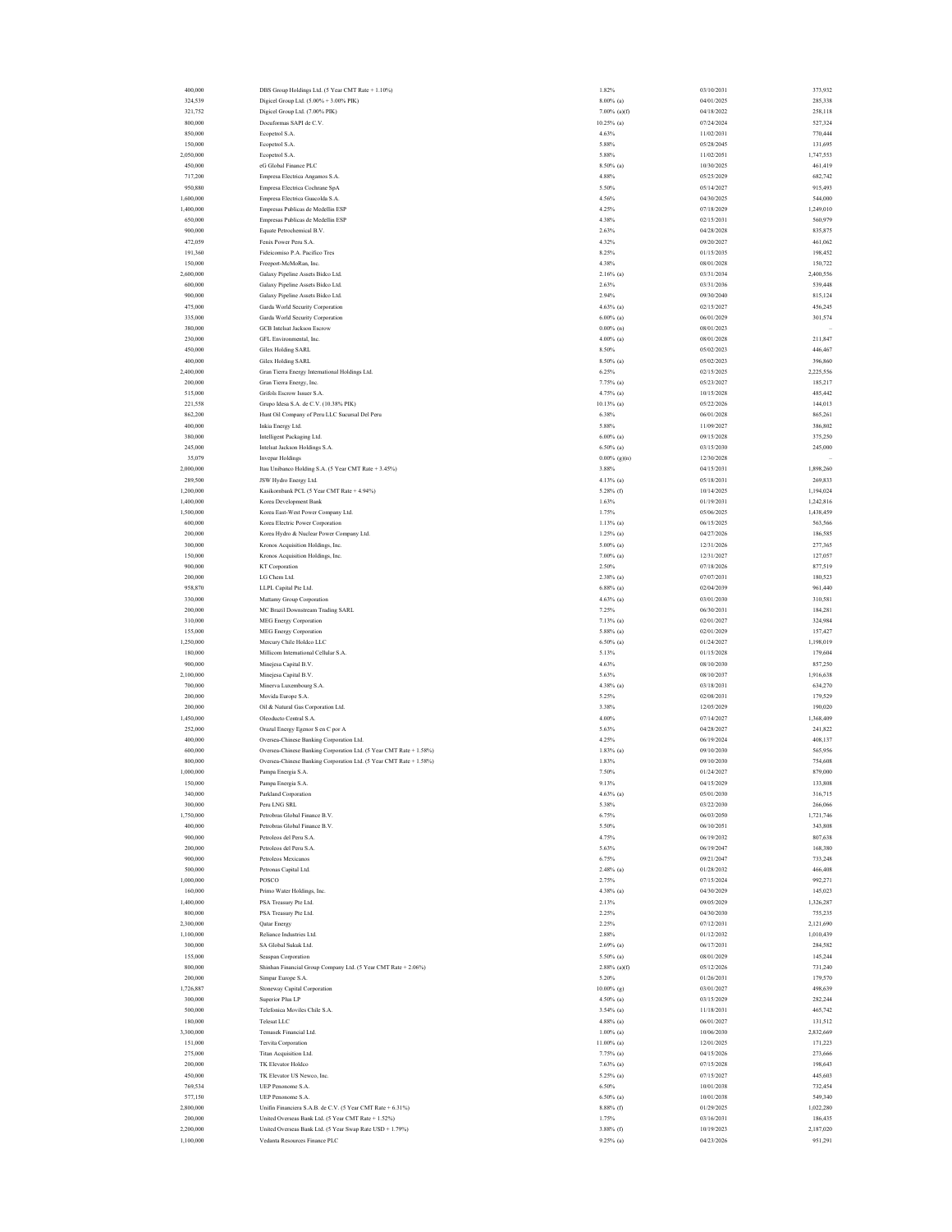| 400,000   | DBS Group Holdings Ltd. (5 Year CMT Rate + 1.10%)                  | 1.82%           | 03/10/2031 | 373,932   |
|-----------|--------------------------------------------------------------------|-----------------|------------|-----------|
| 324,539   | Digicel Group Ltd. (5.00% + 3.00% PIK)                             | $8.00\%$ (a)    | 04/01/2025 | 285,338   |
| 321,752   | Digicel Group Ltd. (7.00% PIK)                                     | $7.00\%$ (a)(f) | 04/18/2022 | 258,118   |
| 800,000   | Docuformas SAPI de C.V.                                            | $10.25\%$ (a)   | 07/24/2024 | 527,324   |
|           |                                                                    |                 |            |           |
| 850,000   | Ecopetrol S.A.                                                     | 4.63%           | 11/02/2031 | 770,444   |
| 150,000   | Ecopetrol S.A.                                                     | 5.88%           | 05/28/2045 | 131,695   |
| 2,050,000 | Ecopetrol S.A.                                                     | 5.88%           | 11/02/2051 | 1,747,553 |
| 450,000   | eG Global Finance PLC                                              | 8.50% (a)       | 10/30/2025 | 461,419   |
| 717,200   | Empresa Electrica Angamos S.A.                                     | 4.88%           | 05/25/2029 | 682,742   |
| 950,880   | Empresa Electrica Cochrane SpA                                     | 5.50%           | 05/14/2027 | 915,493   |
|           |                                                                    |                 |            |           |
| 1,600,000 | Empresa Electrica Guacolda S.A.                                    | 4.56%           | 04/30/2025 | 544,000   |
| 1,400,000 | Empresas Publicas de Medellin ESP                                  | 4.25%           | 07/18/2029 | 1,249,010 |
| 650,000   | Empresas Publicas de Medellin ESP                                  | 4.38%           | 02/15/2031 | 560,979   |
| 900,000   | Equate Petrochemical B.V.                                          | 2.63%           | 04/28/2028 | 835,875   |
| 472,059   | Fenix Power Peru S.A.                                              | 4.32%           | 09/20/2027 | 461,062   |
| 191,360   | Fideicomiso P.A. Pacifico Tres                                     | 8.25%           | 01/15/2035 | 198,452   |
| 150,000   | Freeport-McMoRan, Inc.                                             | 4.38%           | 08/01/2028 | 150,722   |
|           |                                                                    |                 |            |           |
| 2,600,000 | Galaxy Pipeline Assets Bidco Ltd.                                  | $2.16\%$ (a)    | 03/31/2034 | 2,400,556 |
| 600,000   | Galaxy Pipeline Assets Bidco Ltd.                                  | 2.63%           | 03/31/2036 | 539,448   |
| 900,000   | Galaxy Pipeline Assets Bidco Ltd.                                  | 2.94%           | 09/30/2040 | 815,124   |
| 475,000   | Garda World Security Corporation                                   | $4.63\%$ (a)    | 02/15/2027 | 456,245   |
| 335,000   | Garda World Security Corporation                                   | $6.00\%$ (a)    | 06/01/2029 | 301,574   |
| 380,000   | <b>GCB</b> Intelsat Jackson Escrow                                 | $0.00\%$ (n)    | 08/01/2023 |           |
| 230,000   | GFL Environmental, Inc.                                            | $4.00\%$ (a)    | 08/01/2028 | 211,847   |
|           |                                                                    |                 |            |           |
| 450,000   | <b>Gilex Holding SARL</b>                                          | 8.50%           | 05/02/2023 | 446,467   |
| 400,000   | Gilex Holding SARL                                                 | 8.50% (a)       | 05/02/2023 | 396,860   |
| 2,400,000 | Gran Tierra Energy International Holdings Ltd.                     | 6.25%           | 02/15/2025 | 2,225,556 |
| 200,000   | Gran Tierra Energy, Inc.                                           | 7.75% (a)       | 05/23/2027 | 185,217   |
| 515,000   | Grifols Escrow Issuer S.A.                                         | 4.75% (a)       | 10/15/2028 | 485,442   |
| 221,558   | Grupo Idesa S.A. de C.V. (10.38% PIK)                              | $10.13\%$ (a)   | 05/22/2026 | 144,013   |
|           |                                                                    |                 |            |           |
| 862,200   | Hunt Oil Company of Peru LLC Sucursal Del Peru                     | 6.38%           | 06/01/2028 | 865,261   |
| 400,000   | Inkia Energy Ltd.                                                  | 5.88%           | 11/09/2027 | 386,802   |
| 380,000   | Intelligent Packaging Ltd.                                         | $6.00\%$ (a)    | 09/15/2028 | 375,250   |
| 245,000   | Intelsat Jackson Holdings S.A.                                     | $6.50\%$ (a)    | 03/15/2030 | 245,000   |
| 35,079    | <b>Invepar Holdings</b>                                            | $0.00\%$ (g)(n) | 12/30/2028 |           |
| 2,000,000 | Itau Unibanco Holding S.A. (5 Year CMT Rate + 3.45%)               | 3.88%           | 04/15/2031 | 1,898,260 |
|           |                                                                    |                 |            |           |
| 289,500   | JSW Hydro Energy Ltd.                                              | 4.13% (a)       | 05/18/2031 | 269,833   |
| 1,200,000 | Kasikombank PCL (5 Year CMT Rate + 4.94%)                          | $5.28\%$ (f)    | 10/14/2025 | 1,194,024 |
| 1,400,000 | Korea Development Bank                                             | 1.63%           | 01/19/2031 | 1,242,816 |
| 1,500,000 | Korea East-West Power Company Ltd.                                 | 1.75%           | 05/06/2025 | 1,438,459 |
| 600,000   | Korea Electric Power Corporation                                   | $1.13%$ (a)     | 06/15/2025 | 563,566   |
| 200,000   | Korea Hydro & Nuclear Power Company Ltd.                           | $1.25\%$ (a)    | 04/27/2026 | 186,585   |
| 300,000   | Kronos Acquisition Holdings, Inc.                                  | $5.00\%$ (a)    | 12/31/2026 | 277,365   |
|           |                                                                    |                 |            |           |
| 150,000   | Kronos Acquisition Holdings, Inc.                                  | $7.00\%$ (a)    | 12/31/2027 | 127,057   |
| 900,000   | KT Corporation                                                     | 2.50%           | 07/18/2026 | 877,519   |
| 200,000   | LG Chem Ltd.                                                       | $2.38\%$ (a)    | 07/07/2031 | 180,523   |
| 958,870   | LLPL Capital Pte Ltd.                                              | $6.88\%$ (a)    | 02/04/2039 | 961,440   |
| 330,000   | Mattamy Group Corporation                                          | $4.63\%$ (a)    | 03/01/2030 | 310,581   |
| 200,000   | MC Brazil Downstream Trading SARL                                  | 7.25%           | 06/30/2031 | 184,281   |
|           |                                                                    |                 |            |           |
| 310,000   | <b>MEG Energy Corporation</b>                                      | $7.13\%$ (a)    | 02/01/2027 | 324,984   |
| 155,000   | MEG Energy Corporation                                             | 5.88% (a)       | 02/01/2029 | 157,427   |
| 1,250,000 | Mercury Chile Holdco LLC                                           | $6.50\%$ (a)    | 01/24/2027 | 1,198,019 |
| 180,000   | Millicom International Cellular S.A.                               | 5.13%           | 01/15/2028 | 179,604   |
| 900,000   | Minejesa Capital B.V.                                              | 4.63%           | 08/10/2030 | 857,250   |
| 2,100,000 | Minejesa Capital B.V.                                              | 5.63%           | 08/10/2037 | 1,916,638 |
| 700,000   | Minerva Luxembourg S.A.                                            | 4.38% (a)       | 03/18/2031 | 634,270   |
|           |                                                                    |                 |            |           |
| 200,000   | Movida Europe S.A.                                                 | 5.25%           | 02/08/2031 | 179,529   |
| 200,000   | Oil & Natural Gas Corporation Ltd.                                 | 3.38%           | 12/05/2029 | 190,020   |
| 1,450,000 | Oleoducto Central S.A.                                             | 4.00%           | 07/14/2027 | 1,368,409 |
| 252,000   | Orazul Energy Egenor S en C por A                                  | 5.63%           | 04/28/2027 | 241,822   |
| 400,000   | Oversea-Chinese Banking Corporation Ltd.                           | 4.25%           | 06/19/2024 | 408,137   |
| 600,000   | Oversea-Chinese Banking Corporation Ltd. (5 Year CMT Rate + 1.58%) | $1.83\%$ (a)    | 09/10/2030 | 565,956   |
| 800,000   |                                                                    | 1.83%           | 09/10/2030 |           |
|           | Oversea-Chinese Banking Corporation Ltd. (5 Year CMT Rate + 1.58%) |                 |            | 754,608   |
| 1,000,000 | Pampa Energia S.A.                                                 | 7.50%           | 01/24/2027 | 879,000   |
| 150,000   | Pampa Energia S                                                    | 9.13%           | 04/15/2029 | 133,808   |
| 340,000   | Parkland Corporation                                               | $4.63\%$ (a)    | 05/01/2030 | 316,715   |
| 300,000   | Peru LNG SRL                                                       | 5.38%           | 03/22/2030 | 266,066   |
| 1,750,000 | Petrobras Global Finance B.V.                                      | 6.75%           | 06/03/2050 | 1,721,746 |
|           |                                                                    |                 |            |           |
| 400,000   | Petrobras Global Finance B.V.                                      | 5.50%           | 06/10/2051 | 343,808   |
| 900,000   | Petroleos del Peru S.A.                                            | 4.75%           | 06/19/2032 | 807,638   |
| 200,000   | Petroleos del Peru S.A.                                            | 5.63%           | 06/19/2047 | 168,380   |
| 900,000   | Petroleos Mexicanos                                                | 6.75%           | 09/21/2047 | 733,248   |
| 500,000   | Petronas Capital Ltd.                                              | $2.48\%$ (a)    | 01/28/2032 | 466,408   |
| 1,000,000 | POSCO                                                              |                 | 07/15/2024 | 992,271   |
| 160,000   |                                                                    | 2.75%           |            |           |
|           |                                                                    |                 |            |           |
| 1,400,000 | Primo Water Holdings, Inc.                                         | 4.38% (a)       | 04/30/2029 | 145,023   |
| 800,000   | PSA Treasury Pte Ltd.                                              | 2.13%           | 09/05/2029 | 1,326,287 |
| 2,300,000 | PSA Treasury Pte Ltd.                                              | 2.25%           | 04/30/2030 | 755,235   |
| 1,100,000 | Qatar Energy                                                       | 2.25%           | 07/12/2031 | 2,121,690 |
|           | Reliance Industries Ltd.                                           | 2.88%           | 01/12/2032 | 1,010,439 |
| 300,000   | SA Global Sukuk Ltd.                                               |                 |            | 284,582   |
|           |                                                                    | $2.69\%$ (a)    | 06/17/2031 |           |
| 155,000   | Seaspan Corporation                                                | 5.50% (a)       | 08/01/2029 | 145,244   |
| 800,000   | Shinhan Financial Group Company Ltd. (5 Year CMT Rate + 2.06%)     | $2.88\%$ (a)(f) | 05/12/2026 | 731,240   |
| 200,000   | Simpar Europe S.A.                                                 | 5.20%           | 01/26/2031 | 179,570   |
| 1,726,887 | Stoneway Capital Corporation                                       | $10.00\%$ (g)   | 03/01/2027 | 498,639   |
| 300,000   | <b>Superior Plus LP</b>                                            | 4.50% (a)       | 03/15/2029 | 282,244   |
| 500,000   | Telefonica Moviles Chile S.A.                                      | 3.54% (a)       | 11/18/2031 | 465,742   |
|           |                                                                    |                 |            |           |
| 180,000   | Telesat LLC                                                        | 4.88% (a)       | 06/01/2027 | 131,512   |
| 3,300,000 | Temasek Financial Ltd.                                             | $1.00\%$ (a)    | 10/06/2030 | 2,832,669 |
| 151,000   | Tervita Corporation                                                | $11.00\%$ (a)   | 12/01/2025 | 171,223   |
| 275,000   | Titan Acquisition Ltd.                                             | 7.75% (a)       | 04/15/2026 | 273,666   |
| 200,000   | TK Elevator Holdco                                                 | $7.63\%$ (a)    | 07/15/2028 | 198,643   |
| 450,000   | TK Elevator US Newco, Inc.                                         | 5.25% (a)       | 07/15/2027 | 445,603   |
| 769,534   | UEP Penonome S.A.                                                  | 6.50%           | 10/01/2038 |           |
|           |                                                                    |                 |            | 732,454   |
| 577,150   | UEP Penonome S.A.                                                  | $6.50\%$ (a)    | 10/01/2038 | 549,340   |
| 2,800,000 | Unifin Financiera S.A.B. de C.V. (5 Year CMT Rate + 6.31%)         | $8.88\%$ (f)    | 01/29/2025 | 1,022,280 |
| 200,000   | United Overseas Bank Ltd. (5 Year CMT Rate + 1.52%)                | 1.75%           | 03/16/2031 | 186,435   |
| 2,200,000 | United Overseas Bank Ltd. (5 Year Swap Rate USD + 1.79%)           | $3.88\%$ (f)    | 10/19/2023 | 2,187,020 |
| 1,100,000 | Vedanta Resources Finance PLC                                      | $9.25\%$ (a)    | 04/23/2026 | 951,291   |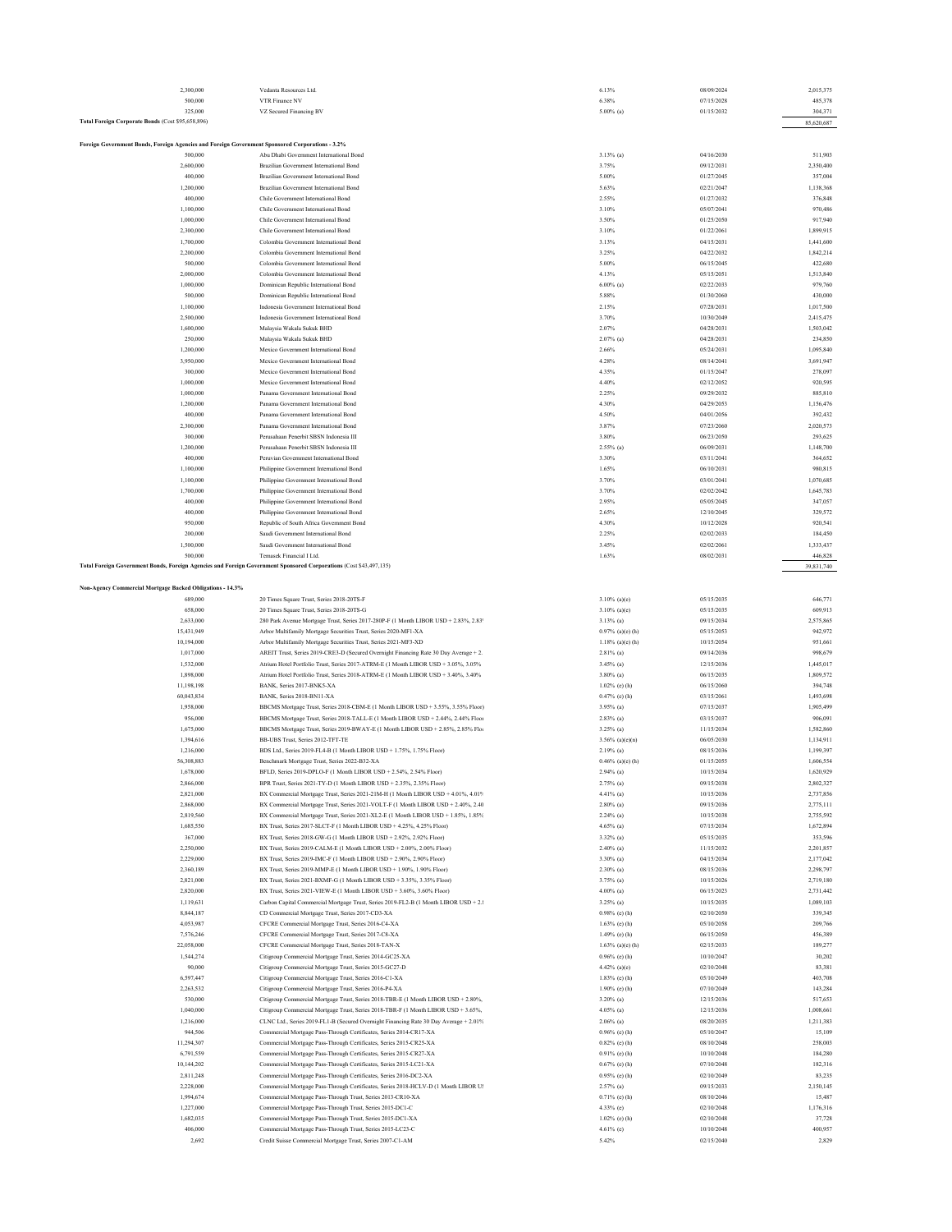| 2,300,000                                                                                                          | Vedanta Resources Ltd.                                                                                                   | 6.13%                                   | 08/09/2024               | 2,015,375              |
|--------------------------------------------------------------------------------------------------------------------|--------------------------------------------------------------------------------------------------------------------------|-----------------------------------------|--------------------------|------------------------|
| 500,000                                                                                                            | VTR Finance NV                                                                                                           | 6.38%                                   | 07/15/2028               | 485,378                |
| 325,000                                                                                                            | VZ Secured Financing BV                                                                                                  | $5.00\%$ (a)                            | 01/15/2032               | 304,371                |
| Total Foreign Corporate Bonds (Cost \$95,658,896)                                                                  |                                                                                                                          |                                         |                          | 85,620,687             |
|                                                                                                                    |                                                                                                                          |                                         |                          |                        |
| Foreign Government Bonds, Foreign Agencies and Foreign Government Sponsored Corporations - 3.2%<br>500,000         | Abu Dhabi Government International Bond                                                                                  | $3.13\%$ (a)                            | 04/16/2030               | 511,903                |
| 2,600,000                                                                                                          | Brazilian Government International Bond                                                                                  | 3.75%                                   | 09/12/2031               | 2,350,400              |
| 400,000                                                                                                            | Brazilian Government International Bond                                                                                  | 5.00%                                   | 01/27/2045               | 357,004                |
| 1,200,000                                                                                                          | Brazilian Government International Bond                                                                                  | 5.63%                                   | 02/21/2047               | 1,138,368              |
| 400,000                                                                                                            | Chile Government International Bond                                                                                      | 2.55%                                   | 01/27/2032               | 376,848                |
| 1,100,000                                                                                                          | Chile Government International Bond                                                                                      | 3.10%                                   | 05/07/2041               | 970,486                |
| 1,000,000                                                                                                          | Chile Government International Bond                                                                                      | 3.50%                                   | 01/25/2050               | 917,940                |
| 2,300,000                                                                                                          | Chile Government International Bond                                                                                      | 3.10%                                   | 01/22/2061               | 1,899,915              |
| 1,700,000                                                                                                          | Colombia Government International Bond                                                                                   | 3.13%                                   | 04/15/2031               | 1,441,600              |
| 2,200,000                                                                                                          | Colombia Government International Bond                                                                                   | 3.25%                                   | 04/22/2032               | 1,842,214              |
| 500,000                                                                                                            | Colombia Government International Bond                                                                                   | 5.00%                                   | 06/15/2045               | 422,680                |
| 2,000,000                                                                                                          | Colombia Government International Bond                                                                                   | 4.13%                                   | 05/15/2051               | 1,513,840              |
| 1,000,000                                                                                                          | Dominican Republic International Bond                                                                                    | $6.00\%$ (a)                            | 02/22/2033               | 979,760                |
| 500,000                                                                                                            | Dominican Republic International Bond                                                                                    | 5.88%                                   | 01/30/2060               | 430,000                |
| 1,100,000                                                                                                          | Indonesia Government International Bond                                                                                  | 2.15%                                   | 07/28/2031               | 1,017,500              |
| 2,500,000                                                                                                          | Indonesia Government International Bond                                                                                  | 3.70%<br>2.07%                          | 10/30/2049<br>04/28/2031 | 2,415,475              |
| 1,600,000                                                                                                          | Malaysia Wakala Sukuk BHD<br>Malaysia Wakala Sukuk BHD                                                                   | $2.07%$ (a)                             | 04/28/2031               | 1,503,042<br>234,850   |
| 250,000<br>1,200,000                                                                                               | Mexico Government International Bond                                                                                     | 2.66%                                   | 05/24/2031               | 1,095,840              |
| 3,950,000                                                                                                          | Mexico Government International Bond                                                                                     | 4.28%                                   | 08/14/2041               | 3,691,947              |
| 300,000                                                                                                            | Mexico Government International Bond                                                                                     | 4.35%                                   | 01/15/2047               | 278,097                |
| 1,000,000                                                                                                          | Mexico Government International Bond                                                                                     | 4.40%                                   | 02/12/2052               | 920,595                |
| 1,000,000                                                                                                          | Panama Government International Bond                                                                                     | 2.25%                                   | 09/29/2032               | 885,810                |
| 1,200,000                                                                                                          | Panama Government International Bond                                                                                     | 4.30%                                   | 04/29/2053               | 1,156,476              |
| 400,000                                                                                                            | Panama Government International Bond                                                                                     | 4.50%                                   | 04/01/2056               | 392,432                |
| 2,300,000                                                                                                          | Panama Government International Bond                                                                                     | 3.87%                                   | 07/23/2060               | 2,020,573              |
| 300,000                                                                                                            | Perusahaan Penerbit SBSN Indonesia III                                                                                   | 3.80%                                   | 06/23/2050               | 293,625                |
| 1,200,000                                                                                                          | Perusahaan Penerbit SBSN Indonesia III                                                                                   | $2.55\%$ (a)                            | 06/09/2031               | 1,148,700              |
| 400,000                                                                                                            | Peruvian Government International Bond                                                                                   | 3.30%                                   | 03/11/2041               | 364,652                |
| 1,100,000                                                                                                          | Philippine Government International Bond                                                                                 | 1.65%                                   | 06/10/2031               | 980,815                |
| 1,100,000                                                                                                          | Philippine Government International Bond                                                                                 | 3.70%                                   | 03/01/2041               | 1,070,685              |
| 1,700,000                                                                                                          | Philippine Government International Bond                                                                                 | 3.70%                                   | 02/02/2042               | 1,645,783              |
| 400,000                                                                                                            | Philippine Government International Bond                                                                                 | 2.95%                                   | 05/05/2045               | 347,057                |
| 400,000                                                                                                            | Philippine Government International Bond                                                                                 | 2.65%                                   | 12/10/2045               | 329,572                |
| 950,000<br>200,000                                                                                                 | Republic of South Africa Government Bond<br>Saudi Government International Bond                                          | 4.30%<br>2.25%                          | 10/12/2028<br>02/02/2033 | 920,541<br>184,450     |
| 1,500,000                                                                                                          | Saudi Government International Bond                                                                                      | 3.45%                                   | 02/02/2061               | 1,333,437              |
| 500,000                                                                                                            | Temasek Financial I Ltd.                                                                                                 | 1.63%                                   | 08/02/2031               | 446,828                |
| Total Foreign Government Bonds, Foreign Agencies and Foreign Government Sponsored Corporations (Cost \$43,497,135) |                                                                                                                          |                                         |                          | 39,831,740             |
|                                                                                                                    |                                                                                                                          |                                         |                          |                        |
| Non-Agency Commercial Mortgage Backed Obligations - 14.3%                                                          |                                                                                                                          |                                         |                          |                        |
| 689,000                                                                                                            | 20 Times Square Trust, Series 2018-20TS-F                                                                                | $3.10\%$ (a)(c)                         | 05/15/2035               | 646,771                |
| 658,000                                                                                                            | 20 Times Square Trust, Series 2018-20TS-G                                                                                | $3.10\%$ (a)(e)                         | 05/15/2035               | 609,913                |
| 2,633,000                                                                                                          | 280 Park Avenue Mortgage Trust, Series 2017-280P-F (1 Month LIBOR USD + 2.83%, 2.83                                      | $3.13\%$ (a)                            | 09/15/2034               | 2,575,865              |
| 15,431,949                                                                                                         | Arbor Multifamily Mortgage Securities Trust, Series 2020-MF1-XA                                                          | 0.97% (a)(e) (h)                        | 05/15/2053               | 942,972                |
| 10,194,000                                                                                                         | Arbor Multifamily Mortgage Securities Trust, Series 2021-MF3-XD                                                          | $1.18\%$ (a)(e) (h)                     | 10/15/2054               | 951,661                |
| 1,017,000                                                                                                          | AREIT Trust, Series 2019-CRE3-D (Secured Overnight Financing Rate 30 Day Average + 2.                                    | $2.81\%$ (a)                            | 09/14/2036               | 998,679                |
| 1,532,000                                                                                                          | Atrium Hotel Portfolio Trust, Series 2017-ATRM-E (1 Month LIBOR USD + 3.05%, 3.05%                                       | $3.45\%$ (a)                            | 12/15/2036               | 1,445,017              |
| 1,898,000                                                                                                          | Atrium Hotel Portfolio Trust, Series 2018-ATRM-E (1 Month LIBOR USD + 3.40%, 3.40%                                       | $3.80\%$ (a)                            | 06/15/2035               | 1,809,572              |
| 11,198,198                                                                                                         | BANK, Series 2017-BNK5-XA                                                                                                | $1.02\%$ (e) (h)                        | 06/15/2060               | 394,748                |
| 60,043,834                                                                                                         | BANK, Series 2018-BN11-XA                                                                                                | 0.47% (e) (h)                           | 03/15/2061               | 1,493,698              |
| 1,958,000                                                                                                          | BBCMS Mortgage Trust, Series 2018-CBM-E (1 Month LIBOR USD + 3.55%, 3.55% Floor)                                         | $3.95\%$ (a)                            | 07/15/2037               | 1,905,499              |
| 956,000                                                                                                            | BBCMS Mortgage Trust, Series 2018-TALL-E (1 Month LIBOR USD + 2.44%, 2.44% Floor                                         | $2.83\%$ (a)<br>$3.25\%$ (a)            | 03/15/2037               | 906,091                |
| 1,675,000                                                                                                          | BBCMS Mortgage Trust, Series 2019-BWAY-E (1 Month LIBOR USD + 2.85%, 2.85% Flor<br>BB-UBS Trust, Series 2012-TFT-TE      |                                         | 11/15/2034<br>06/05/2030 | 1,582,860              |
| 1,394,616<br>1,216,000                                                                                             | BDS Ltd., Series 2019-FL4-B (1 Month LIBOR USD + 1.75%, 1.75% Floor)                                                     | $3.56\%$ (a)(c)(n)<br>$2.19%$ (a)       | 08/15/2036               | 1,134,911<br>1,199,397 |
| 56,308,883                                                                                                         | Benchmark Mortgage Trust, Series 2022-B32-XA                                                                             | $0.46\%$ (a)(c) (h)                     | 01/15/2055               | 1,606,554              |
| 1,678,000                                                                                                          | BFLD, Series 2019-DPLO-F (1 Month LIBOR USD + 2.54%, 2.54% Floor)                                                        | $2.94\%$ (a)                            | 10/15/2034               | 1,620,929              |
| 2,866,000                                                                                                          | BPR Trust, Series 2021-TY-D (1 Month LIBOR USD + 2.35%, 2.35% Floor)                                                     | $2.75\%$ (a)                            | 09/15/2038               | 2,802,327              |
| 2,821,000                                                                                                          | BX Commercial Mortgage Trust, Series 2021-21M-H (1 Month LIBOR USD + 4.01%, 4.01%                                        | 4.41% (a)                               | 10/15/2036               | 2,737,856              |
| 2,868,000                                                                                                          | BX Commercial Mortgage Trust, Series 2021-VOLT-F (1 Month LIBOR USD + 2.40%, 2.40                                        | $2.80\%$ (a)                            | 09/15/2036               | 2,775,111              |
| 2,819,560                                                                                                          | BX Commercial Mortgage Trust, Series 2021-XL2-E (1 Month LIBOR USD + 1.85%, 1.85%                                        | $2.24\%$ (a)                            | 10/15/2038               | 2,755,592              |
| 1,685,550                                                                                                          | BX Trust, Series 2017-SLCT-F (1 Month LIBOR USD + 4.25%, 4.25% Floor)                                                    | $4.65\%$ (a)                            | 07/15/2034               | 1,672,894              |
| 367,000                                                                                                            | BX Trust, Series 2018-GW-G (1 Month LIBOR USD + 2.92%, 2.92% Floor)                                                      | 3.32% (a)                               | 05/15/2035               | 353,596                |
| 2,250,000                                                                                                          | BX Trust, Series 2019-CALM-E (1 Month LIBOR USD + 2.00%, 2.00% Floor)                                                    | $2.40\%$ (a)                            | 11/15/2032               | 2,201,857              |
| 2.229,000                                                                                                          | BX Trust, Series 2019-IMC-F (1 Month LIBOR USD + 2.90%, 2.90% Floor)                                                     | 3.30% (a)                               | 04/15/2034               | 2,177,042              |
| 2,360,189                                                                                                          | BX Trust, Series 2019-MMP-E (1 Month LIBOR USD + 1.90%, 1.90% Floor)                                                     | $2.30\%$ (a)                            | 08/15/2036               | 2,298,797              |
| 2,821,000                                                                                                          | BX Trust, Series 2021-BXMF-G (1 Month LIBOR USD + 3.35%, 3.35% Floor)                                                    | 3.75% (a)                               | 10/15/2026               | 2,719,180              |
| 2,820,000                                                                                                          | BX Trust, Series 2021-VIEW-E (1 Month LIBOR USD + 3.60%, 3.60% Floor)                                                    | $4.00\%$ (a)                            | 06/15/2023               | 2,731,442              |
| 1,119,631                                                                                                          | Carbon Capital Commercial Mortgage Trust, Series 2019-FL2-B (1 Month LIBOR USD + 2.1                                     | $3.25\%$ (a)                            | 10/15/2035               | 1,089,103              |
| 8,844,187                                                                                                          | CD Commercial Mortgage Trust, Series 2017-CD3-XA                                                                         | 0.98% (e) (h)                           | 02/10/2050               | 339,345                |
| 4,053,987<br>7,576,246                                                                                             | CFCRE Commercial Mortgage Trust, Series 2016-C4-XA<br>CFCRE Commercial Mortgage Trust, Series 2017-C8-XA                 | $1.63\%$ (e) (h)<br>1.49% (e) (h)       | 05/10/2058<br>06/15/2050 | 209,766<br>456,389     |
| 22,058,000                                                                                                         | CFCRE Commercial Mortgage Trust, Series 2018-TAN-X                                                                       |                                         | 02/15/2033               | 189,277                |
| 1,544,274                                                                                                          | Citigroup Commercial Mortgage Trust, Series 2014-GC25-XA                                                                 | $1.63\%$ (a)(e) (h)<br>$0.96\%$ (c) (h) | 10/10/2047               | 30,202                 |
| 90,000                                                                                                             | Citigroup Commercial Mortgage Trust, Series 2015-GC27-D                                                                  | 4.42% (a)(e)                            | 02/10/2048               | 83,381                 |
| 6,597,447                                                                                                          | Citigroup Commercial Mortgage Trust, Series 2016-C1-XA                                                                   | $1.83\%$ (e) (h)                        | 05/10/2049               | 403,708                |
| 2,263,532                                                                                                          | Citigroup Commercial Mortgage Trust, Series 2016-P4-XA                                                                   | $1.90\%$ (e) (h)                        | 07/10/2049               | 143,284                |
| 530,000                                                                                                            | Citigroup Commercial Mortgage Trust, Series 2018-TBR-E (1 Month LIBOR USD + 2.80%,                                       | $3.20\%$ (a)                            | 12/15/2036               | 517,653                |
| 1,040,000                                                                                                          | Citigroup Commercial Mortgage Trust, Series 2018-TBR-F (1 Month LIBOR USD + 3.65%,                                       | $4.05\%$ (a)                            | 12/15/2036               | 1,008,661              |
| 1,216,000                                                                                                          | CLNC Ltd., Series 2019-FL1-B (Secured Overnight Financing Rate 30 Day Average + 2.01%                                    | $2.06\%$ (a)                            | 08/20/2035               | 1,211,383              |
| 944,506                                                                                                            | Commercial Mortgage Pass-Through Certificates, Series 2014-CR17-XA                                                       | 0.96% (e) (h)                           | 05/10/2047               | 15,109                 |
| 11,294,307                                                                                                         | Commercial Mortgage Pass-Through Certificates, Series 2015-CR25-XA                                                       | $0.82\%$ (c) (h)                        | 08/10/2048               | 258,003                |
| 6,791,559                                                                                                          | Commercial Mortgage Pass-Through Certificates, Series 2015-CR27-XA                                                       | 0.91% (e) (h)                           | 10/10/2048               | 184,280                |
| 10,144,202                                                                                                         | Commercial Mortgage Pass-Through Certificates, Series 2015-LC21-XA                                                       | 0.67% (e) (h)                           | 07/10/2048               | 182,316                |
| 2,811,248                                                                                                          | Commercial Mortgage Pass-Through Certificates, Series 2016-DC2-XA                                                        | 0.95% (e) (h)                           | 02/10/2049               | 83,235                 |
| 2,228,000                                                                                                          | Commercial Mortgage Pass-Through Certificates, Series 2018-HCLV-D (1 Month LIBOR U!                                      | $2.57\%$ (a)                            | 09/15/2033               | 2,150,145              |
| 1,994,674                                                                                                          | Commercial Mortgage Pass-Through Trust, Series 2013-CR10-XA                                                              | $0.71\%$ (c) (h)                        | 08/10/2046               | 15,487                 |
| 1,227,000                                                                                                          | Commercial Mortgage Pass-Through Trust, Series 2015-DC1-C                                                                | 4.33% (e)                               | 02/10/2048               | 1,176,316              |
| 1,682,035                                                                                                          |                                                                                                                          |                                         |                          |                        |
|                                                                                                                    | Commercial Mortgage Pass-Through Trust, Series 2015-DC1-XA                                                               | $1.02\%$ (c) (h)                        | 02/10/2048               | 37,728                 |
| 406,000<br>2,692                                                                                                   | Commercial Mortgage Pass-Through Trust, Series 2015-LC23-C<br>Credit Suisse Commercial Mortgage Trust, Series 2007-C1-AM | $4.61\%$ (e)<br>5.42%                   | 10/10/2048<br>02/15/2040 | 400,957<br>2,829       |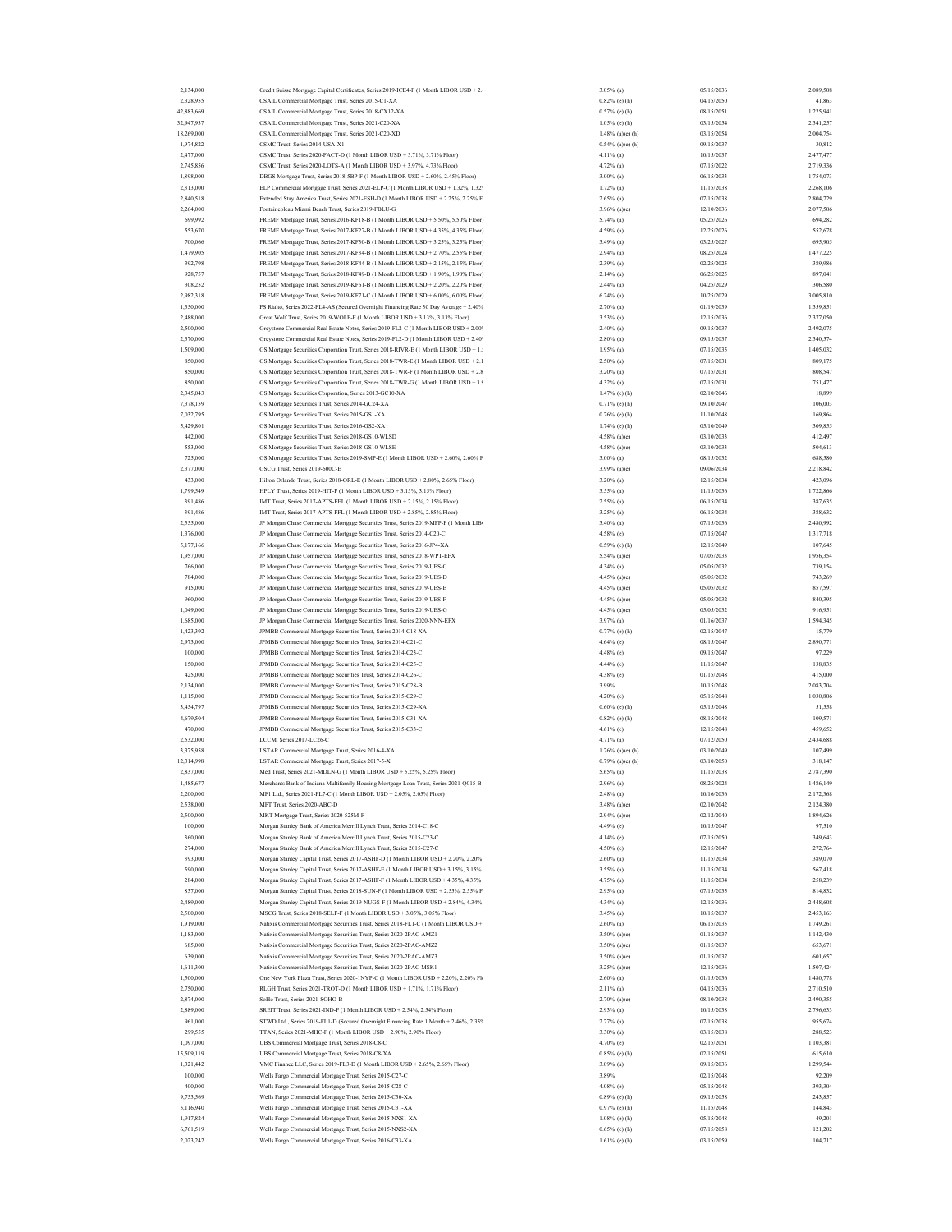| 2,134,000  | Credit Suisse Mortgage Capital Certificates, Series 2019-ICE4-F (1 Month LIBOR USD + 2.6 | $3.05\%$ (a) | 05/15/2036                        | 2,089,508 |
|------------|------------------------------------------------------------------------------------------|--------------|-----------------------------------|-----------|
| 2,328,955  | CSAIL Commercial Mortgage Trust, Series 2015-C1-XA                                       |              | $0.82\%$ (c) (h)<br>04/15/2050    | 41,863    |
|            |                                                                                          |              |                                   |           |
| 42,883,669 | CSAIL Commercial Mortgage Trust, Series 2018-CX12-XA                                     |              | 08/15/2051<br>0.57% (e) (h)       | 1,225,941 |
| 32,947,937 | CSAIL Commercial Mortgage Trust, Series 2021-C20-XA                                      |              | $1.05\%$ (e) (h)<br>03/15/2054    | 2,341,257 |
| 18,269,000 | CSAIL Commercial Mortgage Trust, Series 2021-C20-XD                                      |              | $1.48\%$ (a)(c) (h)<br>03/15/2054 | 2,004,754 |
| 1,974,822  | CSMC Trust, Series 2014-USA-X1                                                           |              | 09/15/2037<br>$0.54\%$ (a)(c) (h) | 30,812    |
| 2,477,000  | CSMC Trust, Series 2020-FACT-D (1 Month LIBOR USD + 3.71%, 3.71% Floor)                  | 4.11% (a)    | 10/15/2037                        | 2,477,477 |
| 2,745,856  | CSMC Trust, Series 2020-LOTS-A (1 Month LIBOR USD + 3.97%, 4.73% Floor)                  | $4.72%$ (a)  | 07/15/2022                        | 2,719,336 |
| 1,898,000  | DBGS Mortgage Trust, Series 2018-5BP-F (1 Month LIBOR USD + 2.60%, 2.45% Floor)          | $3.00\%$ (a) | 06/15/2033                        | 1,754,073 |
| 2,313,000  | ELP Commercial Mortgage Trust, Series 2021-ELP-C (1 Month LIBOR USD + 1.32%, 1.329       | $1.72%$ (a)  | 11/15/2038                        | 2,268,106 |
|            |                                                                                          |              |                                   |           |
| 2,840,518  | Extended Stay America Trust, Series 2021-ESH-D (1 Month LIBOR USD + 2.25%, 2.25% F       | $2.65\%$ (a) | 07/15/2038                        | 2,804,729 |
| 2.264,000  | Fontainebleau Miami Beach Trust, Series 2019-FBLU-G                                      |              | 12/10/2036<br>$3.96\%$ (a)(c)     | 2,077,506 |
| 699,992    | FREMF Mortgage Trust, Series 2016-KF18-B (1 Month LIBOR USD + 5.50%, 5.50% Floor)        | 5.74% (a)    | 05/25/2026                        | 694,282   |
| 553,670    | FREMF Mortgage Trust, Series 2017-KF27-B (1 Month LIBOR USD + 4.35%, 4.35% Floor)        | 4.59% (a)    | 12/25/2026                        | 552,678   |
| 700,066    | FREMF Mortgage Trust, Series 2017-KF30-B (1 Month LIBOR USD + 3.25%, 3.25% Floor)        | 3.49% (a)    | 03/25/2027                        | 695,905   |
| 1,479,905  | FREMF Mortgage Trust, Series 2017-KF34-B (1 Month LIBOR USD + 2.70%, 2.55% Floor)        | $2.94\%$ (a) | 08/25/2024                        | 1,477,225 |
| 392,798    | FREMF Mortgage Trust, Series 2018-KF44-B (1 Month LIBOR USD + 2.15%, 2.15% Floor)        | $2.39%$ (a)  | 02/25/2025                        |           |
|            |                                                                                          |              |                                   | 389,986   |
| 928,757    | FREMF Mortgage Trust, Series 2018-KF49-B (1 Month LIBOR USD + 1.90%, 1.90% Floor)        | $2.14%$ (a)  | 06/25/2025                        | 897,041   |
| 308,252    | FREMF Mortgage Trust, Series 2019-KF61-B (1 Month LIBOR USD + 2.20%, 2.20% Floor)        | $2.44%$ (a)  | 04/25/2029                        | 306,580   |
| 2,982,318  | FREMF Mortgage Trust, Series 2019-KF71-C (1 Month LIBOR USD + 6.00%, 6.00% Floor)        | $6.24\%$ (a) | 10/25/2029                        | 3,005,810 |
| 1,350,000  | FS Rialto, Series 2022-FL4-AS (Secured Overnight Financing Rate 30 Day Average + 2.40%   | $2.70\%$ (a) | 01/19/2039                        | 1,359,851 |
| 2,488,000  | Great Wolf Trust, Series 2019-WOLF-F (1 Month LIBOR USD + 3.13%, 3.13% Floor)            | 3.53% (a)    | 12/15/2036                        | 2,377,050 |
| 2,500,000  | Greystone Commercial Real Estate Notes, Series 2019-FL2-C (1 Month LIBOR USD + 2.009     | $2.40\%$ (a) | 09/15/2037                        | 2,492,075 |
|            |                                                                                          |              |                                   |           |
| 2,370,000  | Greystone Commercial Real Estate Notes, Series 2019-FL2-D (1 Month LIBOR USD + 2.409     | $2.80\%$ (a) | 09/15/2037                        | 2,340,574 |
| 1,509,000  | GS Mortgage Securities Corporation Trust, Series 2018-RIVR-E (1 Month LIBOR USD + 1.5    | $1.95\%$ (a) | 07/15/2035                        | 1,405,032 |
| 850,000    | GS Mortgage Securities Corporation Trust, Series 2018-TWR-E (1 Month LIBOR USD + 2.1     | $2.50\%$ (a) | 07/15/2031                        | 809,175   |
| 850,000    | GS Mortgage Securities Corporation Trust, Series 2018-TWR-F (1 Month LIBOR USD + 2.8     | 3.20% (a)    | 07/15/2031                        | 808,547   |
| 850,000    | GS Mortgage Securities Corporation Trust, Series 2018-TWR-G (1 Month LIBOR USD + 3.9     | 4.32% (a)    | 07/15/2031                        | 751,477   |
| 2,345,043  | GS Mortgage Securities Corporation, Series 2013-GC10-XA                                  |              | $1.47%$ (e) (h)<br>02/10/2046     | 18,899    |
|            |                                                                                          |              |                                   |           |
| 7,378,159  | GS Mortgage Securities Trust, Series 2014-GC24-XA                                        |              | $0.71\%$ (c) (h)<br>09/10/2047    | 106,003   |
| 7.032.795  | GS Mortgage Securities Trust, Series 2015-GS1-XA                                         |              | $0.76\%$ (e) (h)<br>11/10/2048    | 169,864   |
| 5,429,801  | GS Mortgage Securities Trust, Series 2016-GS2-XA                                         |              | $1.74%$ (e) (h)<br>05/10/2049     | 309,855   |
| 442,000    | GS Mortgage Securities Trust, Series 2018-GS10-WLSD                                      |              | 03/10/2033<br>4.58% (a)(c)        | 412,497   |
| 553,000    | GS Mortgage Securities Trust, Series 2018-GS10-WLSE                                      |              | 03/10/2033<br>4.58% (a)(c)        | 504,613   |
| 725,000    | GS Mortgage Securities Trust, Series 2019-SMP-E (1 Month LIBOR USD + 2.60%, 2.60% F      | $3.00\%$ (a) | 08/15/2032                        | 688,580   |
| 2,377,000  | GSCG Trust, Series 2019-600C-E                                                           |              | 09/06/2034<br>$3.99\%$ (a)(e)     | 2,218,842 |
|            |                                                                                          |              |                                   |           |
| 433,000    | Hilton Orlando Trust, Series 2018-ORL-E (1 Month LIBOR USD + 2.80% 2.65% Floor)          | 3.20% (a)    | 12/15/2034                        | 423,096   |
| 1,799,549  | HPLY Trust, Series 2019-HIT-F (1 Month LIBOR USD + 3.15%, 3.15% Floor)                   | 3.55% (a)    | 11/15/2036                        | 1,722,866 |
| 391,486    | IMT Trust, Series 2017-APTS-EFL (1 Month LIBOR USD + 2.15%, 2.15% Floor)                 | $2.55\%$ (a) | 06/15/2034                        | 387,635   |
| 391,486    | IMT Trust, Series 2017-APTS-FFL (1 Month LIBOR USD + 2.85%, 2.85% Floor)                 | 3.25% (a)    | 06/15/2034                        | 388,632   |
| 2,555,000  | JP Morgan Chase Commercial Mortgage Securities Trust, Series 2019-MFP-F (1 Month LIBO    | 3.40% (a)    | 07/15/2036                        | 2,480,992 |
| 1,376,000  | JP Morgan Chase Commercial Mortgage Securities Trust, Series 2014-C20-C                  | 4.58% (e)    | 07/15/2047                        | 1,317,718 |
| 5,177,166  | JP Morgan Chase Commercial Mortgage Securities Trust, Series 2016-JP4-XA                 |              | 0.59% (e) (h)<br>12/15/2049       | 107,645   |
|            |                                                                                          |              |                                   |           |
| 1,957,000  | JP Morgan Chase Commercial Mortgage Securities Trust, Series 2018-WPT-EFX                |              | 07/05/2033<br>5.54% (a)(c)        | 1,956,354 |
| 766,000    | JP Morgan Chase Commercial Mortgage Securities Trust, Series 2019-UES-C                  | $4.34\%$ (a) | 05/05/2032                        | 739,154   |
| 784,000    | JP Morgan Chase Commercial Mortgage Securities Trust, Series 2019-UES-D                  |              | 4.45% (a)(c)<br>05/05/2032        | 743,269   |
| 915,000    | JP Morgan Chase Commercial Mortgage Securities Trust, Series 2019-UES-E                  |              | 05/05/2032<br>4.45% (a)(e)        | 857,597   |
| 960,000    | JP Morgan Chase Commercial Mortgage Securities Trust, Series 2019-UES-F                  |              | 05/05/2032<br>4.45% (a)(c)        | 840,395   |
| 1,049,000  | JP Morgan Chase Commercial Mortgage Securities Trust, Series 2019-UES-G                  |              | 4.45% (a)(c)<br>05/05/2032        | 916,951   |
|            |                                                                                          |              |                                   |           |
| 1,685,000  | JP Morgan Chase Commercial Mortgage Securities Trust, Series 2020-NNN-EFX                | $3.97\%$ (a) | 01/16/2037                        | 1,594,345 |
| 1,423,392  | JPMBB Commercial Mortgage Securities Trust, Series 2014-C18-XA                           |              | 0.77% (e) (h)<br>02/15/2047       | 15,779    |
| 2,973,000  | JPMBB Commercial Mortgage Securities Trust, Series 2014-C21-C                            | 4.64% (e)    | 08/15/2047                        | 2,890,771 |
| 100,000    | JPMBB Commercial Mortgage Securities Trust, Series 2014-C23-C                            | 4.48% (e)    | 09/15/2047                        | 97,229    |
| 150,000    | JPMBB Commercial Mortgage Securities Trust, Series 2014-C25-C                            | 4.44% (e)    | 11/15/2047                        | 138,835   |
| 425,000    | JPMBB Commercial Mortgage Securities Trust, Series 2014-C26-C                            | 4.38% (e)    | 01/15/2048                        | 415,000   |
|            |                                                                                          |              | 10/15/2048                        |           |
| 2.134,000  | JPMBB Commercial Mortgage Securities Trust, Series 2015-C28-B                            | 3.99%        |                                   | 2,083,704 |
| 1,115,000  | JPMBB Commercial Mortgage Securities Trust, Series 2015-C29-C                            | 4.20% (e)    | 05/15/2048                        | 1,030,806 |
| 3,454,797  | JPMBB Commercial Mortgage Securities Trust, Series 2015-C29-XA                           |              | 05/15/2048<br>$0.60\%$ (e) (h)    | 51,558    |
| 4,679,504  | JPMBB Commercial Mortgage Securities Trust, Series 2015-C31-XA                           |              | 08/15/2048<br>$0.82\%$ (c) (h)    | 109,571   |
| 470,000    | JPMBB Commercial Mortgage Securities Trust, Series 2015-C33-C                            | 4.61% (e)    | 12/15/2048                        | 459,652   |
| 2,532,000  | LCCM, Series 2017-LC26-C                                                                 | 4.71% (a)    | 07/12/2050                        | 2,434,688 |
|            |                                                                                          |              |                                   |           |
| 3,375,958  | LSTAR Commercial Mortgage Trust, Series 2016-4-XA                                        |              | $1.76\%$ (a)(c) (h)<br>03/10/2049 | 107,499   |
| 12,314,998 | LSTAR Commercial Mortgage Trust, Series 2017-5-X                                         |              | $0.79%$ (a)(c) (h)<br>03/10/2050  | 318,147   |
| 2,837,000  | Med Trust, Series 2021-MDLN-G (1 Month LIBOR USD + 5.25%, 5.25% Floor)                   | $5.65\%$ (a) | 11/15/2038                        | 2,787,390 |
| 1.485.67   | ants Bank of Indiana Multifamily Housing Mortgage Loan Trust. Series 2021-O015-B         | $2.96\%$ (a) | 08/25/2024                        | 1,486,149 |
| 2,200,000  | MF1 Ltd., Series 2021-FL7-C (1 Month LIBOR USD + 2.05%, 2.05% Floor)                     | $2.48\%$ (a) | 10/16/2036                        | 2,172,368 |
| 2,538,000  | MFT Trust, Series 2020-ABC-D                                                             |              | $3.48\%$ (a)(e)<br>02/10/2042     | 2,124,380 |
| 2,500,000  | MKT Mortgage Trust, Series 2020-525M-F                                                   |              | $2.94\%$ (a)(c)<br>02/12/2040     | 1,894,626 |
|            |                                                                                          |              |                                   |           |
| 100,000    | Morgan Stanley Bank of America Merrill Lynch Trust, Series 2014-C18-C                    | 4.49% (e)    | 10/15/2047                        | 97,510    |
| 360,000    | Morgan Stanley Bank of America Merrill Lynch Trust, Series 2015-C23-C                    | 4.14% (e)    | 07/15/2050                        | 349,643   |
| 274,000    | Morgan Stanley Bank of America Merrill Lynch Trust, Series 2015-C27-C                    | 4.50% (e)    | 12/15/2047                        | 272,764   |
| 393,000    | Morgan Stanley Capital Trust, Series 2017-ASHF-D (1 Month LIBOR USD + 2.20%, 2.20%       | $2.60\%$ (a) | 11/15/2034                        | 389,070   |
| 590,000    | Morgan Stanley Capital Trust, Series 2017-ASHF-E (1 Month LIBOR USD + 3.15%, 3.15%       | 3.55% (a)    | 11/15/2034                        | 567,418   |
| 284,000    | Morgan Stanley Capital Trust, Series 2017-ASHF-F (1 Month LIBOR USD + 4.35%, 4.35%       | 4.75% (a)    | 11/15/2034                        | 258,239   |
| 837,000    | Morgan Stanley Capital Trust, Series 2018-SUN-F (1 Month LIBOR USD + 2.55%, 2.55% F      | $2.95\%$ (a) | 07/15/2035                        |           |
|            |                                                                                          |              |                                   | 814,832   |
| 2,489,000  | Morgan Stanley Capital Trust, Series 2019-NUGS-F (1 Month LIBOR USD + 2.84%, 4.34%       | 4.34% (a)    | 12/15/2036                        | 2,448,608 |
| 2,500,000  | MSCG Trust, Series 2018-SELF-F (1 Month LIBOR USD + 3.05%, 3.05% Floor)                  | 3.45% (a)    | 10/15/2037                        | 2,453,163 |
| 1,919,000  | Natixis Commercial Mortgage Securities Trust, Series 2018-FL1-C (1 Month LIBOR USD +     | $2.60\%$ (a) | 06/15/2035                        | 1,749,261 |
| 1,183,000  | Natixis Commercial Mortgage Securities Trust, Series 2020-2PAC-AMZ1                      |              | $3.50\%$ (a)(c)<br>01/15/2037     | 1,142,430 |
| 685,000    | Natixis Commercial Mortgage Securities Trust, Series 2020-2PAC-AMZ2                      |              | $3.50\%$ (a)(e)<br>01/15/2037     | 653,671   |
| 639,000    |                                                                                          |              |                                   |           |
|            | Natixis Commercial Mortgage Securities Trust, Series 2020-2PAC-AMZ3                      |              | $3.50\%$ (a)(e)<br>01/15/2037     | 601,657   |
| 1,611,300  | Natixis Commercial Mortgage Securities Trust, Series 2020-2PAC-MSK1                      |              | $3.25\%$ (a)(c)<br>12/15/2036     | 1,507,424 |
| 1,500,000  | One New York Plaza Trust, Series 2020-1NYP-C (1 Month LIBOR USD + 2.20%, 2.20% Fk        | $2.60\%$ (a) | 01/15/2036                        | 1,480,778 |
| 2.750,000  | RLGH Trust, Series 2021-TROT-D (1 Month LIBOR USD + 1.71%, 1.71% Floor)                  | $2.11\%$ (a) | 04/15/2036                        | 2,710,510 |
| 2,874,000  | SoHo Trust, Series 2021-SOHO-B                                                           |              | $2.70\%$ (a)(c)<br>08/10/2038     | 2,490,355 |
| 2,889,000  | SREIT Trust, Series 2021-IND-F (1 Month LIBOR USD + 2.54%, 2.54% Floor)                  | $2.93\%$ (a) | 10/15/2038                        | 2,796,633 |
| 961,000    | STWD Ltd., Series 2019-FL1-D (Secured Overnight Financing Rate 1 Month + 2.46%, 2.35%    | $2.77%$ (a)  | 07/15/2038                        | 955,674   |
|            |                                                                                          |              |                                   |           |
|            |                                                                                          | 3.30% (a)    | 03/15/2038                        | 288,523   |
| 299,555    | TTAN, Series 2021-MHC-F (1 Month LIBOR USD + 2.90%, 2.90% Floor)                         |              | 02/15/2051                        | 1,103,381 |
| 1,097,000  | UBS Commercial Mortgage Trust, Series 2018-C8-C                                          | 4.70% (e)    |                                   |           |
| 15,509,119 | UBS Commercial Mortgage Trust, Series 2018-C8-XA                                         |              | $0.85\%$ (e) (h)<br>02/15/2051    | 615,610   |
| 1,321,442  | VMC Finance LLC, Series 2019-FL3-D (1 Month LIBOR USD + 2.65%, 2.65% Floor)              | $3.09\%$ (a) | 09/15/2036                        | 1,299,544 |
| 100,000    | Wells Fargo Commercial Mortgage Trust, Series 2015-C27-C                                 | 3.89%        | 02/15/2048                        | 92,209    |
|            |                                                                                          |              |                                   |           |
| 400,000    | Wells Fargo Commercial Mortgage Trust, Series 2015-C28-C                                 | $4.08\%$ (e) | 05/15/2048                        | 393,304   |
| 9,753,569  | Wells Fargo Commercial Mortgage Trust, Series 2015-C30-XA                                |              | 09/15/2058<br>$0.89\%$ (c) (h)    | 243,857   |
| 5,116,940  | Wells Fargo Commercial Mortgage Trust, Series 2015-C31-XA                                |              | 11/15/2048<br>0.97% (e) (h)       | 144,843   |
| 1,917,824  | Wells Fargo Commercial Mortgage Trust, Series 2015-NXS1-XA                               |              | $1.08\%$ (c) (h)<br>05/15/2048    | 49,201    |
| 6,761,519  | Wells Fargo Commercial Mortgage Trust, Series 2015-NXS2-XA                               |              | 07/15/2058<br>$0.65\%$ (e) (h)    | 121,202   |
| 2,023,242  | Wells Fargo Commercial Mortgage Trust, Series 2016-C33-XA                                |              | 03/15/2059<br>$1.61\%$ (e) (h)    | 104,717   |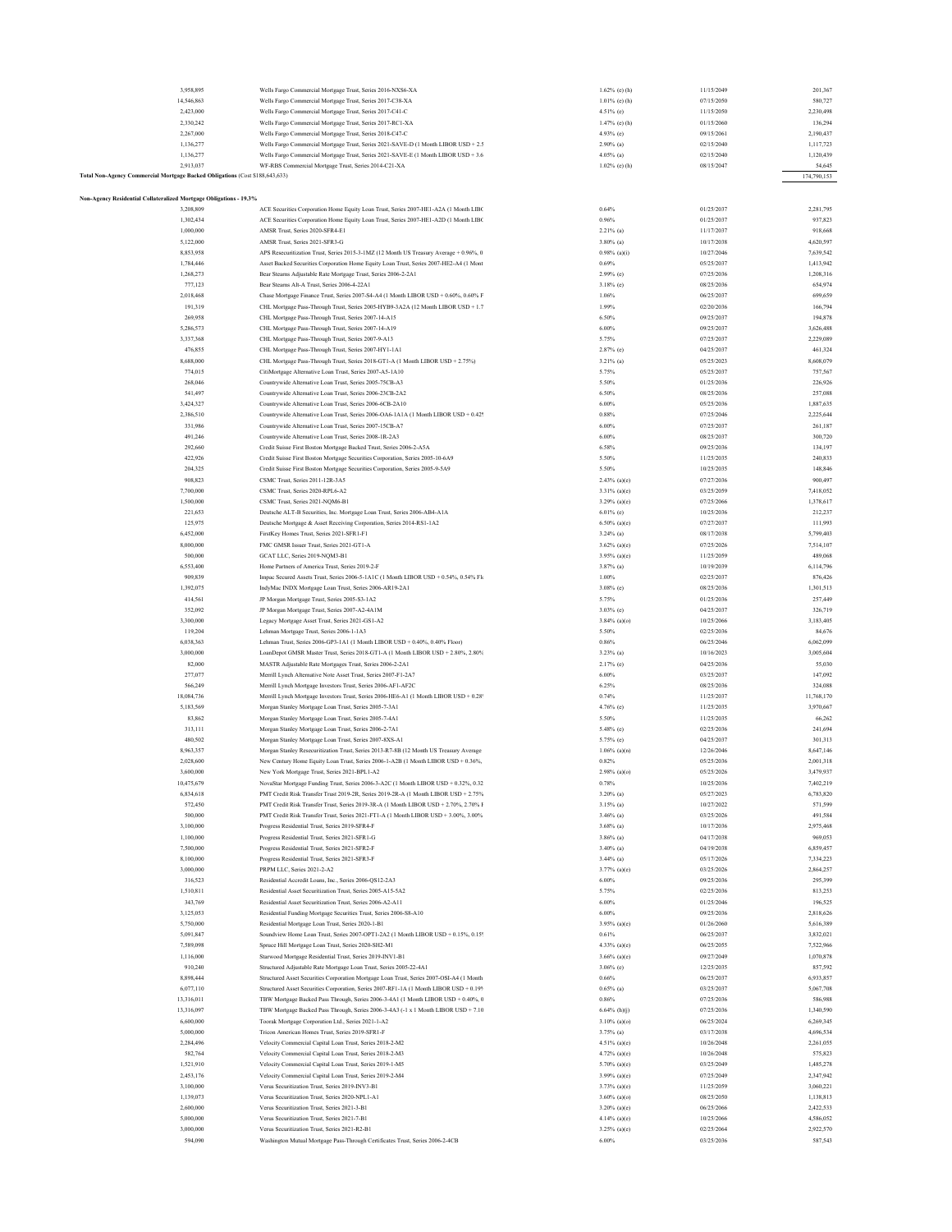| 3,958,895                                                                    | Wells Fargo Commercial Mortgage Trust, Series 2016-NXS6-XA                                      |          | $1.62\%$ (e) (h) | 11/15/2049<br>201,367    |
|------------------------------------------------------------------------------|-------------------------------------------------------------------------------------------------|----------|------------------|--------------------------|
| 14,546,863                                                                   | Wells Fargo Commercial Mortgage Trust, Series 2017-C38-XA                                       |          | $1.01\%$ (c) (h) | 07/15/2050<br>580,727    |
| 2,423,000                                                                    | Wells Fargo Commercial Mortgage Trust, Series 2017-C41-C                                        |          | 4.51% (e)        | 11/15/2050<br>2,230,498  |
| 2,330,242                                                                    | Wells Fargo Commercial Mortgage Trust, Series 2017-RC1-XA                                       |          | $1.47%$ (e) (h)  | 01/15/2060<br>136,294    |
| 2,267,000                                                                    | Wells Fargo Commercial Mortgage Trust, Series 2018-C47-C                                        |          | 4.93% (e)        | 09/15/2061<br>2,190,437  |
|                                                                              | Wells Fargo Commercial Mortgage Trust, Series 2021-SAVE-D (1 Month LIBOR USD + 2.5              |          |                  |                          |
| 1,136,277                                                                    |                                                                                                 |          | $2.90\%$ (a)     | 02/15/2040<br>1,117,723  |
| 1,136,277                                                                    | Wells Fargo Commercial Mortgage Trust, Series 2021-SAVE-E (1 Month LIBOR USD + 3.6              |          | $4.05\%$ (a)     | 02/15/2040<br>1,120,439  |
| 2.913.037                                                                    | WF-RBS Commercial Mortgage Trust, Series 2014-C21-XA                                            |          | $1.02\%$ (e) (h) | 08/15/2047<br>54,645     |
| Total Non-Agency Commercial Mortgage Backed Obligations (Cost \$188,643,633) |                                                                                                 |          |                  | 174,790,153              |
|                                                                              |                                                                                                 |          |                  |                          |
| Non-Agency Residential Collateralized Mortgage Obligations - 19.3%           |                                                                                                 |          |                  |                          |
| 3,208,809                                                                    | ACE Securities Corporation Home Equity Loan Trust, Series 2007-HE1-A2A (1 Month LIBC            | 0.64%    |                  | 01/25/2037<br>2,281,795  |
| 1,302,434                                                                    | ACE Securities Corporation Home Equity Loan Trust, Series 2007-HE1-A2D (1 Month LIBC            | 0.96%    |                  | 01/25/2037<br>937,823    |
| 1,000,000                                                                    | AMSR Trust, Series 2020-SFR4-E1                                                                 |          | $2.21\%$ (a)     | 11/17/2037<br>918,668    |
| 5,122,000                                                                    | AMSR Trust, Series 2021-SFR3-G                                                                  |          | $3.80\%$ (a)     | 10/17/2038<br>4,620,597  |
|                                                                              |                                                                                                 |          |                  |                          |
| 8,853,958                                                                    | APS Resecuritization Trust, Series 2015-3-1MZ (12 Month US Treasury Average + 0.96%, 0          |          | $0.98\%$ (a)(i)  | 10/27/2046<br>7,639,542  |
| 1,784,446                                                                    | Asset Backed Securities Corporation Home Equity Loan Trust, Series 2007-HE2-A4 (1 Mont          | 0.69%    |                  | 05/25/2037<br>1,413,942  |
| 1,268,273                                                                    | Bear Stearns Adjustable Rate Mortgage Trust, Series 2006-2-2A1                                  |          | 2.99% (e)        | 07/25/2036<br>1,208,316  |
| 777,123                                                                      | Bear Stearns Alt-A Trust, Series 2006-4-22A1                                                    |          | $3.18%$ (e)      | 08/25/2036<br>654,974    |
| 2,018,468                                                                    | Chase Mortgage Finance Trust, Series 2007-S4-A4 (1 Month LIBOR USD + 0.60%, 0.60% F             | 1.06%    |                  | 06/25/2037<br>699,659    |
| 191,319                                                                      | CHL Mortgage Pass-Through Trust, Series 2005-HYB9-3A2A (12 Month LIBOR USD + 1.7                | 1.99%    |                  | 02/20/2036<br>166,794    |
| 269,958                                                                      |                                                                                                 | 6.50%    |                  | 09/25/2037<br>194,878    |
|                                                                              | CHL Mortgage Pass-Through Trust, Series 2007-14-A15                                             |          |                  |                          |
| 5,286,573                                                                    | CHL Mortgage Pass-Through Trust, Series 2007-14-A19                                             | $6.00\%$ |                  | 09/25/2037<br>3,626,488  |
| 3,337,368                                                                    | CHL Mortgage Pass-Through Trust, Series 2007-9-A13                                              | 5.75%    |                  | 2,229,089<br>07/25/2037  |
| 476,855                                                                      | CHL Mortgage Pass-Through Trust, Series 2007-HY1-1A1                                            |          | $2.87\%$ (c)     | 04/25/2037<br>461,324    |
| 8,688,000                                                                    | CHL Mortgage Pass-Through Trust, Series 2018-GT1-A (1 Month LIBOR USD + 2.75%)                  |          | $3.21\%$ (a)     | 05/25/2023<br>8,608,079  |
| 774,015                                                                      | CitiMortgage Alternative Loan Trust, Series 2007-A5-1A10                                        | 5.75%    |                  | 05/25/2037<br>757,567    |
| 268,046                                                                      |                                                                                                 | 5.50%    |                  | 01/25/2036<br>226,926    |
|                                                                              | Countrywide Alternative Loan Trust, Series 2005-75CB-A3                                         |          |                  |                          |
| 541,497                                                                      | Countrywide Alternative Loan Trust, Series 2006-23CB-2A2                                        | 6.50%    |                  | 08/25/2036<br>257,088    |
| 3,424,327                                                                    | Countrywide Alternative Loan Trust, Series 2006-6CB-2A10                                        | $6.00\%$ |                  | 05/25/2036<br>1,887,635  |
| 2,386,510                                                                    | Countrywide Alternative Loan Trust, Series 2006-OA6-1A1A (1 Month LIBOR USD + 0.42 <sup>6</sup> | 0.88%    |                  | 07/25/2046<br>2,225,644  |
| 331,986                                                                      | Countrywide Alternative Loan Trust, Series 2007-15CB-A7                                         | $6.00\%$ |                  | 07/25/2037<br>261,187    |
| 491.246                                                                      | Countrywide Alternative Loan Trust, Series 2008-1R-2A3                                          | 6.00%    |                  | 08/25/2037<br>300,720    |
| 292,660                                                                      | Credit Suisse First Boston Mortgage Backed Trust, Series 2006-2-A5A                             | 6.58%    |                  | 09/25/2036<br>134,197    |
|                                                                              |                                                                                                 |          |                  |                          |
| 422.926                                                                      | Credit Suisse First Boston Mortgage Securities Corporation, Series 2005-10-6A9                  | 5.50%    |                  | 240,833<br>11/25/2035    |
| 204,325                                                                      | Credit Suisse First Boston Mortgage Securities Corporation, Series 2005-9-5A9                   | 5.50%    |                  | 10/25/2035<br>148,846    |
| 908,823                                                                      | CSMC Trust, Series 2011-12R-3A5                                                                 |          | $2.43\%$ (a)(e)  | 07/27/2036<br>900,497    |
| 7,700,000                                                                    | CSMC Trust, Series 2020-RPL6-A2                                                                 |          | $3.31\%$ (a)(c)  | 03/25/2059<br>7,418,052  |
| 1,500,000                                                                    | CSMC Trust, Series 2021-NOM6-B1                                                                 |          | $3.29\%$ (a)(e)  | 07/25/2066<br>1,378,617  |
| 221,653                                                                      | Deutsche ALT-B Securities, Inc. Mortgage Loan Trust, Series 2006-AB4-A1A                        |          | $6.01\%$ (c)     | 10/25/2036<br>212,237    |
|                                                                              |                                                                                                 |          |                  |                          |
| 125,975                                                                      | Deutsche Mortgage & Asset Receiving Corporation, Series 2014-RS1-1A2                            |          | $6.50\%$ (a)(c)  | 07/27/2037<br>111,993    |
| 6,452,000                                                                    | FirstKey Homes Trust, Series 2021-SFR1-F1                                                       |          | $3.24\%$ (a)     | 08/17/2038<br>5,799,403  |
| 8,000,000                                                                    | FMC GMSR Issuer Trust, Series 2021-GT1-A                                                        |          | $3.62\%$ (a)(e)  | 07/25/2026<br>7,514,107  |
| 500,000                                                                      | GCAT LLC, Series 2019-NQM3-B1                                                                   |          | $3.95\%$ (a)(e)  | 11/25/2059<br>489,068    |
| 6,553,400                                                                    | Home Partners of America Trust, Series 2019-2-F                                                 |          | 3.87% (a)        | 10/19/2039<br>6,114,796  |
| 909,839                                                                      | Impac Secured Assets Trust, Series 2006-5-1A1C (1 Month LIBOR USD + 0.54%, 0.54% Fk             | $1.00\%$ |                  | 02/25/2037<br>876,426    |
| 1,392,075                                                                    |                                                                                                 |          |                  | 08/25/2036<br>1,301,513  |
|                                                                              | IndyMac INDX Mortgage Loan Trust, Series 2006-AR19-2A1                                          |          | $3.08\%$ (e)     |                          |
| 414,561                                                                      | JP Morgan Mortgage Trust, Series 2005-S3-1A2                                                    | 5.75%    |                  | 01/25/2036<br>257,449    |
| 352,092                                                                      | JP Morgan Mortgage Trust, Series 2007-A2-4A1M                                                   |          | $3.03\%$ (e)     | 04/25/2037<br>326,719    |
| 3,300,000                                                                    | Legacy Mortgage Asset Trust, Series 2021-GS1-A2                                                 |          | $3.84\%$ (a)(o)  | 10/25/2066<br>3,183,405  |
| 119,204                                                                      | Lehman Mortgage Trust, Series 2006-1-1A3                                                        | 5.50%    |                  | 02/25/2036<br>84,676     |
| 6,038,363                                                                    | Lehman Trust, Series 2006-GP3-1A1 (1 Month LIBOR USD + 0.40%, 0.40% Floor)                      | $0.86\%$ |                  | 06/25/2046<br>6,062,099  |
| 3,000,000                                                                    | LoanDepot GMSR Master Trust, Series 2018-GT1-A (1 Month LIBOR USD + 2.80%, 2.80%                |          | 3.23% (a)        | 10/16/2023<br>3,005,604  |
| 82,000                                                                       |                                                                                                 |          | 2.17% (e)        | 04/25/2036<br>55,030     |
|                                                                              | MASTR Adjustable Rate Mortgages Trust, Series 2006-2-2A1                                        |          |                  |                          |
| 277,077                                                                      | Merrill Lynch Alternative Note Asset Trust, Series 2007-F1-2A7                                  | $6.00\%$ |                  | 03/25/2037<br>147,092    |
| 566,249                                                                      | Merrill Lynch Mortgage Investors Trust, Series 2006-AF1-AF2C                                    | 6.25%    |                  | 08/25/2036<br>324,088    |
| 18,084,736                                                                   | Merrill Lynch Mortgage Investors Trust, Series 2006-HE6-A1 (1 Month LIBOR USD + 0.28            | 0.74%    |                  | 11/25/2037<br>11,768,170 |
| 5,183,569                                                                    | Morgan Stanley Mortgage Loan Trust, Series 2005-7-3A1                                           |          | 4.76% (e)        | 11/25/2035<br>3.970.667  |
| 83,862                                                                       | Morgan Stanley Mortgage Loan Trust, Series 2005-7-4A1                                           | 5.50%    |                  | 11/25/2035<br>66,262     |
| 313,111                                                                      | Morgan Stanley Mortgage Loan Trust, Series 2006-2-7A1                                           |          |                  | 02/25/2036<br>241,694    |
|                                                                              |                                                                                                 |          | 5.48% (e)        |                          |
| 480,502                                                                      | Morgan Stanley Mortgage Loan Trust, Series 2007-8XS-A1                                          |          | 5.75% (e)        | 04/25/2037<br>301,313    |
| 8,963,357                                                                    | Morgan Stanley Resecuritization Trust, Series 2013-R7-8B (12 Month US Treasury Average          |          | $1.06\%$ (a)(n)  | 12/26/2046<br>8,647,146  |
| 2,028,600                                                                    | New Century Home Equity Loan Trust, Series 2006-1-A2B (1 Month LIBOR USD + 0.36%,               | 0.82%    |                  | 05/25/2036<br>2,001,318  |
| 3,600,000                                                                    | New York Mortgage Trust, Series 2021-BPL1-A2                                                    |          | $2.98\%$ (a)(o)  | 05/25/2026<br>3,479,937  |
| 10,475,679                                                                   | NovaStar Mortgage Funding Trust, Series 2006-3-A2C (1 Month LIBOR USD + 0.32%, 0.32             | 0.78%    |                  | 10/25/2036<br>7,402,219  |
| 6,834,618                                                                    | PMT Credit Risk Transfer Trust 2019-2R, Series 2019-2R-A (1 Month LIBOR USD + 2.75%             |          | $3.20\%$ (a)     | 05/27/2023<br>6,783,820  |
|                                                                              |                                                                                                 |          |                  |                          |
| 572,450                                                                      | PMT Credit Risk Transfer Trust, Series 2019-3R-A (1 Month LIBOR USD + 2.70%, 2.70% F            |          | $3.15\%$ (a)     | 10/27/2022<br>571,599    |
| 500,000                                                                      | PMT Credit Risk Transfer Trust, Series 2021-FT1-A (1 Month LIBOR USD + 3.00%, 3.00%             |          | $3.46\%$ (a)     | 03/25/2026<br>491,584    |
| 3,100,000                                                                    | Progress Residential Trust, Series 2019-SFR4-F                                                  |          | $3.68\%$ (a)     | 10/17/2036<br>2,975,468  |
| 1,100,000                                                                    | Progress Residential Trust, Series 2021-SFR1-G                                                  |          | $3.86\%$ (a)     | 04/17/2038<br>969,053    |
| 7,500,000                                                                    | Progress Residential Trust, Series 2021-SFR2-F                                                  |          | $3.40\%$ (a)     | 04/19/2038<br>6,859,457  |
| 8,100,000                                                                    | Progress Residential Trust, Series 2021-SFR3-F                                                  |          | $3.44\%$ (a)     | 05/17/2026<br>7,334,223  |
| 3,000,000                                                                    | PRPM LLC, Series 2021-2-A2                                                                      |          | 3.77% (a)(e)     | 03/25/2026<br>2,864,257  |
|                                                                              |                                                                                                 |          |                  |                          |
| 316,523                                                                      | Residential Accredit Loans, Inc., Series 2006-QS12-2A3                                          | 6.00%    |                  | 09/25/2036<br>295,399    |
| 1.510.811                                                                    | Residential Asset Securitization Trust, Series 2005-A15-5A2                                     | 5.75%    |                  | 02/25/2036<br>813,253    |
| 343,769                                                                      | Residential Asset Securitization Trust, Series 2006-A2-A11                                      | $6.00\%$ |                  | 01/25/2046<br>196,525    |
| 3,125,053                                                                    | Residential Funding Mortgage Securities Trust, Series 2006-S8-A10                               | 6.00%    |                  | 09/25/2036<br>2,818,626  |
| 5.750,000                                                                    | Residential Mortgage Loan Trust, Series 2020-1-B1                                               |          | $3.95\%$ (a)(e)  | 5,616,389<br>01/26/2060  |
| 5,091,847                                                                    | Soundview Home Loan Trust, Series 2007-OPT1-2A2 (1 Month LIBOR USD + 0.15%, 0.15%               | 0.61%    |                  | 06/25/2037<br>3,832,021  |
|                                                                              |                                                                                                 |          |                  |                          |
| 7,589,098                                                                    | Spruce Hill Mortgage Loan Trust, Series 2020-SH2-M1                                             |          | 4.33% (a)(c)     | 06/25/2055<br>7,522,966  |
| 1,116,000                                                                    | Starwood Mortgage Residential Trust, Series 2019-INV1-B1                                        |          | $3.66\%$ (a)(e)  | 09/27/2049<br>1,070,878  |
| 910,240                                                                      | Structured Adjustable Rate Mortgage Loan Trust, Series 2005-22-4A1                              |          | $3.06\%$ (e)     | 12/25/2035<br>857,592    |
| 8,898,444                                                                    | Structured Asset Securities Corporation Mortgage Loan Trust, Series 2007-OSI-A4 (1 Month        | 0.66%    |                  | 06/25/2037<br>6,933,857  |
| 6,077,110                                                                    | Structured Asset Securities Corporation, Series 2007-RF1-1A (1 Month LIBOR USD + 0.19%          |          | $0.65\%$ (a)     | 03/25/2037<br>5,067,708  |
|                                                                              |                                                                                                 |          |                  |                          |
| 13,316,011                                                                   | TBW Mortgage Backed Pass Through, Series 2006-3-4A1 (1 Month LIBOR USD + 0.40%, 0               | $0.86\%$ |                  | 07/25/2036<br>586,988    |
| 13,316,097                                                                   | TBW Mortgage Backed Pass Through, Series 2006-3-4A3 (-1 x 1 Month LIBOR USD + 7.10              |          | $6.64\%$ (h)(j)  | 07/25/2036<br>1,340,590  |
| 6,600,000                                                                    | Toorak Mortgage Corporation Ltd., Series 2021-1-A2                                              |          | $3.10\%$ (a)(o)  | 06/25/2024<br>6,269,345  |
| 5,000,000                                                                    | Tricon American Homes Trust, Series 2019-SFR1-F                                                 |          | $3.75\%$ (a)     | 03/17/2038<br>4,696,534  |
| 2.284,496                                                                    | Velocity Commercial Capital Loan Trust, Series 2018-2-M2                                        |          | 4.51% (a)(e)     | 10/26/2048<br>2.261.055  |
|                                                                              |                                                                                                 |          |                  |                          |
| 582,764                                                                      | Velocity Commercial Capital Loan Trust, Series 2018-2-M3                                        |          | 4.72% (a)(e)     | 10/26/2048<br>575,823    |
| 1,521,910                                                                    | Velocity Commercial Capital Loan Trust, Series 2019-1-M5                                        |          | 5.70% (a)(e)     | 03/25/2049<br>1,485,278  |
| 2,453,176                                                                    | Velocity Commercial Capital Loan Trust, Series 2019-2-M4                                        |          | 3.99% (a)(e)     | 07/25/2049<br>2,347,942  |
| 3,100,000                                                                    | Verus Securitization Trust, Series 2019-INV3-B1                                                 |          | 3.73% (a)(e)     | 11/25/2059<br>3,060,221  |
| 1,139,073                                                                    | Verus Securitization Trust, Series 2020-NPL1-A1                                                 |          | $3.60\%$ (a)(o)  | 08/25/2050<br>1,138,813  |
| 2,600,000                                                                    | Verus Securitization Trust, Series 2021-3-B1                                                    |          | $3.20\%$ (a)(e)  | 06/25/2066<br>2,422,533  |
|                                                                              |                                                                                                 |          |                  |                          |
| 5,000,000                                                                    | Verus Securitization Trust, Series 2021-7-B1                                                    |          | $4.14%$ (a)(e)   | 10/25/2066<br>4,586,052  |
| 3,000,000                                                                    | Verus Securitization Trust, Series 2021-R2-B1                                                   |          | 3.25% (a)(c)     | 2,922,570<br>02/25/2064  |
| 594,090                                                                      | Washington Mutual Mortgage Pass-Through Certificates Trust, Series 2006-2-4CB                   | $6.00\%$ |                  | 03/25/2036<br>587,543    |
|                                                                              |                                                                                                 |          |                  |                          |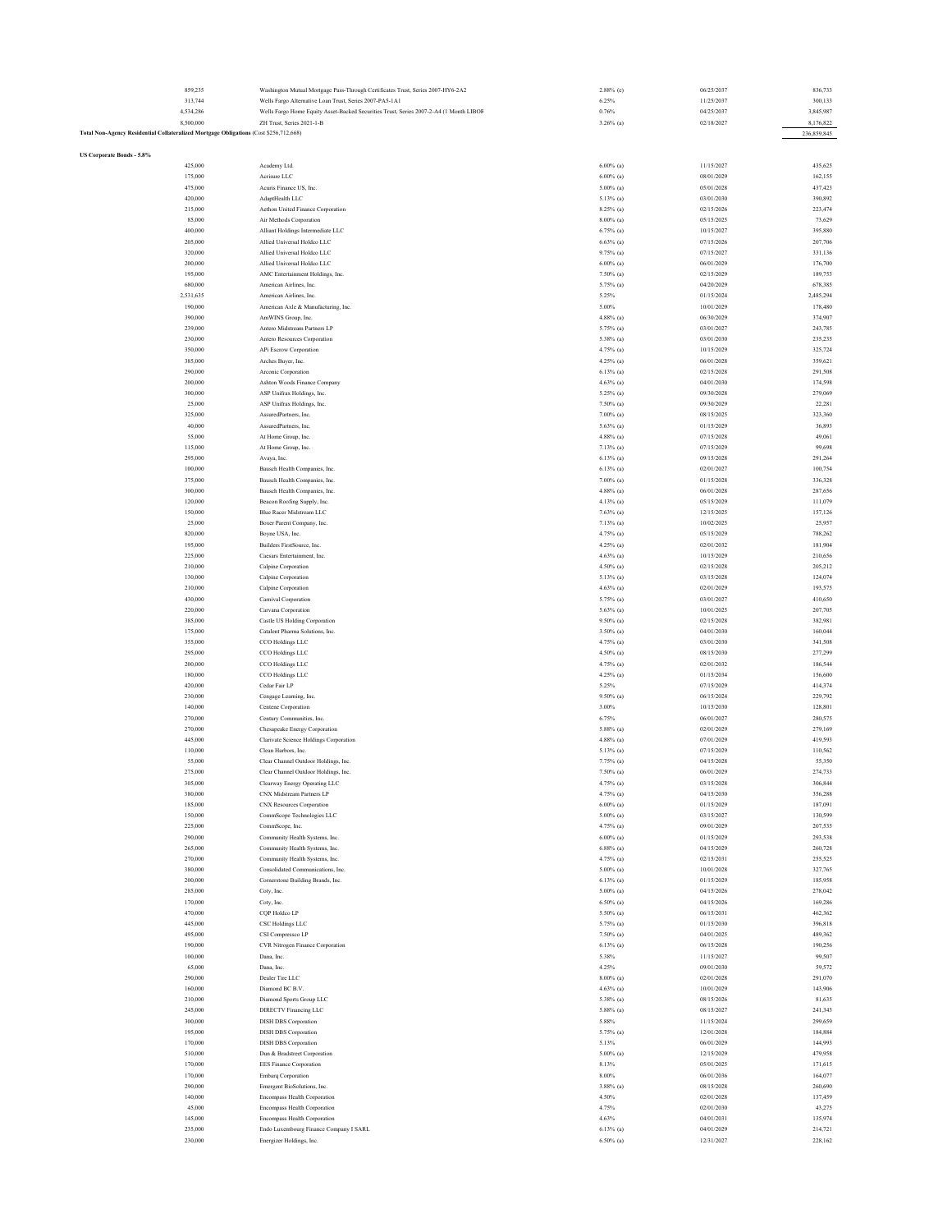|                                                                                       | 859,235   | Washington Mutual Mortgage Pass-Through Certificates Trust, Series 2007-HY6-2A2        | $2.88\%$ (e) | 06/25/2037 | 836,733     |
|---------------------------------------------------------------------------------------|-----------|----------------------------------------------------------------------------------------|--------------|------------|-------------|
|                                                                                       |           |                                                                                        |              |            |             |
|                                                                                       | 313,744   | Wells Fargo Alternative Loan Trust, Series 2007-PA5-1A1                                | 6.25%        | 11/25/2037 | 300,133     |
|                                                                                       | 4,534,286 | Wells Fargo Home Equity Asset-Backed Securities Trust, Series 2007-2-A4 (1 Month LIBOF | 0.76%        | 04/25/2037 | 3,845,987   |
|                                                                                       | 8,500,000 | ZH Trust, Series 2021-1-B                                                              | $3.26\%$ (a) | 02/18/2027 | 8,176,822   |
| Fotal Non-Agency Residential Collateralized Mortgage Obligations (Cost \$256,712,668) |           |                                                                                        |              |            | 236,859,845 |
|                                                                                       |           |                                                                                        |              |            |             |
|                                                                                       |           |                                                                                        |              |            |             |
| US Corporate Bonds - 5.8%                                                             |           |                                                                                        |              |            |             |
|                                                                                       | 425,000   | Academy Ltd.                                                                           | $6.00\%$ (a) | 11/15/2027 | 435,625     |
|                                                                                       |           |                                                                                        |              |            |             |
|                                                                                       | 175,000   | Acrisure LLC                                                                           | $6.00\%$ (a) | 08/01/2029 | 162,155     |
|                                                                                       | 475,000   | Acuris Finance US, Inc.                                                                | $5.00\%$ (a) | 05/01/2028 | 437,423     |
|                                                                                       | 420,000   | AdaptHealth LLC                                                                        | 5.13% (a)    | 03/01/2030 | 390,892     |
|                                                                                       |           |                                                                                        |              |            |             |
|                                                                                       | 215,000   | Aethon United Finance Corporation                                                      | 8.25% (a)    | 02/15/2026 | 223,474     |
|                                                                                       | 85,000    | Air Methods Corporation                                                                | $8.00\%$ (a) | 05/15/2025 | 73,629      |
|                                                                                       | 400,000   | Alliant Holdings Intermediate LLC                                                      | $6.75\%$ (a) | 10/15/2027 | 395,880     |
|                                                                                       |           | Allied Universal Holdco LLC                                                            |              |            |             |
|                                                                                       | 205,000   |                                                                                        | $6.63\%$ (a) | 07/15/2026 | 207,706     |
|                                                                                       | 320,000   | Allied Universal Holdco LLC                                                            | 9.75% (a)    | 07/15/2027 | 331,136     |
|                                                                                       | 200,000   | Allied Universal Holdco LLC                                                            | $6.00\%$ (a) | 06/01/2029 | 176,700     |
|                                                                                       | 195,000   | AMC Entertainment Holdings, Inc.                                                       | 7.50% (a)    | 02/15/2029 | 189,753     |
|                                                                                       |           |                                                                                        |              |            |             |
|                                                                                       | 680,000   | American Airlines, Inc.                                                                | 5.75% (a)    | 04/20/2029 | 678,385     |
|                                                                                       | 2,531,635 | American Airlines, Inc.                                                                | 5.25%        | 01/15/2024 | 2,485,294   |
|                                                                                       | 190,000   | American Axle & Manufacturing, Inc.                                                    | 5.00%        | 10/01/2029 | 178,480     |
|                                                                                       |           |                                                                                        |              |            |             |
|                                                                                       | 390,000   | AmWINS Group, Inc.                                                                     | $4.88\%$ (a) | 06/30/2029 | 374,907     |
|                                                                                       | 239,000   | Antero Midstream Partners LP                                                           | 5.75% (a)    | 03/01/2027 | 243,785     |
|                                                                                       | 230,000   | Antero Resources Corporation                                                           | 5.38% (a)    | 03/01/2030 | 235,235     |
|                                                                                       |           |                                                                                        |              |            |             |
|                                                                                       | 350,000   | APi Escrow Corporation                                                                 | 4.75% (a)    | 10/15/2029 | 325,724     |
|                                                                                       | 385,000   | Arches Buyer, Inc.                                                                     | 4.25% (a)    | 06/01/2028 | 359,621     |
|                                                                                       | 290,000   | Arconic Corporation                                                                    | $6.13\%$ (a) | 02/15/2028 | 291,508     |
|                                                                                       |           |                                                                                        |              |            |             |
|                                                                                       | 200,000   | Ashton Woods Finance Company                                                           | $4.63\%$ (a) | 04/01/2030 | 174,598     |
|                                                                                       | 300,000   | ASP Unifrax Holdings, Inc.                                                             | 5.25% (a)    | 09/30/2028 | 279,069     |
|                                                                                       | 25,000    | ASP Unifrax Holdings, Inc.                                                             | 7.50% (a)    | 09/30/2029 | 22,281      |
|                                                                                       |           |                                                                                        |              |            |             |
|                                                                                       | 325,000   | AssuredPartners, Inc.                                                                  | $7.00\%$ (a) | 08/15/2025 | 323,360     |
|                                                                                       | 40,000    | AssuredPartners, Inc.                                                                  | 5.63% (a)    | 01/15/2029 | 36,893      |
|                                                                                       | 55,000    | At Home Group, Inc.                                                                    | $4.88\%$ (a) | 07/15/2028 | 49,061      |
|                                                                                       |           |                                                                                        |              |            |             |
|                                                                                       | 115,000   | At Home Group, Inc.                                                                    | $7.13\%$ (a) | 07/15/2029 | 99,698      |
|                                                                                       | 295,000   | Avaya, Inc.                                                                            | $6.13\%$ (a) | 09/15/2028 | 291,264     |
|                                                                                       | 100,000   | Bausch Health Companies, Inc.                                                          | $6.13\%$ (a) | 02/01/2027 | 100,754     |
|                                                                                       |           |                                                                                        |              | 01/15/2028 |             |
|                                                                                       | 375,000   | Bausch Health Companies, Inc.                                                          | $7.00\%$ (a) |            | 336,328     |
|                                                                                       | 300,000   | Bausch Health Companies, Inc.                                                          | $4.88\%$ (a) | 06/01/2028 | 287,656     |
|                                                                                       | 120,000   | Beacon Roofing Supply, Inc.                                                            | 4.13% (a)    | 05/15/2029 | 111,079     |
|                                                                                       | 150,000   | Blue Racer Midstream LLC                                                               |              | 12/15/2025 | 157,126     |
|                                                                                       |           |                                                                                        | 7.63% (a)    |            |             |
|                                                                                       | 25,000    | Boxer Parent Company, Inc.                                                             | $7.13\%$ (a) | 10/02/2025 | 25,957      |
|                                                                                       | 820,000   | Boyne USA, Inc.                                                                        | 4.75% (a)    | 05/15/2029 | 788,262     |
|                                                                                       | 195,000   | Builders FirstSource, Inc.                                                             | 4.25% (a)    | 02/01/2032 | 181,904     |
|                                                                                       |           |                                                                                        |              |            |             |
|                                                                                       | 225,000   | Caesars Entertainment, Inc.                                                            | $4.63\%$ (a) | 10/15/2029 | 210,656     |
|                                                                                       | 210,000   | Calpine Corporation                                                                    | 4.50% (a)    | 02/15/2028 | 205,212     |
|                                                                                       | 130,000   | Calpine Corporation                                                                    | 5.13% (a)    | 03/15/2028 | 124,074     |
|                                                                                       |           |                                                                                        |              |            |             |
|                                                                                       | 210,000   | Calpine Corporation                                                                    | $4.63\%$ (a) | 02/01/2029 | 193,575     |
|                                                                                       | 430,000   | Carnival Corporation                                                                   | 5.75% (a)    | 03/01/2027 | 410,650     |
|                                                                                       | 220,000   | Carvana Corporation                                                                    | $5.63\%$ (a) | 10/01/2025 | 207,705     |
|                                                                                       |           |                                                                                        |              |            |             |
|                                                                                       | 385,000   | <b>Castle US Holding Corporation</b>                                                   | $9.50\%$ (a) | 02/15/2028 | 382,981     |
|                                                                                       | 175,000   | Catalent Pharma Solutions, Inc.                                                        | $3.50\%$ (a) | 04/01/2030 | 160,044     |
|                                                                                       | 355,000   | CCO Holdings LLC                                                                       | 4.75% (a)    | 03/01/2030 | 341,508     |
|                                                                                       |           |                                                                                        |              |            |             |
|                                                                                       | 295,000   | CCO Holdings LLC                                                                       | 4.50% (a)    | 08/15/2030 | 277,299     |
|                                                                                       | 200,000   | CCO Holdings LLC                                                                       | 4.75% (a)    | 02/01/2032 | 186,544     |
|                                                                                       | 180,000   | CCO Holdings LLC                                                                       | 4.25% (a)    | 01/15/2034 | 156,600     |
|                                                                                       |           |                                                                                        |              |            |             |
|                                                                                       | 420,000   | Cedar Fair LP                                                                          | 5.25%        | 07/15/2029 | 414,374     |
|                                                                                       | 230,000   | Cengage Learning, Inc.                                                                 | $9.50\%$ (a) | 06/15/2024 | 229,792     |
|                                                                                       | 140,000   | Centene Corporation                                                                    | 3.00%        | 10/15/2030 | 128,801     |
|                                                                                       |           |                                                                                        |              |            |             |
|                                                                                       | 270,000   | Century Communities, Inc.                                                              | 6.75%        | 06/01/2027 | 280,575     |
|                                                                                       | 270,000   | Chesapeake Energy Corporation                                                          | 5.88% (a)    | 02/01/2029 | 279,169     |
|                                                                                       | 445,000   | Clarivate Science Holdings Corporation                                                 | $4.88\%$ (a) | 07/01/2029 | 419,593     |
|                                                                                       |           |                                                                                        |              |            |             |
|                                                                                       | 110,000   | Clean Harbors, Inc.                                                                    | 5.13% (a)    | 07/15/2029 | 110,562     |
|                                                                                       | 55,000    | Clear Channel Outdoor Holdings, Inc.                                                   | 7.75% (a)    | 04/15/2028 | 55,350      |
|                                                                                       | 275,000   | Clear Channel Outdoor Holdings, Inc.                                                   | 7.50% (a)    | 06/01/2029 | 274,733     |
|                                                                                       | 305,000   | ay Energy Operating LLC                                                                | $4.75\%$ (a) | 03/15/2028 | 306.844     |
|                                                                                       |           |                                                                                        |              |            |             |
|                                                                                       | 380,000   | CNX Midstream Partners LP                                                              | 4.75% (a)    | 04/15/2030 | 356,288     |
|                                                                                       | 185,000   | <b>CNX Resources Corporation</b>                                                       | $6.00\%$ (a) | 01/15/2029 | 187,091     |
|                                                                                       | 150,000   | CommScope Technologies LLC                                                             | $5.00\%$ (a) | 03/15/2027 | 130,599     |
|                                                                                       |           |                                                                                        |              |            |             |
|                                                                                       | 225,000   | CommScope, Inc.                                                                        | 4.75% (a)    | 09/01/2029 | 207,535     |
|                                                                                       | 290,000   | Community Health Systems, Inc.                                                         | $6.00\%$ (a) | 01/15/2029 | 293,538     |
|                                                                                       | 265,000   | Community Health Systems, Inc.                                                         | $6.88\%$ (a) | 04/15/2029 | 260,728     |
|                                                                                       |           |                                                                                        |              |            |             |
|                                                                                       | 270,000   | Community Health Systems, Inc.                                                         | 4.75% (a)    | 02/15/2031 | 255,525     |
|                                                                                       | 380,000   | Consolidated Communications, Inc.                                                      | $5.00\%$ (a) | 10/01/2028 | 327,765     |
|                                                                                       | 200,000   | Cornerstone Building Brands, Inc.                                                      | $6.13\%$ (a) | 01/15/2029 | 185,958     |
|                                                                                       |           |                                                                                        |              | 04/15/2026 |             |
|                                                                                       | 285,000   | Coty, Inc.                                                                             | $5.00\%$ (a) |            | 278,042     |
|                                                                                       | 170,000   | Coty, Inc.                                                                             | $6.50\%$ (a) | 04/15/2026 | 169,286     |
|                                                                                       | 470,000   | CQP Holdco LP                                                                          | 5.50% (a)    | 06/15/2031 | 462,362     |
|                                                                                       | 445,000   | CSC Holdings LLC                                                                       | 5.75% (a)    | 01/15/2030 | 396,818     |
|                                                                                       |           |                                                                                        |              |            |             |
|                                                                                       | 495,000   | CSI Compressco LP                                                                      | 7.50% (a)    | 04/01/2025 | 489,362     |
|                                                                                       | 190,000   | CVR Nitrogen Finance Corporation                                                       | $6.13\%$ (a) | 06/15/2028 | 190,256     |
|                                                                                       | 100,000   | Dana, Inc.                                                                             | 5.38%        | 11/15/2027 | 99,507      |
|                                                                                       |           |                                                                                        |              |            |             |
|                                                                                       | 65,000    | Dana, Inc.                                                                             | 4.25%        | 09/01/2030 | 59,572      |
|                                                                                       | 290,000   | Dealer Tire LLC                                                                        | $8.00\%$ (a) | 02/01/2028 | 291,070     |
|                                                                                       | 160,000   | Diamond BC B.V.                                                                        | $4.63\%$ (a) | 10/01/2029 | 143,906     |
|                                                                                       | 210,000   | Diamond Sports Group LLC                                                               | 5.38% (a)    | 08/15/2026 | 81,635      |
|                                                                                       |           |                                                                                        |              |            |             |
|                                                                                       | 245,000   | <b>DIRECTV</b> Financing LLC                                                           | 5.88% (a)    | 08/15/2027 | 241,343     |
|                                                                                       | 300,000   | <b>DISH DBS</b> Corporation                                                            | 5.88%        | 11/15/2024 | 299,659     |
|                                                                                       | 195,000   | <b>DISH DBS</b> Corporation                                                            |              | 12/01/2028 |             |
|                                                                                       |           |                                                                                        | 5.75% (a)    |            | 184,884     |
|                                                                                       | 170,000   | <b>DISH DBS</b> Corporation                                                            | 5.13%        | 06/01/2029 | 144,993     |
|                                                                                       | 510,000   | Dun & Bradstreet Corporation                                                           | 5.00% (a)    | 12/15/2029 | 479,958     |
|                                                                                       | 170,000   | <b>EES Finance Corporation</b>                                                         | 8.13%        | 05/01/2025 | 171,615     |
|                                                                                       |           |                                                                                        |              |            |             |
|                                                                                       | 170,000   | <b>Embarq Corporation</b>                                                              | $8.00\%$     | 06/01/2036 | 164,077     |
|                                                                                       | 290,000   | Emergent BioSolutions, Inc.                                                            | $3.88\%$ (a) | 08/15/2028 | 260,690     |
|                                                                                       |           |                                                                                        |              | 02/01/2028 |             |
|                                                                                       | 140,000   | Encompass Health Corporation                                                           | 4.50%        |            | 137,459     |
|                                                                                       | 45,000    | <b>Encompass Health Corporation</b>                                                    | 4.75%        | 02/01/2030 | 43,275      |
|                                                                                       | 145,000   | Encompass Health Corporation                                                           | 4.63%        | 04/01/2031 | 135,974     |
|                                                                                       | 235,000   | Endo Luxembourg Finance Company I SARL                                                 | $6.13\%$ (a) | 04/01/2029 | 214,721     |
|                                                                                       |           |                                                                                        |              |            |             |
|                                                                                       | 230,000   | Energizer Holdings, Inc.                                                               | $6.50\%$ (a) | 12/31/2027 | 228,162     |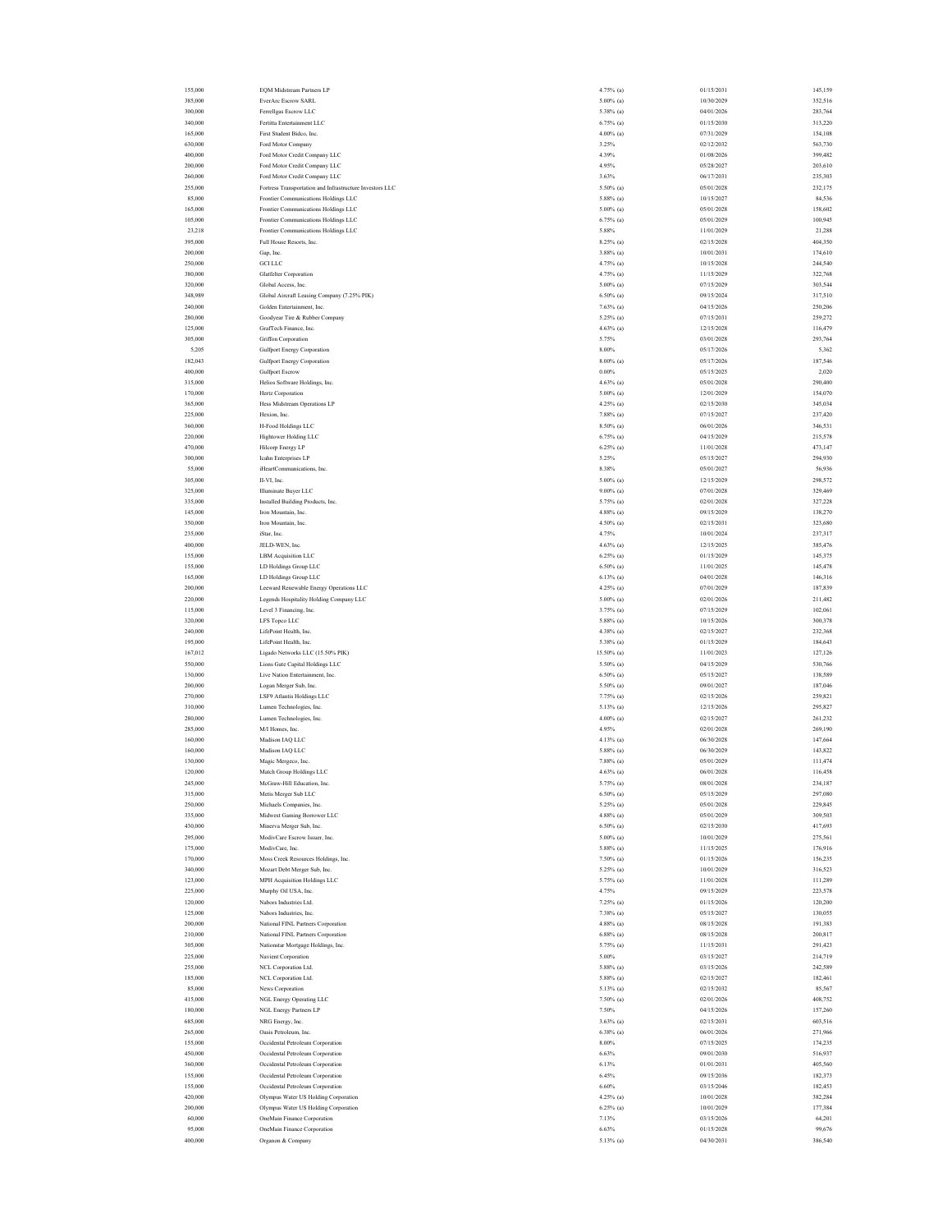| 155,000 | <b>EQM Midstream Partners LP</b>                         | 4.75% (a)    | 01/15/2031 | 145,159 |
|---------|----------------------------------------------------------|--------------|------------|---------|
| 385,000 | EverAre Escrow SARL                                      | $5.00\%$ (a) | 10/30/2029 | 352,516 |
| 300,000 | Ferrellgas Escrow LLC                                    | 5.38% (a)    | 04/01/2026 | 283,764 |
| 340,000 | Fertitta Entertainment LLC                               | $6.75\%$ (a) | 01/15/2030 | 313,220 |
| 165,000 | First Student Bidco, Inc.                                | $4.00\%$ (a) | 07/31/2029 | 154,108 |
|         |                                                          |              |            |         |
| 630,000 | Ford Motor Company                                       | 3.25%        | 02/12/2032 | 563,730 |
| 400,000 | Ford Motor Credit Company LLC                            | 4.39%        | 01/08/2026 | 399,482 |
| 200,000 | Ford Motor Credit Company LLC                            | 4.95%        | 05/28/2027 | 203,610 |
| 260,000 | Ford Motor Credit Company LLC                            | 3.63%        | 06/17/2031 | 235,303 |
| 255,000 | Fortress Transportation and Infrastructure Investors LLC | 5.50% (a)    | 05/01/2028 | 232,175 |
| 85,000  | Frontier Communications Holdings LLC                     | $5.88\%$ (a) | 10/15/2027 | 84,536  |
| 165,000 | Frontier Communications Holdings LLC                     | $5.00\%$ (a) | 05/01/2028 | 158,602 |
| 105,000 | Frontier Communications Holdings LLC                     | $6.75\%$ (a) | 05/01/2029 | 100,945 |
|         | Frontier Communications Holdings LLC                     |              | 11/01/2029 |         |
| 23,218  |                                                          | 5.88%        |            | 21,288  |
| 395,000 | Full House Resorts, Inc.                                 | 8.25% (a)    | 02/15/2028 | 404,350 |
| 200,000 | Gap, Inc.                                                | $3.88\%$ (a) | 10/01/2031 | 174,610 |
| 250,000 | <b>GCI LLC</b>                                           | 4.75% (a)    | 10/15/2028 | 244,540 |
| 380,000 | <b>Glatfelter Corporation</b>                            | 4.75% (a)    | 11/15/2029 | 322,768 |
| 320,000 | Global Access, Inc.                                      | $5.00\%$ (a) | 07/15/2029 | 303,544 |
| 348,989 | Global Aircraft Leasing Company (7.25% PIK)              | $6.50\%$ (a) | 09/15/2024 | 317,510 |
| 240,000 | Golden Entertainment, Inc.                               | $7.63\%$ (a) | 04/15/2026 | 250,206 |
| 280,000 | Goodyear Tire & Rubber Company                           | 5.25% (a)    | 07/15/2031 | 259,272 |
| 125,000 | GrafTech Finance, Inc.                                   | $4.63\%$ (a) | 12/15/2028 | 116,479 |
|         |                                                          |              |            |         |
| 305,000 | Griffon Corporation                                      | 5.75%        | 03/01/2028 | 293,764 |
| 5,205   | <b>Gulfport Energy Corporation</b>                       | $8.00\%$     | 05/17/2026 | 5,362   |
| 182,043 | <b>Gulfport Energy Corporation</b>                       | $8.00\%$ (a) | 05/17/2026 | 187,546 |
| 400,000 | <b>Gulfport Escrow</b>                                   | $0.00\%$     | 05/15/2025 | 2,020   |
| 315,000 | Helios Software Holdings, Inc.                           | $4.63\%$ (a) | 05/01/2028 | 290,400 |
| 170,000 | Hertz Corporation                                        | $5.00\%$ (a) | 12/01/2029 | 154,070 |
| 365,000 | Hess Midstream Operations LP                             | 4.25% (a)    | 02/15/2030 | 345,034 |
| 225,000 | Hexion, Inc.                                             | $7.88\%$ (a) | 07/15/2027 | 237,420 |
|         |                                                          |              |            |         |
| 360,000 | H-Food Holdings LLC                                      | 8.50% (a)    | 06/01/2026 | 346,531 |
| 220,000 | Hightower Holding LLC                                    | $6.75\%$ (a) | 04/15/2029 | 215,578 |
| 470,000 | Hilcorp Energy LP                                        | $6.25\%$ (a) | 11/01/2028 | 473,147 |
| 300,000 | Icahn Enterprises LP                                     | 5.25%        | 05/15/2027 | 294,930 |
| 55,000  | iHeartCommunications, Inc.                               | 8.38%        | 05/01/2027 | 56,936  |
| 305,000 | II-VI, Inc.                                              | $5.00\%$ (a) | 12/15/2029 | 298,572 |
| 325,000 | Illuminate Buyer LLC                                     | $9.00\%$ (a) | 07/01/2028 | 329,469 |
|         |                                                          |              |            |         |
| 335,000 | Installed Building Products, Inc.                        | 5.75% (a)    | 02/01/2028 | 327,228 |
| 145,000 | Iron Mountain, Inc.                                      | $4.88\%$ (a) | 09/15/2029 | 138,270 |
| 350,000 | Iron Mountain, Inc.                                      | 4.50% (a)    | 02/15/2031 | 323,680 |
| 235,000 | iStar, Inc.                                              | 4.75%        | 10/01/2024 | 237,317 |
| 400,000 | JELD-WEN, Inc.                                           | 4.63% (a)    | 12/15/2025 | 385,476 |
| 155,000 | LBM Acquisition LLC                                      | $6.25\%$ (a) | 01/15/2029 | 145,375 |
| 155,000 | LD Holdings Group LLC                                    | $6.50\%$ (a) | 11/01/2025 | 145,478 |
|         |                                                          |              | 04/01/2028 |         |
| 165,000 | LD Holdings Group LLC                                    | $6.13\%$ (a) |            | 146,316 |
| 200,000 | Leeward Renewable Energy Operations LLC                  | 4.25% (a)    | 07/01/2029 | 187,839 |
| 220,000 | Legends Hospitality Holding Company LLC                  | $5.00\%$ (a) | 02/01/2026 | 211,482 |
| 115,000 | Level 3 Financing, Inc.                                  | 3.75% (a)    | 07/15/2029 | 102,061 |
| 320,000 | LFS Topco LLC                                            | 5.88% (a)    | 10/15/2026 | 300,378 |
| 240,000 | LifePoint Health, Inc.                                   | 4.38% (a)    | 02/15/2027 | 232,368 |
| 195,000 | LifePoint Health, Inc.                                   | 5.38% (a)    | 01/15/2029 | 184,643 |
| 167,012 | Ligado Networks LLC (15.50% PIK)                         | 15.50% (a)   | 11/01/2023 | 127,126 |
| 550,000 | Lions Gate Capital Holdings LLC                          | 5.50% (a)    | 04/15/2029 | 530,766 |
|         |                                                          |              |            |         |
| 130,000 | Live Nation Entertainment, Inc.                          | $6.50\%$ (a) | 05/15/2027 | 138,589 |
| 200,000 | Logan Merger Sub, Inc.                                   | 5.50% (a)    | 09/01/2027 | 187,046 |
| 270,000 | LSF9 Atlantis Holdings LLC                               | $7.75\%$ (a) | 02/15/2026 | 259,821 |
| 310,000 | Lumen Technologies, Inc.                                 | 5.13% (a)    | 12/15/2026 | 295,827 |
| 280,000 | Lumen Technologies, Inc.                                 | $4.00\%$ (a) | 02/15/2027 | 261,232 |
| 285,000 | M/I Homes, Inc.                                          | 4.95%        | 02/01/2028 | 269,190 |
| 160,000 | Madison IAQ LLC                                          | 4.13% (a)    | 06/30/2028 | 147,664 |
| 160,000 | Madison IAQ LLC                                          | $5.88\%$ (a) | 06/30/2029 | 143,822 |
| 130,000 | Magic Mergeco, Inc.                                      | $7.88\%$ (a) | 05/01/2029 | 111,474 |
|         |                                                          |              |            |         |
| 120,000 | Match Group Holdings LLC                                 | $4.63\%$ (a) | 06/01/2028 | 116,458 |
| 245,000 | McGraw-Hill Education, Inc                               | 5.75% (a)    | 08/01/2028 | 234,187 |
| 315,000 | Metis Merger Sub LLC                                     | $6.50\%$ (a) | 05/15/2029 | 297,080 |
| 250,000 | Michaels Companies, Inc.                                 | 5.25% (a)    | 05/01/2028 | 229,845 |
| 335,000 | Midwest Gaming Borrower LLC                              | $4.88\%$ (a) | 05/01/2029 | 309,503 |
| 430,000 | Minerva Merger Sub, Inc.                                 | $6.50\%$ (a) | 02/15/2030 | 417,693 |
| 295,000 | ModivCare Escrow Issuer, Inc.                            | $5.00\%$ (a) | 10/01/2029 | 275,561 |
| 175,000 | ModivCare, Inc.                                          | 5.88% (a)    | 11/15/2025 | 176,916 |
| 170,000 | Moss Creek Resources Holdings, Inc.                      | $7.50\%$ (a) | 01/15/2026 | 156,235 |
| 340,000 | Mozart Debt Merger Sub, Inc.                             | 5.25% (a)    | 10/01/2029 | 316,523 |
| 123,000 |                                                          |              |            |         |
|         | MPH Acquisition Holdings LLC                             | 5.75% (a)    | 11/01/2028 | 111,289 |
| 225,000 | Murphy Oil USA, Inc.                                     | 4.75%        | 09/15/2029 | 223,578 |
| 120,000 | Nabors Industries Ltd.                                   | 7.25% (a)    | 01/15/2026 | 120,200 |
| 125,000 | Nabors Industries, Inc.                                  | 7.38% (a)    | 05/15/2027 | 130,055 |
| 200,000 | National FINL Partners Corporation                       | 4.88% (a)    | 08/15/2028 | 191,383 |
| 210,000 | National FINL Partners Corporation                       | $6.88\%$ (a) | 08/15/2028 | 200,817 |
| 305,000 | Nationstar Mortgage Holdings, Inc.                       | 5.75% (a)    | 11/15/2031 | 291,423 |
| 225,000 | Navient Corporation                                      | 5.00%        | 03/15/2027 | 214,719 |
|         |                                                          |              |            |         |
| 255,000 | NCL Corporation Ltd.                                     | 5.88% (a)    | 03/15/2026 | 242,589 |
| 185,000 | NCL Corporation Ltd.                                     | 5.88% (a)    | 02/15/2027 | 182,461 |
| 85,000  | News Corporation                                         | 5.13% (a)    | 02/15/2032 | 85,567  |
| 415,000 | NGL Energy Operating LLC                                 | $7.50\%$ (a) | 02/01/2026 | 408,752 |
| 180,000 | NGL Energy Partners LP                                   | 7.50%        | 04/15/2026 | 157,260 |
| 685,000 | NRG Energy, Inc.                                         | $3.63\%$ (a) | 02/15/2031 | 603,516 |
| 265,000 | Oasis Petroleum, Inc.                                    | $6.38\%$ (a) | 06/01/2026 | 271,966 |
| 155,000 | Occidental Petroleum Corporation                         | $8.00\%$     | 07/15/2025 | 174,235 |
|         |                                                          |              |            |         |
| 450,000 | Occidental Petroleum Corporation                         | 6.63%        | 09/01/2030 | 516,937 |
| 360,000 | Occidental Petroleum Corporation                         | 6.13%        | 01/01/2031 | 405,560 |
| 155,000 | Occidental Petroleum Corporation                         | 6.45%        | 09/15/2036 | 182,373 |
| 155,000 | Occidental Petroleum Corporation                         | $6.60\%$     | 03/15/2046 | 182,453 |
| 420,000 | Olympus Water US Holding Corporation                     | 4.25% (a)    | 10/01/2028 | 382,284 |
| 200,000 | Olympus Water US Holding Corporation                     | $6.25\%$ (a) | 10/01/2029 | 177,384 |
| 60,000  | OneMain Finance Corporation                              | 7.13%        | 03/15/2026 | 64,201  |
| 95,000  | OneMain Finance Corporation                              | 6.63%        | 01/15/2028 | 99,676  |
|         |                                                          |              |            |         |
| 400,000 | Organon & Company                                        | 5.13% (a)    | 04/30/2031 | 386,540 |
|         |                                                          |              |            |         |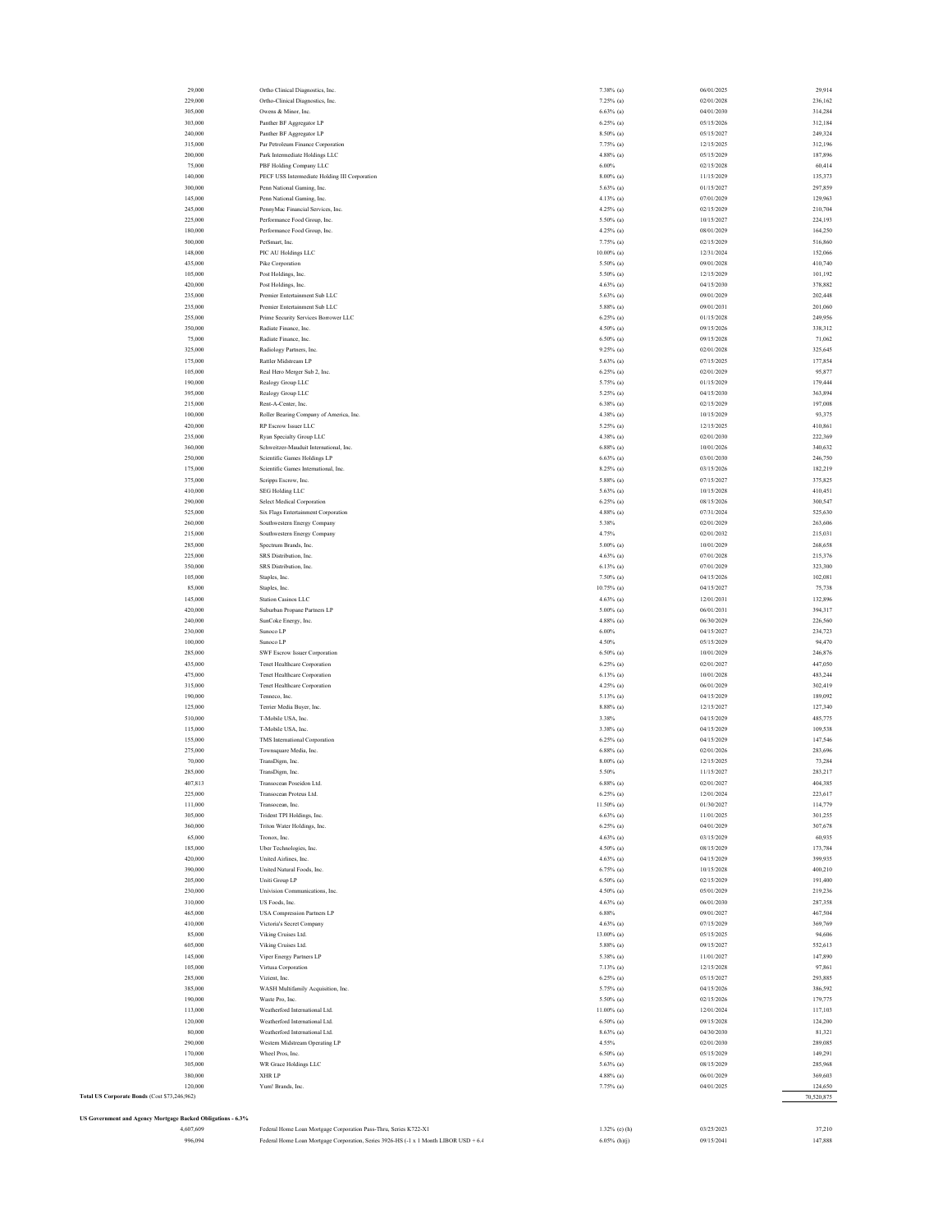| 996,094                                                     | Federal Home Loan Mortgage Corporation Pass-Thru, Series K722-X1<br>Federal Home Loan Mortgage Corporation, Series 3926-HS (-1 x 1 Month LIBOR USD + 6.4 | 1.32% (e) (h)<br>$6.05\%$ (h)(j) | 09/15/2041 | 37,210<br>147,888 |
|-------------------------------------------------------------|----------------------------------------------------------------------------------------------------------------------------------------------------------|----------------------------------|------------|-------------------|
| 4,607,609                                                   |                                                                                                                                                          |                                  | 03/25/2023 |                   |
| US Government and Agency Mortgage Backed Obligations - 6.3% |                                                                                                                                                          |                                  |            |                   |
|                                                             |                                                                                                                                                          |                                  |            |                   |
| Total US Corporate Bonds (Cost \$73,246,962)                |                                                                                                                                                          |                                  |            | 70,520,875        |
| 120,000                                                     | Yum! Brands, Inc.                                                                                                                                        | 7.75% (a)                        | 04/01/2025 | 124,650           |
|                                                             |                                                                                                                                                          |                                  |            |                   |
| 380,000                                                     | XHR LP                                                                                                                                                   | $4.88\%$ (a)                     | 06/01/2029 | 369,603           |
| 305,000                                                     | WR Grace Holdings LLC                                                                                                                                    | $5.63\%$ (a)                     | 08/15/2029 | 285,968           |
| 170,000                                                     | Wheel Pros, Inc.                                                                                                                                         | $6.50\%$ (a)                     | 05/15/2029 | 149,291           |
| 290,000                                                     | Western Midstream Operating LP                                                                                                                           | 4.55%                            | 02/01/2030 | 289,085           |
| 80,000                                                      | Weatherford International Ltd.                                                                                                                           | $8.63\%$ (a)                     | 04/30/2030 | 81,321            |
|                                                             |                                                                                                                                                          |                                  |            |                   |
| 120,000                                                     | Weatherford International Ltd.                                                                                                                           | $6.50\%$ (a)                     | 09/15/2028 | 124,200           |
| 113,000                                                     | Weatherford International Ltd.                                                                                                                           | $11.00\%$ (a)                    | 12/01/2024 | 117,103           |
| 190,000                                                     | Waste Pro, Inc.                                                                                                                                          | 5.50% (a)                        | 02/15/2026 | 179,775           |
| 385,000                                                     | WASH Multifamily Acquisition, Inc.                                                                                                                       | 5.75% (a)                        | 04/15/2026 | 386,592           |
| 285,000                                                     | Vizient, Inc.                                                                                                                                            | $6.25\%$ (a)                     | 05/15/2027 | 293,885           |
|                                                             |                                                                                                                                                          |                                  |            |                   |
| 105,000                                                     | Virtusa Corporation                                                                                                                                      | $7.13\%$ (a)                     | 12/15/2028 | 97,861            |
| 145,000                                                     | Viper Energy Partners LP                                                                                                                                 | 5.38% (a)                        | 11/01/2027 | 147,890           |
| 605,000                                                     | Viking Cruises Ltd.                                                                                                                                      | 5.88% (a)                        | 09/15/2027 | 552,613           |
| 85,000                                                      | Viking Cruises Ltd.                                                                                                                                      | 13.00% (a)                       | 05/15/2025 | 94,606            |
| 410,000                                                     | Victoria's Secret Company                                                                                                                                | $4.63\%$ (a)                     | 07/15/2029 | 369,769           |
| 465,000                                                     | <b>USA Compression Partners LP</b>                                                                                                                       | $6.88\%$                         | 09/01/2027 | 467,504           |
| 310,000                                                     | US Foods, Inc.                                                                                                                                           | $4.63\%$ (a)                     |            | 287,358           |
|                                                             |                                                                                                                                                          |                                  | 06/01/2030 |                   |
| 230,000                                                     | Univision Communications, Inc.                                                                                                                           | $4.50\%$ (a)                     | 05/01/2029 | 219,236           |
| 205,000                                                     | Uniti Group LP                                                                                                                                           | $6.50\%$ (a)                     | 02/15/2029 | 191,400           |
| 390,000                                                     | United Natural Foods, Inc.                                                                                                                               | $6.75\%$ (a)                     | 10/15/2028 | 400,210           |
| 420,000                                                     | United Airlines, Inc.                                                                                                                                    | $4.63\%$ (a)                     | 04/15/2029 | 399,935           |
| 185,000                                                     | Uber Technologies, Inc.                                                                                                                                  | 4.50% (a)                        | 08/15/2029 | 173,784           |
|                                                             |                                                                                                                                                          |                                  |            |                   |
| 65,000                                                      | Tronox, Inc.                                                                                                                                             | $4.63\%$ (a)                     | 03/15/2029 | 60,935            |
| 360,000                                                     | Triton Water Holdings, Inc.                                                                                                                              | $6.25\%$ (a)                     | 04/01/2029 | 307,678           |
| 305,000                                                     | Trident TPI Holdings, Inc.                                                                                                                               | $6.63\%$ (a)                     | 11/01/2025 | 301,255           |
|                                                             |                                                                                                                                                          |                                  |            |                   |
| 111,000                                                     | Transocean, Inc.                                                                                                                                         | $11.50\%$ (a)                    | 01/30/2027 | 114,779           |
| 225,000                                                     | Transocean Proteus Ltd.                                                                                                                                  | $6.25\%$ (a)                     | 12/01/2024 | 223,617           |
| 407.813                                                     | Transocean Poseidon Ltd.                                                                                                                                 | $6.88\%$ (a)                     | 02/01/2027 | 404.385           |
| 285,000                                                     | TransDigm, Inc.                                                                                                                                          | 5.50%                            | 11/15/2027 | 283,217           |
|                                                             | TransDigm, Inc.                                                                                                                                          |                                  |            |                   |
| 70,000                                                      |                                                                                                                                                          | $8.00\%$ (a)                     | 12/15/2025 | 73,284            |
| 275,000                                                     | Townsquare Media, Inc.                                                                                                                                   | $6.88\%$ (a)                     | 02/01/2026 | 283,696           |
| 155,000                                                     | TMS International Corporation                                                                                                                            | $6.25\%$ (a)                     | 04/15/2029 | 147,546           |
| 115,000                                                     | T-Mobile USA, Inc.                                                                                                                                       | 3.38% (a)                        | 04/15/2029 | 109,538           |
| 510,000                                                     | T-Mobile USA, Inc.                                                                                                                                       | 3.38%                            | 04/15/2029 | 485,775           |
| 125,000                                                     | Terrier Media Buyer, Inc.                                                                                                                                | $8.88\%$ (a)                     | 12/15/2027 | 127,340           |
| 190,000                                                     | Tenneco, Inc.                                                                                                                                            |                                  |            | 189,092           |
|                                                             |                                                                                                                                                          | 5.13% (a)                        | 04/15/2029 |                   |
| 315,000                                                     | Tenet Healthcare Corporation                                                                                                                             | $4.25\%$ (a)                     | 06/01/2029 | 302,419           |
| 475,000                                                     | Tenet Healthcare Corporation                                                                                                                             | $6.13\%$ (a)                     | 10/01/2028 | 483,244           |
| 435,000                                                     | <b>Tenet Healthcare Corporation</b>                                                                                                                      | $6.25\%$ (a)                     | 02/01/2027 | 447,050           |
|                                                             |                                                                                                                                                          |                                  |            |                   |
| 285,000                                                     | SWF Escrow Issuer Corporation                                                                                                                            | $6.50\%$ (a)                     | 10/01/2029 | 246,876           |
| 100,000                                                     | Sunoco LP                                                                                                                                                | 4.50%                            | 05/15/2029 | 94,470            |
| 230,000                                                     | Sunoco LP                                                                                                                                                | 6.00%                            | 04/15/2027 | 234,723           |
| 240,000                                                     | SunCoke Energy, Inc.                                                                                                                                     |                                  |            |                   |
|                                                             |                                                                                                                                                          | $4.88\%$ (a)                     | 06/30/2029 | 226,560           |
| 420,000                                                     | Suburban Propane Partners LP                                                                                                                             | $5.00\%$ (a)                     | 06/01/2031 | 394,317           |
| 145,000                                                     | <b>Station Casinos LLC</b>                                                                                                                               | $4.63\%$ (a)                     | 12/01/2031 | 132,896           |
| 85,000                                                      | Staples, Inc.                                                                                                                                            | $10.75\%$ (a)                    | 04/15/2027 | 75,738            |
|                                                             |                                                                                                                                                          |                                  |            |                   |
| 105,000                                                     | Staples, Inc.                                                                                                                                            | 7.50% (a)                        | 04/15/2026 | 102,081           |
| 350,000                                                     | SRS Distribution, Inc.                                                                                                                                   | $6.13\%$ (a)                     | 07/01/2029 | 323,300           |
| 225,000                                                     | SRS Distribution, Inc.                                                                                                                                   | $4.63\%$ (a)                     | 07/01/2028 | 215,376           |
| 285,000                                                     | Spectrum Brands, Inc.                                                                                                                                    | $5.00\%$ (a)                     | 10/01/2029 | 268,658           |
|                                                             |                                                                                                                                                          |                                  |            |                   |
| 215,000                                                     | Southwestern Energy Company                                                                                                                              | 4.75%                            | 02/01/2032 | 215,031           |
| 260,000                                                     | Southwestern Energy Company                                                                                                                              | 5.38%                            | 02/01/2029 | 263,606           |
| 525,000                                                     | Six Flags Entertainment Corporation                                                                                                                      | $4.88\%$ (a)                     | 07/31/2024 | 525,630           |
|                                                             |                                                                                                                                                          |                                  |            |                   |
| 290,000                                                     | <b>Select Medical Corporation</b>                                                                                                                        | $6.25\%$ (a)                     | 08/15/2026 | 300,547           |
| 410,000                                                     | <b>SEG Holding LLC</b>                                                                                                                                   | $5.63\%$ (a)                     | 10/15/2028 | 410,451           |
| 375,000                                                     | Scripps Escrow, Inc.                                                                                                                                     | $5.88\%$ (a)                     | 07/15/2027 | 375,825           |
| 175,000                                                     | Scientific Games International, Inc.                                                                                                                     |                                  |            |                   |
|                                                             |                                                                                                                                                          | $8.25\%$ (a)                     | 03/15/2026 | 182,219           |
| 250,000                                                     | Scientific Games Holdings LP                                                                                                                             | $6.63\%$ (a)                     | 03/01/2030 | 246,750           |
| 360,000                                                     | Schweitzer-Mauduit International, Inc.                                                                                                                   | $6.88\%$ (a)                     | 10/01/2026 | 340,632           |
| 235,000                                                     | Ryan Specialty Group LLC                                                                                                                                 | $4.38\%$ (a)                     | 02/01/2030 | 222,369           |
| 420,000                                                     | RP Escrow Issuer LLC                                                                                                                                     | 5.25% (a)                        | 12/15/2025 | 410,861           |
|                                                             |                                                                                                                                                          |                                  |            |                   |
| 100,000                                                     | Roller Bearing Company of America, Inc.                                                                                                                  | 4.38% (a)                        | 10/15/2029 | 93,375            |
| 215,000                                                     | Rent-A-Center, Inc.                                                                                                                                      | $6.38\%$ (a)                     | 02/15/2029 | 197,008           |
| 395,000                                                     | Realogy Group LLC                                                                                                                                        | 5.25% (a)                        | 04/15/2030 | 363,894           |
| 190,000                                                     | Realogy Group LLC                                                                                                                                        | 5.75% (a)                        | 01/15/2029 | 179,444           |
| 105,000                                                     | Real Hero Merger Sub 2, Inc.                                                                                                                             | $6.25\%$ (a)                     | 02/01/2029 | 95,877            |
| 175,000                                                     | Rattler Midstream LP                                                                                                                                     | $5.63\%$ (a)                     | 07/15/2025 | 177,854           |
| 325,000                                                     | Radiology Partners, Inc.                                                                                                                                 |                                  |            |                   |
|                                                             |                                                                                                                                                          | $9.25\%$ (a)                     | 02/01/2028 | 325,645           |
| 75,000                                                      | Radiate Finance, Inc.                                                                                                                                    | $6.50\%$ (a)                     | 09/15/2028 | 71,062            |
| 350,000                                                     | Radiate Finance, Inc.                                                                                                                                    | $4.50\%$ (a)                     | 09/15/2026 | 338,312           |
| 255,000                                                     | Prime Security Services Borrower LLC                                                                                                                     | $6.25\%$ (a)                     | 01/15/2028 | 249,956           |
| 235,000                                                     | Premier Entertainment Sub LLC                                                                                                                            | $5.88\%$ (a)                     | 09/01/2031 | 201,060           |
| 235,000                                                     | Premier Entertainment Sub LLC                                                                                                                            | $5.63\%$ (a)                     | 09/01/2029 | 202,448           |
| 420,000                                                     | Post Holdings, Inc.                                                                                                                                      | $4.63\%$ (a)                     |            | 378,882           |
|                                                             |                                                                                                                                                          |                                  | 04/15/2030 |                   |
| 105,000                                                     | Post Holdings, Inc.                                                                                                                                      | 5.50% (a)                        | 12/15/2029 | 101,192           |
| 435,000                                                     | Pike Corporation                                                                                                                                         | $5.50\%$ (a)                     | 09/01/2028 | 410,740           |
| 148,000                                                     | PIC AU Holdings LLC                                                                                                                                      | $10.00\%$ (a)                    | 12/31/2024 | 152,066           |
| 500,000                                                     | PetSmart, Inc.                                                                                                                                           | 7.75% (a)                        | 02/15/2029 | 516,860           |
| 180,000                                                     | Performance Food Group, Inc.                                                                                                                             | 4.25% (a)                        | 08/01/2029 | 164,250           |
| 225,000                                                     | Performance Food Group, Inc.                                                                                                                             | 5.50% (a)                        | 10/15/2027 | 224,193           |
| 245,000                                                     | PennyMac Financial Services, Inc.                                                                                                                        | $4.25\%$ (a)                     | 02/15/2029 | 210,704           |
| 145,000                                                     | Penn National Gaming, Inc.                                                                                                                               | $4.13\%$ (a)                     | 07/01/2029 | 129,963           |
| 300,000                                                     | Penn National Gaming, Inc.                                                                                                                               | $5.63\%$ (a)                     | 01/15/2027 | 297,859           |
| 140,000                                                     | PECF USS Intermediate Holding III Corporation                                                                                                            | $8.00\%$ (a)                     | 11/15/2029 | 135,373           |
| 75,000                                                      | PBF Holding Company LLC                                                                                                                                  | $6.00\%$                         | 02/15/2028 | 60,414            |
| 200,000                                                     | Park Intermediate Holdings LLC                                                                                                                           | $4.88\%$ (a)                     | 05/15/2029 | 187,896           |
| 315,000                                                     | Par Petroleum Finance Corporation                                                                                                                        | $7.75\%$ (a)                     | 12/15/2025 | 312,196           |
| 240,000                                                     | Panther BF Aggregator LP                                                                                                                                 | 8.50% (a)                        | 05/15/2027 | 249,324           |
| 303,000                                                     | Panther BF Aggregator LP                                                                                                                                 | $6.25\%$ (a)                     | 05/15/2026 | 312,184           |
| 305,000                                                     | Owens & Minor, Inc.                                                                                                                                      | $6.63\%$ (a)                     | 04/01/2030 | 314,284           |
| 229,000                                                     | Ortho-Clinical Diagnostics, Inc.                                                                                                                         | $7.25\%$ (a)                     | 02/01/2028 | 236,162           |
|                                                             |                                                                                                                                                          |                                  |            |                   |
| 29,000                                                      | Ortho Clinical Diagnostics, Inc.                                                                                                                         | 7.38% (a)                        | 06/01/2025 | 29,914            |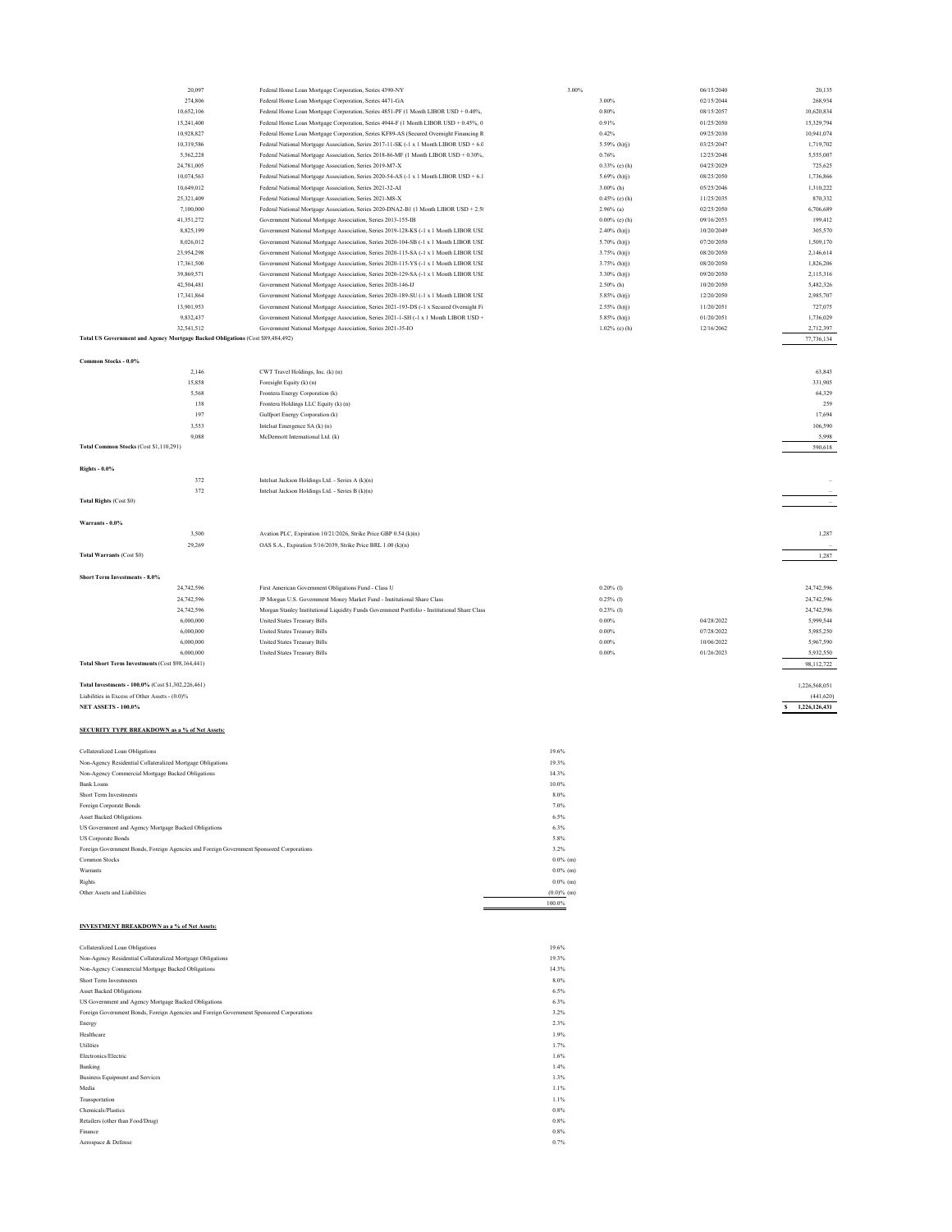|                                                                                          | 20,097<br>274,806 | Federal Home Loan Mortgage Corporation, Series 4390-NY<br>Federal Home Loan Mortgage Corporation, Series 4471-GA |               | 3.00% | 3.00%            | 06/15/2040<br>02/15/2044 | 20,135<br>268,934  |
|------------------------------------------------------------------------------------------|-------------------|------------------------------------------------------------------------------------------------------------------|---------------|-------|------------------|--------------------------|--------------------|
|                                                                                          | 10,652,106        | Federal Home Loan Mortgage Corporation, Series 4851-PF (1 Month LIBOR USD + 0.40%,                               |               |       | 0.80%            | 08/15/2057               | 10,620,834         |
|                                                                                          | 15,241,400        | Federal Home Loan Mortgage Corporation, Series 4944-F (1 Month LIBOR USD + 0.45%, 0                              |               |       | 0.91%            | 01/25/2050               | 15,329,794         |
|                                                                                          | 10,928,827        | Federal Home Loan Mortgage Corporation, Series KF89-AS (Secured Overnight Financing R                            |               |       | 0.42%            | 09/25/2030               | 10,941,074         |
|                                                                                          | 10,319,586        | Federal National Mortgage Association, Series 2017-11-SK (-1 x 1 Month LIBOR USD + 6.0                           |               |       | 5.59% (h)(j)     | 03/25/2047               | 1,719,702          |
|                                                                                          | 5,562,228         | Federal National Mortgage Association, Series 2018-86-MF (1 Month LIBOR USD + 0.30%,                             |               |       | 0.76%            | 12/25/2048               | 5,555,007          |
|                                                                                          | 24,781,005        | Federal National Mortgage Association, Series 2019-M7-X                                                          |               |       | 0.33% (e) (h)    | 04/25/2029               | 725,625            |
|                                                                                          | 10,074,563        | Federal National Mortgage Association, Series 2020-54-AS (-1 x 1 Month LIBOR USD + 6.1                           |               |       | 5.69% (h)(j)     | 08/25/2050               | 1,736,866          |
|                                                                                          | 10,649,012        | Federal National Mortgage Association, Series 2021-32-AI                                                         |               |       | 3.00% (h)        | 05/25/2046               | 1,310,222          |
|                                                                                          | 25,321,409        |                                                                                                                  |               |       | 0.45% (e) (h)    | 11/25/2035               | 870,332            |
|                                                                                          |                   | Federal National Mortgage Association, Series 2021-M8-X                                                          |               |       | $2.96\%$ (a)     | 02/25/2050               |                    |
|                                                                                          | 7,100,000         | Federal National Mortgage Association, Series 2020-DNA2-B1 (1 Month LIBOR USD + 2.5                              |               |       |                  | 6,706,689                |                    |
|                                                                                          | 41,351,272        | Government National Mortgage Association, Series 2013-155-IB                                                     |               |       | $0.00\%$ (c) (h) | 09/16/2053               | 199,412            |
|                                                                                          | 8,825,199         | Government National Mortgage Association, Series 2019-128-KS (-1 x 1 Month LIBOR USI                             |               |       | $2.40\%$ (h)(j)  | 10/20/2049               | 305,570            |
|                                                                                          | 8,026,012         | Government National Mortgage Association, Series 2020-104-SB (-1 x 1 Month LIBOR USI)                            |               |       | 5.70% $(h)(j)$   | 07/20/2050               | 1,509,170          |
|                                                                                          | 23,954,298        | Government National Mortgage Association, Series 2020-115-SA (-1 x 1 Month LIBOR USI                             |               |       | $3.75\%$ (h)(j)  | 08/20/2050               | 2,146,614          |
|                                                                                          | 17,361,500        | Government National Mortgage Association, Series 2020-115-YS (-1 x 1 Month LIBOR USI                             |               |       | $3.75\%$ (h)(j)  | 08/20/2050               | 1,826,206          |
|                                                                                          | 39,869,571        | Government National Mortgage Association, Series 2020-129-SA (-1 x 1 Month LIBOR USI                             |               |       | $3.30\%$ (h)(j)  | 09/20/2050               | 2,115,316          |
|                                                                                          | 42,504,481        | Government National Mortgage Association, Series 2020-146-IJ                                                     |               |       | $2.50\%$ (h)     | 10/20/2050               | 5,482,326          |
|                                                                                          | 17,341,864        | Government National Mortgage Association, Series 2020-189-SU (-1 x 1 Month LIBOR USI                             |               |       | $5.85\%$ (h)(j)  | 12/20/2050               | 2,985,707          |
|                                                                                          | 13,901,953        | Government National Mortgage Association, Series 2021-193-DS (-1 x Secured Overnight Fi                          |               |       | $2.55\%$ (h)(j)  | 11/20/2051               | 727,075            |
|                                                                                          | 9,832,437         | Government National Mortgage Association, Series 2021-1-SH (-1 x 1 Month LIBOR USD +                             |               |       | 5.85% (h)(j)     | 01/20/2051               | 1,736,029          |
|                                                                                          | 32,541,512        | Government National Mortgage Association, Series 2021-35-IO                                                      |               |       | $1.02\%$ (e) (h) | 12/16/2062               | 2,712,397          |
| Total US Government and Agency Mortgage Backed Obligations (Cost \$89,484,492)           |                   |                                                                                                                  |               |       |                  |                          | 77,736,134         |
|                                                                                          |                   |                                                                                                                  |               |       |                  |                          |                    |
| Common Stocks - 0.0%                                                                     |                   |                                                                                                                  |               |       |                  |                          |                    |
|                                                                                          | 2,146             | CWT Travel Holdings, Inc. (k) (n)                                                                                |               |       |                  |                          | 63,843             |
|                                                                                          | 15,858            | Foresight Equity (k) (n)                                                                                         |               |       |                  |                          | 331,905            |
|                                                                                          | 5,568             | Frontera Energy Corporation (k)                                                                                  |               |       |                  |                          | 64,329             |
|                                                                                          | 138               | Frontera Holdings LLC Equity (k) (n)                                                                             |               |       |                  |                          | 259                |
|                                                                                          | 197               | Gulfport Energy Corporation (k)                                                                                  |               |       |                  |                          | 17,694             |
|                                                                                          | 3,553             | Intelsat Emergence SA (k) (n)                                                                                    |               |       |                  |                          | 106,590            |
|                                                                                          | 9,088             | McDermott International Ltd. (k)                                                                                 |               |       |                  |                          | 5.998              |
| Total Common Stocks (Cost \$1,110,291)                                                   |                   |                                                                                                                  |               |       |                  |                          | 590,618            |
|                                                                                          |                   |                                                                                                                  |               |       |                  |                          |                    |
| <b>Rights - 0.0%</b>                                                                     |                   |                                                                                                                  |               |       |                  |                          |                    |
|                                                                                          | 372               | Intelsat Jackson Holdings Ltd. - Series A (k)(n)                                                                 |               |       |                  |                          |                    |
|                                                                                          | 372               | Intelsat Jackson Holdings Ltd. - Series B (k)(n)                                                                 |               |       |                  |                          |                    |
| Total Rights (Cost \$0)                                                                  |                   |                                                                                                                  |               |       |                  |                          |                    |
|                                                                                          |                   |                                                                                                                  |               |       |                  |                          |                    |
| Warrants - 0.0%                                                                          |                   |                                                                                                                  |               |       |                  |                          |                    |
|                                                                                          | 3,500             | Avation PLC, Expiration 10/21/2026, Strike Price GBP 0.54 (k)(n)                                                 |               |       |                  |                          | 1,287              |
|                                                                                          | 29,269            | OAS S.A., Expiration 5/16/2039, Strike Price BRL 1.00 (k)(n)                                                     |               |       |                  |                          |                    |
| <b>Total Warrants (Cost S0)</b>                                                          |                   |                                                                                                                  |               |       |                  |                          | 1,287              |
|                                                                                          |                   |                                                                                                                  |               |       |                  |                          |                    |
|                                                                                          |                   |                                                                                                                  |               |       |                  |                          |                    |
|                                                                                          |                   |                                                                                                                  |               |       |                  |                          |                    |
| Short Term Investments - 8.0%                                                            |                   |                                                                                                                  |               |       |                  |                          |                    |
|                                                                                          | 24,742,596        | First American Government Obligations Fund - Class U                                                             |               |       | $0.20\%$ (1)     |                          | 24,742,596         |
|                                                                                          | 24,742,596        | JP Morgan U.S. Government Money Market Fund - Institutional Share Class                                          |               |       | $0.25\%$ (1)     |                          | 24,742,596         |
|                                                                                          | 24,742,596        | Morgan Stanley Institutional Liquidity Funds Government Portfolio - Institutional Share Class                    |               |       | $0.23\%$ (1)     |                          | 24,742,596         |
|                                                                                          | 6,000,000         | <b>United States Treasury Bills</b>                                                                              |               |       | $0.00\%$         | 04/28/2022               | 5,999,544          |
|                                                                                          | 6,000,000         | <b>United States Treasury Bills</b>                                                                              |               |       | $0.00\%$         | 07/28/2022               | 5,985,250          |
|                                                                                          | 6,000,000         | <b>United States Treasury Bills</b>                                                                              |               |       | $0.00\%$         | 10/06/2022               | 5,967,590          |
|                                                                                          | 6,000,000         | <b>United States Treasury Bills</b>                                                                              |               |       | $0.00\%$         | 01/26/2023               | 5,932,550          |
| Total Short Term Investments (Cost \$98,164,441)                                         |                   |                                                                                                                  |               |       |                  |                          | 98,112,722         |
|                                                                                          |                   |                                                                                                                  |               |       |                  |                          |                    |
| Total Investments - 100.0% (Cost \$1,302,226,461)                                        |                   |                                                                                                                  |               |       |                  |                          | 1,226,568,051      |
| Liabilities in Excess of Other Assets - (0.0)%                                           |                   |                                                                                                                  |               |       |                  |                          | (441, 620)         |
| <b>NET ASSETS - 100.0%</b>                                                               |                   |                                                                                                                  |               |       |                  |                          | 1,226,126,431<br>s |
|                                                                                          |                   |                                                                                                                  |               |       |                  |                          |                    |
| <b>SECURITY TYPE BREAKDOWN as a % of Net Assets:</b>                                     |                   |                                                                                                                  |               |       |                  |                          |                    |
|                                                                                          |                   |                                                                                                                  |               |       |                  |                          |                    |
| Collateralized Loan Obligations                                                          |                   |                                                                                                                  | 19.6%         |       |                  |                          |                    |
|                                                                                          |                   |                                                                                                                  |               |       |                  |                          |                    |
| Non-Agency Residential Collateralized Mortgage Obligations                               |                   |                                                                                                                  | 19.3%         |       |                  |                          |                    |
| Non-Agency Commercial Mortgage Backed Obligations                                        |                   |                                                                                                                  | 14.3%         |       |                  |                          |                    |
| <b>Bank Loans</b>                                                                        |                   |                                                                                                                  | 10.0%         |       |                  |                          |                    |
| Short Term Investments                                                                   |                   |                                                                                                                  | 8.0%          |       |                  |                          |                    |
| Foreign Corporate Bonds                                                                  |                   |                                                                                                                  | 7.0%          |       |                  |                          |                    |
| <b>Asset Backed Obligations</b>                                                          |                   |                                                                                                                  | 6.5%          |       |                  |                          |                    |
| US Government and Agency Mortgage Backed Obligations                                     |                   |                                                                                                                  | 6.3%          |       |                  |                          |                    |
| <b>US Corporate Bonds</b>                                                                |                   |                                                                                                                  | 5.8%          |       |                  |                          |                    |
| Foreign Government Bonds, Foreign Agencies and Foreign Government Sponsored Corporations |                   |                                                                                                                  | 3.2%          |       |                  |                          |                    |
| Common Stocks                                                                            |                   |                                                                                                                  | $0.0\%$ (m)   |       |                  |                          |                    |
| Warrants                                                                                 |                   |                                                                                                                  | $0.0\%$ (m)   |       |                  |                          |                    |
| Rights                                                                                   |                   |                                                                                                                  | $0.0\%$ (m)   |       |                  |                          |                    |
| Other Assets and Liabilities                                                             |                   |                                                                                                                  | $(0.0)$ % (m) |       |                  |                          |                    |
|                                                                                          |                   |                                                                                                                  | 100.0%        |       |                  |                          |                    |
|                                                                                          |                   |                                                                                                                  |               |       |                  |                          |                    |
|                                                                                          |                   |                                                                                                                  |               |       |                  |                          |                    |
| <b>INVESTMENT BREAKDOWN</b> as a % of Net Assets:                                        |                   |                                                                                                                  |               |       |                  |                          |                    |
|                                                                                          |                   |                                                                                                                  |               |       |                  |                          |                    |
| Collateralized Loan Obligations                                                          |                   |                                                                                                                  | 19.6%         |       |                  |                          |                    |
| Non-Agency Residential Collateralized Mortgage Obligations                               |                   |                                                                                                                  | 19.3%         |       |                  |                          |                    |
|                                                                                          |                   |                                                                                                                  | 14.3%         |       |                  |                          |                    |
| Non-Agency Commercial Mortgage Backed Obligations<br>Short Term Investments              |                   |                                                                                                                  | 8.0%          |       |                  |                          |                    |
| <b>Asset Backed Obligations</b>                                                          |                   |                                                                                                                  | 6.5%          |       |                  |                          |                    |
| US Government and Agency Mortgage Backed Obligations                                     |                   |                                                                                                                  | 6.3%          |       |                  |                          |                    |
| Foreign Government Bonds, Foreign Agencies and Foreign Government Sponsored Corporations |                   |                                                                                                                  | 3.2%          |       |                  |                          |                    |
| Energy                                                                                   |                   |                                                                                                                  | 2.3%          |       |                  |                          |                    |
| Healthcare                                                                               |                   |                                                                                                                  | 1.9%          |       |                  |                          |                    |
| Utilities                                                                                |                   |                                                                                                                  | 1.7%          |       |                  |                          |                    |
| Electronics/Electric                                                                     |                   |                                                                                                                  | 1.6%          |       |                  |                          |                    |

Electronics/Electric 1.6%<br>Banking Equipment and Services 1.4%<br>Business Equipment and Services 1.1%<br>Media 1.1% 1.1% 1.1%<br>Chemicals/Plastics 1.1% 0.8%<br>Chemicals/Plastics 0.08% 0.8%<br>Aerospace & Defense 0.08%<br>Aerospace & Defen